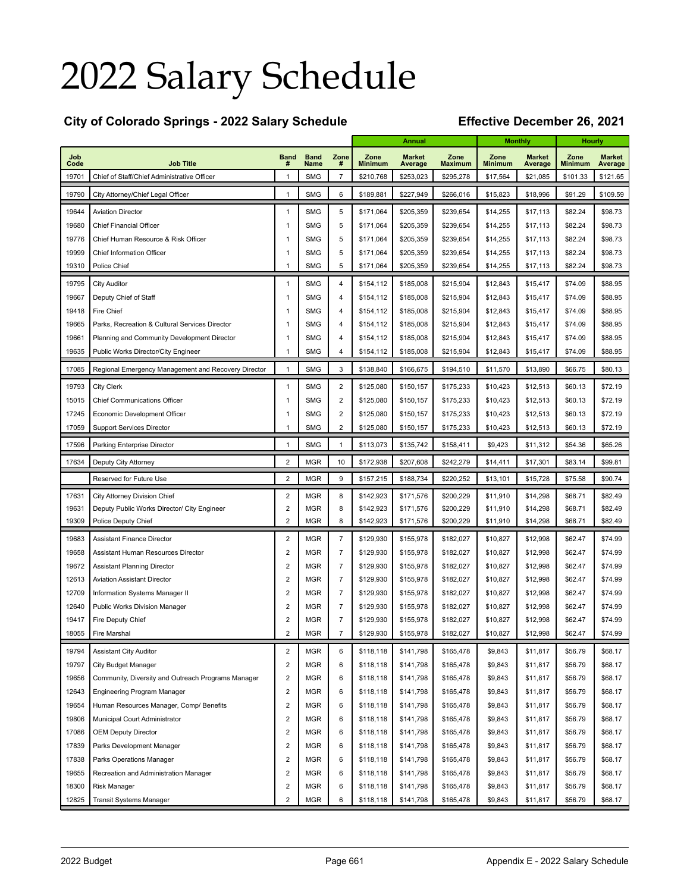# 2022 Salary Schedule

### **City of Colorado Springs - 2022 Salary Schedule Effective December 26, 2021**

| Job<br><b>Band</b><br><b>Band</b><br>Zone<br>Zone<br><b>Market</b><br>Zone<br>Zone<br><b>Market</b><br>Zone<br><b>Market</b><br>Code<br><b>Job Title</b><br>Name<br>#<br><b>Minimum</b><br>Average<br><b>Maximum</b><br><b>Minimum</b><br>Average<br><b>Minimum</b><br>Average<br>#<br><b>SMG</b><br>$\overline{7}$<br>\$210,768<br>\$253,023<br>\$295,278<br>\$101.33<br>19701<br>Chief of Staff/Chief Administrative Officer<br>1<br>\$17,564<br>\$21,085<br>\$121.65<br>19790<br>1<br><b>SMG</b><br>6<br>\$189,881<br>\$227,949<br>\$266,016<br>\$15,823<br>\$18,996<br>\$91.29<br>\$109.59<br>City Attorney/Chief Legal Officer<br><b>SMG</b><br>\$205,359<br>\$98.73<br>19644<br><b>Aviation Director</b><br>1<br>5<br>\$171,064<br>\$239,654<br>\$14,255<br>\$17,113<br>\$82.24<br>19680<br>$\mathbf{1}$<br><b>SMG</b><br>5<br>\$239,654<br>\$82.24<br>\$98.73<br><b>Chief Financial Officer</b><br>\$171,064<br>\$205,359<br>\$14,255<br>\$17,113<br>19776<br><b>SMG</b><br>5<br>\$239,654<br>\$82.24<br>\$98.73<br>Chief Human Resource & Risk Officer<br>1<br>\$171,064<br>\$205,359<br>\$14,255<br>\$17,113<br>19999<br><b>SMG</b><br>5<br>\$82.24<br>\$98.73<br><b>Chief Information Officer</b><br>1<br>\$171,064<br>\$205,359<br>\$239,654<br>\$14,255<br>\$17,113<br><b>SMG</b><br>5<br>\$82.24<br>\$98.73<br>19310<br>Police Chief<br>1<br>\$205,359<br>\$239,654<br>\$14,255<br>\$17,113<br>\$171,064<br>19795<br><b>SMG</b><br>$\overline{4}$<br>\$154,112<br>\$185,008<br>\$215,904<br>\$12,843<br>\$15,417<br>\$74.09<br>\$88.95<br><b>City Auditor</b><br>1<br>19667<br><b>SMG</b><br>\$185,008<br>\$215,904<br>\$12,843<br>\$15,417<br>\$74.09<br>\$88.95<br>Deputy Chief of Staff<br>1<br>$\overline{4}$<br>\$154,112<br>19418<br><b>SMG</b><br>\$185,008<br>\$215,904<br>\$12,843<br>\$15,417<br>\$74.09<br>\$88.95<br>Fire Chief<br>1<br>4<br>\$154,112<br>19665<br><b>SMG</b><br>\$185,008<br>\$215,904<br>\$12,843<br>\$15,417<br>\$74.09<br>\$88.95<br>Parks, Recreation & Cultural Services Director<br>1<br>4<br>\$154,112<br>19661<br>\$185,008<br>\$88.95<br>Planning and Community Development Director<br>1<br><b>SMG</b><br>4<br>\$154,112<br>\$215,904<br>\$12,843<br>\$15,417<br>\$74.09<br><b>SMG</b><br>\$88.95<br>19635<br>Public Works Director/City Engineer<br>1<br>4<br>\$154,112<br>\$185,008<br>\$215,904<br>\$12,843<br>\$15,417<br>\$74.09<br>17085<br>$\mathbf{1}$<br><b>SMG</b><br>3<br>\$138,840<br>\$166,675<br>\$194,510<br>\$11,570<br>\$13,890<br>\$66.75<br>\$80.13<br>Regional Emergency Management and Recovery Director<br>19793<br>1<br><b>SMG</b><br>2<br>\$125,080<br>\$150,157<br>\$175,233<br>\$10,423<br>\$12,513<br>\$60.13<br>\$72.19<br><b>City Clerk</b><br>15015<br><b>SMG</b><br>2<br>\$60.13<br>\$72.19<br><b>Chief Communications Officer</b><br>1<br>\$125,080<br>\$150,157<br>\$175,233<br>\$10,423<br>\$12,513<br><b>SMG</b><br>2<br>\$60.13<br>\$72.19<br>17245<br>Economic Development Officer<br>1<br>\$125,080<br>\$150,157<br>\$175,233<br>\$10,423<br>\$12,513<br>17059<br><b>SMG</b><br>2<br>\$60.13<br>\$72.19<br><b>Support Services Director</b><br>1<br>\$125,080<br>\$150,157<br>\$175,233<br>\$10,423<br>\$12,513<br><b>SMG</b><br>17596<br>$\mathbf{1}$<br>\$113,073<br>\$135,742<br>\$158,411<br>\$9,423<br>\$11,312<br>\$54.36<br>\$65.26<br>Parking Enterprise Director<br>$\mathbf{1}$<br>2<br><b>MGR</b><br>\$172,938<br>\$207,608<br>\$242,279<br>\$17,301<br>\$83.14<br>\$99.81<br>17634<br>Deputy City Attorney<br>10<br>\$14,411<br>$\overline{2}$<br>9<br><b>MGR</b><br>\$188,734<br>\$220,252<br>\$13,101<br>\$15,728<br>\$75.58<br>\$90.74<br>Reserved for Future Use<br>\$157,215<br>$\overline{c}$<br>17631<br><b>MGR</b><br>8<br>\$142,923<br>\$171,576<br>\$200,229<br>\$11,910<br>\$14,298<br>\$68.71<br>\$82.49<br>City Attorney Division Chief<br>19631<br>2<br><b>MGR</b><br>\$14,298<br>\$68.71<br>\$82.49<br>Deputy Public Works Director/ City Engineer<br>8<br>\$142,923<br>\$171,576<br>\$200,229<br>\$11,910<br>$\overline{2}$<br>19309<br><b>MGR</b><br>8<br>\$14,298<br>\$68.71<br>\$82.49<br>\$142,923<br>\$171,576<br>\$200,229<br>\$11,910<br><b>Police Deputy Chief</b><br>19683<br>2<br><b>MGR</b><br>$\overline{7}$<br>\$129,930<br>\$155,978<br>\$182,027<br>\$10,827<br>\$12,998<br>\$62.47<br>\$74.99<br><b>Assistant Finance Director</b><br>19658<br>2<br><b>MGR</b><br>$\overline{7}$<br>\$129,930<br>\$155,978<br>\$10,827<br>\$12,998<br>\$62.47<br>\$74.99<br>Assistant Human Resources Director<br>\$182,027<br>19672<br>2<br><b>MGR</b><br>$\overline{7}$<br>\$129,930<br>\$12,998<br>\$74.99<br><b>Assistant Planning Director</b><br>\$155,978<br>\$182,027<br>\$10,827<br>\$62.47<br>12613<br>2<br><b>MGR</b><br>$\overline{7}$<br>\$129,930<br>\$12,998<br>\$74.99<br><b>Aviation Assistant Director</b><br>\$155,978<br>\$182,027<br>\$10,827<br>\$62.47<br>12709<br>2<br><b>MGR</b><br>$\overline{7}$<br>\$74.99<br>Information Systems Manager II<br>\$129,930<br>\$155,978<br>\$182,027<br>\$10,827<br>\$12,998<br>\$62.47<br>12640<br>2<br><b>MGR</b><br>$\overline{7}$<br>\$74.99<br>Public Works Division Manager<br>\$129,930<br>\$155,978<br>\$182,027<br>\$10,827<br>\$12,998<br>\$62.47<br>19417<br>2<br><b>MGR</b><br>$\overline{7}$<br>\$74.99<br>Fire Deputy Chief<br>\$129,930<br>\$155,978<br>\$182,027<br>\$10,827<br>\$12,998<br>\$62.47<br>$\overline{c}$<br>18055<br><b>MGR</b><br>$\overline{7}$<br>\$129,930<br>\$155,978<br>\$182,027<br>\$10,827<br>\$12,998<br>\$62.47<br>\$74.99<br>Fire Marshal<br>19794<br>$\overline{\mathbf{c}}$<br><b>MGR</b><br>6<br>\$165,478<br>\$9,843<br>\$56.79<br>\$68.17<br><b>Assistant City Auditor</b><br>\$118,118<br>\$141,798<br>\$11,817<br>19797<br>$\overline{\mathbf{c}}$<br><b>MGR</b><br>\$9,843<br>\$56.79<br>6<br>\$118,118<br>\$141,798<br>\$165,478<br>\$11,817<br>\$68.17<br><b>City Budget Manager</b><br>19656<br>$\overline{\mathbf{c}}$<br><b>MGR</b><br>\$9,843<br>\$56.79<br>\$68.17<br>Community, Diversity and Outreach Programs Manager<br>6<br>\$118,118<br>\$141,798<br>\$165,478<br>\$11,817<br>12643<br>2<br><b>MGR</b><br>\$68.17<br>6<br>\$118,118<br>\$141,798<br>\$165,478<br>\$9,843<br>\$11,817<br>\$56.79<br>Engineering Program Manager<br>19654<br>$\overline{\mathbf{c}}$<br><b>MGR</b><br>6<br>\$118,118<br>\$141,798<br>\$165,478<br>\$9,843<br>\$11,817<br>\$56.79<br>\$68.17<br>Human Resources Manager, Comp/ Benefits<br>19806<br>$\overline{\mathbf{c}}$<br><b>MGR</b><br>\$68.17<br>6<br>\$118,118<br>\$141,798<br>\$165,478<br>\$9,843<br>\$11,817<br>\$56.79<br>Municipal Court Administrator<br>17086<br>$\overline{\mathbf{c}}$<br><b>MGR</b><br>\$68.17<br>6<br>\$118,118<br>\$141,798<br>\$165,478<br>\$9,843<br>\$11,817<br>\$56.79<br><b>OEM Deputy Director</b><br>17839<br>$\overline{\mathbf{c}}$<br><b>MGR</b><br>6<br>\$118,118<br>\$141,798<br>\$165,478<br>\$9,843<br>\$11,817<br>\$56.79<br>\$68.17<br>Parks Development Manager<br>17838<br>$\overline{\mathbf{c}}$<br><b>MGR</b><br>6<br>\$118,118<br>\$141,798<br>\$165,478<br>\$9,843<br>\$11,817<br>\$56.79<br>\$68.17<br>Parks Operations Manager<br>19655<br>$\overline{\mathbf{c}}$<br><b>MGR</b><br>6<br>\$118,118<br>\$141,798<br>\$165,478<br>\$9,843<br>\$11,817<br>\$56.79<br>\$68.17<br>Recreation and Administration Manager<br>18300<br>2<br><b>MGR</b><br>6<br>\$118,118<br>\$141,798<br>\$165,478<br>\$9,843<br>\$11,817<br>\$56.79<br>\$68.17<br>Risk Manager |       |                         |                |            |   |           | <b>Annual</b> |           | <b>Monthly</b> |          | <b>Hourly</b> |         |
|---------------------------------------------------------------------------------------------------------------------------------------------------------------------------------------------------------------------------------------------------------------------------------------------------------------------------------------------------------------------------------------------------------------------------------------------------------------------------------------------------------------------------------------------------------------------------------------------------------------------------------------------------------------------------------------------------------------------------------------------------------------------------------------------------------------------------------------------------------------------------------------------------------------------------------------------------------------------------------------------------------------------------------------------------------------------------------------------------------------------------------------------------------------------------------------------------------------------------------------------------------------------------------------------------------------------------------------------------------------------------------------------------------------------------------------------------------------------------------------------------------------------------------------------------------------------------------------------------------------------------------------------------------------------------------------------------------------------------------------------------------------------------------------------------------------------------------------------------------------------------------------------------------------------------------------------------------------------------------------------------------------------------------------------------------------------------------------------------------------------------------------------------------------------------------------------------------------------------------------------------------------------------------------------------------------------------------------------------------------------------------------------------------------------------------------------------------------------------------------------------------------------------------------------------------------------------------------------------------------------------------------------------------------------------------------------------------------------------------------------------------------------------------------------------------------------------------------------------------------------------------------------------------------------------------------------------------------------------------------------------------------------------------------------------------------------------------------------------------------------------------------------------------------------------------------------------------------------------------------------------------------------------------------------------------------------------------------------------------------------------------------------------------------------------------------------------------------------------------------------------------------------------------------------------------------------------------------------------------------------------------------------------------------------------------------------------------------------------------------------------------------------------------------------------------------------------------------------------------------------------------------------------------------------------------------------------------------------------------------------------------------------------------------------------------------------------------------------------------------------------------------------------------------------------------------------------------------------------------------------------------------------------------------------------------------------------------------------------------------------------------------------------------------------------------------------------------------------------------------------------------------------------------------------------------------------------------------------------------------------------------------------------------------------------------------------------------------------------------------------------------------------------------------------------------------------------------------------------------------------------------------------------------------------------------------------------------------------------------------------------------------------------------------------------------------------------------------------------------------------------------------------------------------------------------------------------------------------------------------------------------------------------------------------------------------------------------------------------------------------------------------------------------------------------------------------------------------------------------------------------------------------------------------------------------------------------------------------------------------------------------------------------------------------------------------------------------------------------------------------------------------------------------------------------------------------------------------------------------------------------------------------------------------------------------------------------------------------------------------------------------------------------------------------------------------------------------------------------------------------------------------------------------------------------------------------------------------------------------------------------------------------------------------------------------------------------------------------------------------------------------------------------------------------------------------------------------------------------------------------------------------------------------------------------------------------------------------------------------------------------------------------------------------------------------------------------------------------------------------------------------------------------------------------------------------------------------------------------------------------------------------------------------------------------------------------------------------------------------------------------------------------------------------------------------------------------------------------------------------------------------------------------------------------------------------------------------------------------------------------------------------------------------------------------------------------------------------------------------------------------------------------------------------------------------------------------------------------------------------------------|-------|-------------------------|----------------|------------|---|-----------|---------------|-----------|----------------|----------|---------------|---------|
|                                                                                                                                                                                                                                                                                                                                                                                                                                                                                                                                                                                                                                                                                                                                                                                                                                                                                                                                                                                                                                                                                                                                                                                                                                                                                                                                                                                                                                                                                                                                                                                                                                                                                                                                                                                                                                                                                                                                                                                                                                                                                                                                                                                                                                                                                                                                                                                                                                                                                                                                                                                                                                                                                                                                                                                                                                                                                                                                                                                                                                                                                                                                                                                                                                                                                                                                                                                                                                                                                                                                                                                                                                                                                                                                                                                                                                                                                                                                                                                                                                                                                                                                                                                                                                                                                                                                                                                                                                                                                                                                                                                                                                                                                                                                                                                                                                                                                                                                                                                                                                                                                                                                                                                                                                                                                                                                                                                                                                                                                                                                                                                                                                                                                                                                                                                                                                                                                                                                                                                                                                                                                                                                                                                                                                                                                                                                                                                                                                                                                                                                                                                                                                                                                                                                                                                                                                                                                                                                                                                                                                                                                                                                                                                                                                                                                                                                                                                                                                                                                                   |       |                         |                |            |   |           |               |           |                |          |               |         |
|                                                                                                                                                                                                                                                                                                                                                                                                                                                                                                                                                                                                                                                                                                                                                                                                                                                                                                                                                                                                                                                                                                                                                                                                                                                                                                                                                                                                                                                                                                                                                                                                                                                                                                                                                                                                                                                                                                                                                                                                                                                                                                                                                                                                                                                                                                                                                                                                                                                                                                                                                                                                                                                                                                                                                                                                                                                                                                                                                                                                                                                                                                                                                                                                                                                                                                                                                                                                                                                                                                                                                                                                                                                                                                                                                                                                                                                                                                                                                                                                                                                                                                                                                                                                                                                                                                                                                                                                                                                                                                                                                                                                                                                                                                                                                                                                                                                                                                                                                                                                                                                                                                                                                                                                                                                                                                                                                                                                                                                                                                                                                                                                                                                                                                                                                                                                                                                                                                                                                                                                                                                                                                                                                                                                                                                                                                                                                                                                                                                                                                                                                                                                                                                                                                                                                                                                                                                                                                                                                                                                                                                                                                                                                                                                                                                                                                                                                                                                                                                                                                   |       |                         |                |            |   |           |               |           |                |          |               |         |
|                                                                                                                                                                                                                                                                                                                                                                                                                                                                                                                                                                                                                                                                                                                                                                                                                                                                                                                                                                                                                                                                                                                                                                                                                                                                                                                                                                                                                                                                                                                                                                                                                                                                                                                                                                                                                                                                                                                                                                                                                                                                                                                                                                                                                                                                                                                                                                                                                                                                                                                                                                                                                                                                                                                                                                                                                                                                                                                                                                                                                                                                                                                                                                                                                                                                                                                                                                                                                                                                                                                                                                                                                                                                                                                                                                                                                                                                                                                                                                                                                                                                                                                                                                                                                                                                                                                                                                                                                                                                                                                                                                                                                                                                                                                                                                                                                                                                                                                                                                                                                                                                                                                                                                                                                                                                                                                                                                                                                                                                                                                                                                                                                                                                                                                                                                                                                                                                                                                                                                                                                                                                                                                                                                                                                                                                                                                                                                                                                                                                                                                                                                                                                                                                                                                                                                                                                                                                                                                                                                                                                                                                                                                                                                                                                                                                                                                                                                                                                                                                                                   |       |                         |                |            |   |           |               |           |                |          |               |         |
|                                                                                                                                                                                                                                                                                                                                                                                                                                                                                                                                                                                                                                                                                                                                                                                                                                                                                                                                                                                                                                                                                                                                                                                                                                                                                                                                                                                                                                                                                                                                                                                                                                                                                                                                                                                                                                                                                                                                                                                                                                                                                                                                                                                                                                                                                                                                                                                                                                                                                                                                                                                                                                                                                                                                                                                                                                                                                                                                                                                                                                                                                                                                                                                                                                                                                                                                                                                                                                                                                                                                                                                                                                                                                                                                                                                                                                                                                                                                                                                                                                                                                                                                                                                                                                                                                                                                                                                                                                                                                                                                                                                                                                                                                                                                                                                                                                                                                                                                                                                                                                                                                                                                                                                                                                                                                                                                                                                                                                                                                                                                                                                                                                                                                                                                                                                                                                                                                                                                                                                                                                                                                                                                                                                                                                                                                                                                                                                                                                                                                                                                                                                                                                                                                                                                                                                                                                                                                                                                                                                                                                                                                                                                                                                                                                                                                                                                                                                                                                                                                                   |       |                         |                |            |   |           |               |           |                |          |               |         |
|                                                                                                                                                                                                                                                                                                                                                                                                                                                                                                                                                                                                                                                                                                                                                                                                                                                                                                                                                                                                                                                                                                                                                                                                                                                                                                                                                                                                                                                                                                                                                                                                                                                                                                                                                                                                                                                                                                                                                                                                                                                                                                                                                                                                                                                                                                                                                                                                                                                                                                                                                                                                                                                                                                                                                                                                                                                                                                                                                                                                                                                                                                                                                                                                                                                                                                                                                                                                                                                                                                                                                                                                                                                                                                                                                                                                                                                                                                                                                                                                                                                                                                                                                                                                                                                                                                                                                                                                                                                                                                                                                                                                                                                                                                                                                                                                                                                                                                                                                                                                                                                                                                                                                                                                                                                                                                                                                                                                                                                                                                                                                                                                                                                                                                                                                                                                                                                                                                                                                                                                                                                                                                                                                                                                                                                                                                                                                                                                                                                                                                                                                                                                                                                                                                                                                                                                                                                                                                                                                                                                                                                                                                                                                                                                                                                                                                                                                                                                                                                                                                   |       |                         |                |            |   |           |               |           |                |          |               |         |
|                                                                                                                                                                                                                                                                                                                                                                                                                                                                                                                                                                                                                                                                                                                                                                                                                                                                                                                                                                                                                                                                                                                                                                                                                                                                                                                                                                                                                                                                                                                                                                                                                                                                                                                                                                                                                                                                                                                                                                                                                                                                                                                                                                                                                                                                                                                                                                                                                                                                                                                                                                                                                                                                                                                                                                                                                                                                                                                                                                                                                                                                                                                                                                                                                                                                                                                                                                                                                                                                                                                                                                                                                                                                                                                                                                                                                                                                                                                                                                                                                                                                                                                                                                                                                                                                                                                                                                                                                                                                                                                                                                                                                                                                                                                                                                                                                                                                                                                                                                                                                                                                                                                                                                                                                                                                                                                                                                                                                                                                                                                                                                                                                                                                                                                                                                                                                                                                                                                                                                                                                                                                                                                                                                                                                                                                                                                                                                                                                                                                                                                                                                                                                                                                                                                                                                                                                                                                                                                                                                                                                                                                                                                                                                                                                                                                                                                                                                                                                                                                                                   |       |                         |                |            |   |           |               |           |                |          |               |         |
|                                                                                                                                                                                                                                                                                                                                                                                                                                                                                                                                                                                                                                                                                                                                                                                                                                                                                                                                                                                                                                                                                                                                                                                                                                                                                                                                                                                                                                                                                                                                                                                                                                                                                                                                                                                                                                                                                                                                                                                                                                                                                                                                                                                                                                                                                                                                                                                                                                                                                                                                                                                                                                                                                                                                                                                                                                                                                                                                                                                                                                                                                                                                                                                                                                                                                                                                                                                                                                                                                                                                                                                                                                                                                                                                                                                                                                                                                                                                                                                                                                                                                                                                                                                                                                                                                                                                                                                                                                                                                                                                                                                                                                                                                                                                                                                                                                                                                                                                                                                                                                                                                                                                                                                                                                                                                                                                                                                                                                                                                                                                                                                                                                                                                                                                                                                                                                                                                                                                                                                                                                                                                                                                                                                                                                                                                                                                                                                                                                                                                                                                                                                                                                                                                                                                                                                                                                                                                                                                                                                                                                                                                                                                                                                                                                                                                                                                                                                                                                                                                                   |       |                         |                |            |   |           |               |           |                |          |               |         |
|                                                                                                                                                                                                                                                                                                                                                                                                                                                                                                                                                                                                                                                                                                                                                                                                                                                                                                                                                                                                                                                                                                                                                                                                                                                                                                                                                                                                                                                                                                                                                                                                                                                                                                                                                                                                                                                                                                                                                                                                                                                                                                                                                                                                                                                                                                                                                                                                                                                                                                                                                                                                                                                                                                                                                                                                                                                                                                                                                                                                                                                                                                                                                                                                                                                                                                                                                                                                                                                                                                                                                                                                                                                                                                                                                                                                                                                                                                                                                                                                                                                                                                                                                                                                                                                                                                                                                                                                                                                                                                                                                                                                                                                                                                                                                                                                                                                                                                                                                                                                                                                                                                                                                                                                                                                                                                                                                                                                                                                                                                                                                                                                                                                                                                                                                                                                                                                                                                                                                                                                                                                                                                                                                                                                                                                                                                                                                                                                                                                                                                                                                                                                                                                                                                                                                                                                                                                                                                                                                                                                                                                                                                                                                                                                                                                                                                                                                                                                                                                                                                   |       |                         |                |            |   |           |               |           |                |          |               |         |
|                                                                                                                                                                                                                                                                                                                                                                                                                                                                                                                                                                                                                                                                                                                                                                                                                                                                                                                                                                                                                                                                                                                                                                                                                                                                                                                                                                                                                                                                                                                                                                                                                                                                                                                                                                                                                                                                                                                                                                                                                                                                                                                                                                                                                                                                                                                                                                                                                                                                                                                                                                                                                                                                                                                                                                                                                                                                                                                                                                                                                                                                                                                                                                                                                                                                                                                                                                                                                                                                                                                                                                                                                                                                                                                                                                                                                                                                                                                                                                                                                                                                                                                                                                                                                                                                                                                                                                                                                                                                                                                                                                                                                                                                                                                                                                                                                                                                                                                                                                                                                                                                                                                                                                                                                                                                                                                                                                                                                                                                                                                                                                                                                                                                                                                                                                                                                                                                                                                                                                                                                                                                                                                                                                                                                                                                                                                                                                                                                                                                                                                                                                                                                                                                                                                                                                                                                                                                                                                                                                                                                                                                                                                                                                                                                                                                                                                                                                                                                                                                                                   |       |                         |                |            |   |           |               |           |                |          |               |         |
|                                                                                                                                                                                                                                                                                                                                                                                                                                                                                                                                                                                                                                                                                                                                                                                                                                                                                                                                                                                                                                                                                                                                                                                                                                                                                                                                                                                                                                                                                                                                                                                                                                                                                                                                                                                                                                                                                                                                                                                                                                                                                                                                                                                                                                                                                                                                                                                                                                                                                                                                                                                                                                                                                                                                                                                                                                                                                                                                                                                                                                                                                                                                                                                                                                                                                                                                                                                                                                                                                                                                                                                                                                                                                                                                                                                                                                                                                                                                                                                                                                                                                                                                                                                                                                                                                                                                                                                                                                                                                                                                                                                                                                                                                                                                                                                                                                                                                                                                                                                                                                                                                                                                                                                                                                                                                                                                                                                                                                                                                                                                                                                                                                                                                                                                                                                                                                                                                                                                                                                                                                                                                                                                                                                                                                                                                                                                                                                                                                                                                                                                                                                                                                                                                                                                                                                                                                                                                                                                                                                                                                                                                                                                                                                                                                                                                                                                                                                                                                                                                                   |       |                         |                |            |   |           |               |           |                |          |               |         |
|                                                                                                                                                                                                                                                                                                                                                                                                                                                                                                                                                                                                                                                                                                                                                                                                                                                                                                                                                                                                                                                                                                                                                                                                                                                                                                                                                                                                                                                                                                                                                                                                                                                                                                                                                                                                                                                                                                                                                                                                                                                                                                                                                                                                                                                                                                                                                                                                                                                                                                                                                                                                                                                                                                                                                                                                                                                                                                                                                                                                                                                                                                                                                                                                                                                                                                                                                                                                                                                                                                                                                                                                                                                                                                                                                                                                                                                                                                                                                                                                                                                                                                                                                                                                                                                                                                                                                                                                                                                                                                                                                                                                                                                                                                                                                                                                                                                                                                                                                                                                                                                                                                                                                                                                                                                                                                                                                                                                                                                                                                                                                                                                                                                                                                                                                                                                                                                                                                                                                                                                                                                                                                                                                                                                                                                                                                                                                                                                                                                                                                                                                                                                                                                                                                                                                                                                                                                                                                                                                                                                                                                                                                                                                                                                                                                                                                                                                                                                                                                                                                   |       |                         |                |            |   |           |               |           |                |          |               |         |
|                                                                                                                                                                                                                                                                                                                                                                                                                                                                                                                                                                                                                                                                                                                                                                                                                                                                                                                                                                                                                                                                                                                                                                                                                                                                                                                                                                                                                                                                                                                                                                                                                                                                                                                                                                                                                                                                                                                                                                                                                                                                                                                                                                                                                                                                                                                                                                                                                                                                                                                                                                                                                                                                                                                                                                                                                                                                                                                                                                                                                                                                                                                                                                                                                                                                                                                                                                                                                                                                                                                                                                                                                                                                                                                                                                                                                                                                                                                                                                                                                                                                                                                                                                                                                                                                                                                                                                                                                                                                                                                                                                                                                                                                                                                                                                                                                                                                                                                                                                                                                                                                                                                                                                                                                                                                                                                                                                                                                                                                                                                                                                                                                                                                                                                                                                                                                                                                                                                                                                                                                                                                                                                                                                                                                                                                                                                                                                                                                                                                                                                                                                                                                                                                                                                                                                                                                                                                                                                                                                                                                                                                                                                                                                                                                                                                                                                                                                                                                                                                                                   |       |                         |                |            |   |           |               |           |                |          |               |         |
|                                                                                                                                                                                                                                                                                                                                                                                                                                                                                                                                                                                                                                                                                                                                                                                                                                                                                                                                                                                                                                                                                                                                                                                                                                                                                                                                                                                                                                                                                                                                                                                                                                                                                                                                                                                                                                                                                                                                                                                                                                                                                                                                                                                                                                                                                                                                                                                                                                                                                                                                                                                                                                                                                                                                                                                                                                                                                                                                                                                                                                                                                                                                                                                                                                                                                                                                                                                                                                                                                                                                                                                                                                                                                                                                                                                                                                                                                                                                                                                                                                                                                                                                                                                                                                                                                                                                                                                                                                                                                                                                                                                                                                                                                                                                                                                                                                                                                                                                                                                                                                                                                                                                                                                                                                                                                                                                                                                                                                                                                                                                                                                                                                                                                                                                                                                                                                                                                                                                                                                                                                                                                                                                                                                                                                                                                                                                                                                                                                                                                                                                                                                                                                                                                                                                                                                                                                                                                                                                                                                                                                                                                                                                                                                                                                                                                                                                                                                                                                                                                                   |       |                         |                |            |   |           |               |           |                |          |               |         |
|                                                                                                                                                                                                                                                                                                                                                                                                                                                                                                                                                                                                                                                                                                                                                                                                                                                                                                                                                                                                                                                                                                                                                                                                                                                                                                                                                                                                                                                                                                                                                                                                                                                                                                                                                                                                                                                                                                                                                                                                                                                                                                                                                                                                                                                                                                                                                                                                                                                                                                                                                                                                                                                                                                                                                                                                                                                                                                                                                                                                                                                                                                                                                                                                                                                                                                                                                                                                                                                                                                                                                                                                                                                                                                                                                                                                                                                                                                                                                                                                                                                                                                                                                                                                                                                                                                                                                                                                                                                                                                                                                                                                                                                                                                                                                                                                                                                                                                                                                                                                                                                                                                                                                                                                                                                                                                                                                                                                                                                                                                                                                                                                                                                                                                                                                                                                                                                                                                                                                                                                                                                                                                                                                                                                                                                                                                                                                                                                                                                                                                                                                                                                                                                                                                                                                                                                                                                                                                                                                                                                                                                                                                                                                                                                                                                                                                                                                                                                                                                                                                   |       |                         |                |            |   |           |               |           |                |          |               |         |
|                                                                                                                                                                                                                                                                                                                                                                                                                                                                                                                                                                                                                                                                                                                                                                                                                                                                                                                                                                                                                                                                                                                                                                                                                                                                                                                                                                                                                                                                                                                                                                                                                                                                                                                                                                                                                                                                                                                                                                                                                                                                                                                                                                                                                                                                                                                                                                                                                                                                                                                                                                                                                                                                                                                                                                                                                                                                                                                                                                                                                                                                                                                                                                                                                                                                                                                                                                                                                                                                                                                                                                                                                                                                                                                                                                                                                                                                                                                                                                                                                                                                                                                                                                                                                                                                                                                                                                                                                                                                                                                                                                                                                                                                                                                                                                                                                                                                                                                                                                                                                                                                                                                                                                                                                                                                                                                                                                                                                                                                                                                                                                                                                                                                                                                                                                                                                                                                                                                                                                                                                                                                                                                                                                                                                                                                                                                                                                                                                                                                                                                                                                                                                                                                                                                                                                                                                                                                                                                                                                                                                                                                                                                                                                                                                                                                                                                                                                                                                                                                                                   |       |                         |                |            |   |           |               |           |                |          |               |         |
|                                                                                                                                                                                                                                                                                                                                                                                                                                                                                                                                                                                                                                                                                                                                                                                                                                                                                                                                                                                                                                                                                                                                                                                                                                                                                                                                                                                                                                                                                                                                                                                                                                                                                                                                                                                                                                                                                                                                                                                                                                                                                                                                                                                                                                                                                                                                                                                                                                                                                                                                                                                                                                                                                                                                                                                                                                                                                                                                                                                                                                                                                                                                                                                                                                                                                                                                                                                                                                                                                                                                                                                                                                                                                                                                                                                                                                                                                                                                                                                                                                                                                                                                                                                                                                                                                                                                                                                                                                                                                                                                                                                                                                                                                                                                                                                                                                                                                                                                                                                                                                                                                                                                                                                                                                                                                                                                                                                                                                                                                                                                                                                                                                                                                                                                                                                                                                                                                                                                                                                                                                                                                                                                                                                                                                                                                                                                                                                                                                                                                                                                                                                                                                                                                                                                                                                                                                                                                                                                                                                                                                                                                                                                                                                                                                                                                                                                                                                                                                                                                                   |       |                         |                |            |   |           |               |           |                |          |               |         |
|                                                                                                                                                                                                                                                                                                                                                                                                                                                                                                                                                                                                                                                                                                                                                                                                                                                                                                                                                                                                                                                                                                                                                                                                                                                                                                                                                                                                                                                                                                                                                                                                                                                                                                                                                                                                                                                                                                                                                                                                                                                                                                                                                                                                                                                                                                                                                                                                                                                                                                                                                                                                                                                                                                                                                                                                                                                                                                                                                                                                                                                                                                                                                                                                                                                                                                                                                                                                                                                                                                                                                                                                                                                                                                                                                                                                                                                                                                                                                                                                                                                                                                                                                                                                                                                                                                                                                                                                                                                                                                                                                                                                                                                                                                                                                                                                                                                                                                                                                                                                                                                                                                                                                                                                                                                                                                                                                                                                                                                                                                                                                                                                                                                                                                                                                                                                                                                                                                                                                                                                                                                                                                                                                                                                                                                                                                                                                                                                                                                                                                                                                                                                                                                                                                                                                                                                                                                                                                                                                                                                                                                                                                                                                                                                                                                                                                                                                                                                                                                                                                   |       |                         |                |            |   |           |               |           |                |          |               |         |
|                                                                                                                                                                                                                                                                                                                                                                                                                                                                                                                                                                                                                                                                                                                                                                                                                                                                                                                                                                                                                                                                                                                                                                                                                                                                                                                                                                                                                                                                                                                                                                                                                                                                                                                                                                                                                                                                                                                                                                                                                                                                                                                                                                                                                                                                                                                                                                                                                                                                                                                                                                                                                                                                                                                                                                                                                                                                                                                                                                                                                                                                                                                                                                                                                                                                                                                                                                                                                                                                                                                                                                                                                                                                                                                                                                                                                                                                                                                                                                                                                                                                                                                                                                                                                                                                                                                                                                                                                                                                                                                                                                                                                                                                                                                                                                                                                                                                                                                                                                                                                                                                                                                                                                                                                                                                                                                                                                                                                                                                                                                                                                                                                                                                                                                                                                                                                                                                                                                                                                                                                                                                                                                                                                                                                                                                                                                                                                                                                                                                                                                                                                                                                                                                                                                                                                                                                                                                                                                                                                                                                                                                                                                                                                                                                                                                                                                                                                                                                                                                                                   |       |                         |                |            |   |           |               |           |                |          |               |         |
|                                                                                                                                                                                                                                                                                                                                                                                                                                                                                                                                                                                                                                                                                                                                                                                                                                                                                                                                                                                                                                                                                                                                                                                                                                                                                                                                                                                                                                                                                                                                                                                                                                                                                                                                                                                                                                                                                                                                                                                                                                                                                                                                                                                                                                                                                                                                                                                                                                                                                                                                                                                                                                                                                                                                                                                                                                                                                                                                                                                                                                                                                                                                                                                                                                                                                                                                                                                                                                                                                                                                                                                                                                                                                                                                                                                                                                                                                                                                                                                                                                                                                                                                                                                                                                                                                                                                                                                                                                                                                                                                                                                                                                                                                                                                                                                                                                                                                                                                                                                                                                                                                                                                                                                                                                                                                                                                                                                                                                                                                                                                                                                                                                                                                                                                                                                                                                                                                                                                                                                                                                                                                                                                                                                                                                                                                                                                                                                                                                                                                                                                                                                                                                                                                                                                                                                                                                                                                                                                                                                                                                                                                                                                                                                                                                                                                                                                                                                                                                                                                                   |       |                         |                |            |   |           |               |           |                |          |               |         |
|                                                                                                                                                                                                                                                                                                                                                                                                                                                                                                                                                                                                                                                                                                                                                                                                                                                                                                                                                                                                                                                                                                                                                                                                                                                                                                                                                                                                                                                                                                                                                                                                                                                                                                                                                                                                                                                                                                                                                                                                                                                                                                                                                                                                                                                                                                                                                                                                                                                                                                                                                                                                                                                                                                                                                                                                                                                                                                                                                                                                                                                                                                                                                                                                                                                                                                                                                                                                                                                                                                                                                                                                                                                                                                                                                                                                                                                                                                                                                                                                                                                                                                                                                                                                                                                                                                                                                                                                                                                                                                                                                                                                                                                                                                                                                                                                                                                                                                                                                                                                                                                                                                                                                                                                                                                                                                                                                                                                                                                                                                                                                                                                                                                                                                                                                                                                                                                                                                                                                                                                                                                                                                                                                                                                                                                                                                                                                                                                                                                                                                                                                                                                                                                                                                                                                                                                                                                                                                                                                                                                                                                                                                                                                                                                                                                                                                                                                                                                                                                                                                   |       |                         |                |            |   |           |               |           |                |          |               |         |
|                                                                                                                                                                                                                                                                                                                                                                                                                                                                                                                                                                                                                                                                                                                                                                                                                                                                                                                                                                                                                                                                                                                                                                                                                                                                                                                                                                                                                                                                                                                                                                                                                                                                                                                                                                                                                                                                                                                                                                                                                                                                                                                                                                                                                                                                                                                                                                                                                                                                                                                                                                                                                                                                                                                                                                                                                                                                                                                                                                                                                                                                                                                                                                                                                                                                                                                                                                                                                                                                                                                                                                                                                                                                                                                                                                                                                                                                                                                                                                                                                                                                                                                                                                                                                                                                                                                                                                                                                                                                                                                                                                                                                                                                                                                                                                                                                                                                                                                                                                                                                                                                                                                                                                                                                                                                                                                                                                                                                                                                                                                                                                                                                                                                                                                                                                                                                                                                                                                                                                                                                                                                                                                                                                                                                                                                                                                                                                                                                                                                                                                                                                                                                                                                                                                                                                                                                                                                                                                                                                                                                                                                                                                                                                                                                                                                                                                                                                                                                                                                                                   |       |                         |                |            |   |           |               |           |                |          |               |         |
|                                                                                                                                                                                                                                                                                                                                                                                                                                                                                                                                                                                                                                                                                                                                                                                                                                                                                                                                                                                                                                                                                                                                                                                                                                                                                                                                                                                                                                                                                                                                                                                                                                                                                                                                                                                                                                                                                                                                                                                                                                                                                                                                                                                                                                                                                                                                                                                                                                                                                                                                                                                                                                                                                                                                                                                                                                                                                                                                                                                                                                                                                                                                                                                                                                                                                                                                                                                                                                                                                                                                                                                                                                                                                                                                                                                                                                                                                                                                                                                                                                                                                                                                                                                                                                                                                                                                                                                                                                                                                                                                                                                                                                                                                                                                                                                                                                                                                                                                                                                                                                                                                                                                                                                                                                                                                                                                                                                                                                                                                                                                                                                                                                                                                                                                                                                                                                                                                                                                                                                                                                                                                                                                                                                                                                                                                                                                                                                                                                                                                                                                                                                                                                                                                                                                                                                                                                                                                                                                                                                                                                                                                                                                                                                                                                                                                                                                                                                                                                                                                                   |       |                         |                |            |   |           |               |           |                |          |               |         |
|                                                                                                                                                                                                                                                                                                                                                                                                                                                                                                                                                                                                                                                                                                                                                                                                                                                                                                                                                                                                                                                                                                                                                                                                                                                                                                                                                                                                                                                                                                                                                                                                                                                                                                                                                                                                                                                                                                                                                                                                                                                                                                                                                                                                                                                                                                                                                                                                                                                                                                                                                                                                                                                                                                                                                                                                                                                                                                                                                                                                                                                                                                                                                                                                                                                                                                                                                                                                                                                                                                                                                                                                                                                                                                                                                                                                                                                                                                                                                                                                                                                                                                                                                                                                                                                                                                                                                                                                                                                                                                                                                                                                                                                                                                                                                                                                                                                                                                                                                                                                                                                                                                                                                                                                                                                                                                                                                                                                                                                                                                                                                                                                                                                                                                                                                                                                                                                                                                                                                                                                                                                                                                                                                                                                                                                                                                                                                                                                                                                                                                                                                                                                                                                                                                                                                                                                                                                                                                                                                                                                                                                                                                                                                                                                                                                                                                                                                                                                                                                                                                   |       |                         |                |            |   |           |               |           |                |          |               |         |
|                                                                                                                                                                                                                                                                                                                                                                                                                                                                                                                                                                                                                                                                                                                                                                                                                                                                                                                                                                                                                                                                                                                                                                                                                                                                                                                                                                                                                                                                                                                                                                                                                                                                                                                                                                                                                                                                                                                                                                                                                                                                                                                                                                                                                                                                                                                                                                                                                                                                                                                                                                                                                                                                                                                                                                                                                                                                                                                                                                                                                                                                                                                                                                                                                                                                                                                                                                                                                                                                                                                                                                                                                                                                                                                                                                                                                                                                                                                                                                                                                                                                                                                                                                                                                                                                                                                                                                                                                                                                                                                                                                                                                                                                                                                                                                                                                                                                                                                                                                                                                                                                                                                                                                                                                                                                                                                                                                                                                                                                                                                                                                                                                                                                                                                                                                                                                                                                                                                                                                                                                                                                                                                                                                                                                                                                                                                                                                                                                                                                                                                                                                                                                                                                                                                                                                                                                                                                                                                                                                                                                                                                                                                                                                                                                                                                                                                                                                                                                                                                                                   |       |                         |                |            |   |           |               |           |                |          |               |         |
|                                                                                                                                                                                                                                                                                                                                                                                                                                                                                                                                                                                                                                                                                                                                                                                                                                                                                                                                                                                                                                                                                                                                                                                                                                                                                                                                                                                                                                                                                                                                                                                                                                                                                                                                                                                                                                                                                                                                                                                                                                                                                                                                                                                                                                                                                                                                                                                                                                                                                                                                                                                                                                                                                                                                                                                                                                                                                                                                                                                                                                                                                                                                                                                                                                                                                                                                                                                                                                                                                                                                                                                                                                                                                                                                                                                                                                                                                                                                                                                                                                                                                                                                                                                                                                                                                                                                                                                                                                                                                                                                                                                                                                                                                                                                                                                                                                                                                                                                                                                                                                                                                                                                                                                                                                                                                                                                                                                                                                                                                                                                                                                                                                                                                                                                                                                                                                                                                                                                                                                                                                                                                                                                                                                                                                                                                                                                                                                                                                                                                                                                                                                                                                                                                                                                                                                                                                                                                                                                                                                                                                                                                                                                                                                                                                                                                                                                                                                                                                                                                                   |       |                         |                |            |   |           |               |           |                |          |               |         |
|                                                                                                                                                                                                                                                                                                                                                                                                                                                                                                                                                                                                                                                                                                                                                                                                                                                                                                                                                                                                                                                                                                                                                                                                                                                                                                                                                                                                                                                                                                                                                                                                                                                                                                                                                                                                                                                                                                                                                                                                                                                                                                                                                                                                                                                                                                                                                                                                                                                                                                                                                                                                                                                                                                                                                                                                                                                                                                                                                                                                                                                                                                                                                                                                                                                                                                                                                                                                                                                                                                                                                                                                                                                                                                                                                                                                                                                                                                                                                                                                                                                                                                                                                                                                                                                                                                                                                                                                                                                                                                                                                                                                                                                                                                                                                                                                                                                                                                                                                                                                                                                                                                                                                                                                                                                                                                                                                                                                                                                                                                                                                                                                                                                                                                                                                                                                                                                                                                                                                                                                                                                                                                                                                                                                                                                                                                                                                                                                                                                                                                                                                                                                                                                                                                                                                                                                                                                                                                                                                                                                                                                                                                                                                                                                                                                                                                                                                                                                                                                                                                   |       |                         |                |            |   |           |               |           |                |          |               |         |
|                                                                                                                                                                                                                                                                                                                                                                                                                                                                                                                                                                                                                                                                                                                                                                                                                                                                                                                                                                                                                                                                                                                                                                                                                                                                                                                                                                                                                                                                                                                                                                                                                                                                                                                                                                                                                                                                                                                                                                                                                                                                                                                                                                                                                                                                                                                                                                                                                                                                                                                                                                                                                                                                                                                                                                                                                                                                                                                                                                                                                                                                                                                                                                                                                                                                                                                                                                                                                                                                                                                                                                                                                                                                                                                                                                                                                                                                                                                                                                                                                                                                                                                                                                                                                                                                                                                                                                                                                                                                                                                                                                                                                                                                                                                                                                                                                                                                                                                                                                                                                                                                                                                                                                                                                                                                                                                                                                                                                                                                                                                                                                                                                                                                                                                                                                                                                                                                                                                                                                                                                                                                                                                                                                                                                                                                                                                                                                                                                                                                                                                                                                                                                                                                                                                                                                                                                                                                                                                                                                                                                                                                                                                                                                                                                                                                                                                                                                                                                                                                                                   |       |                         |                |            |   |           |               |           |                |          |               |         |
|                                                                                                                                                                                                                                                                                                                                                                                                                                                                                                                                                                                                                                                                                                                                                                                                                                                                                                                                                                                                                                                                                                                                                                                                                                                                                                                                                                                                                                                                                                                                                                                                                                                                                                                                                                                                                                                                                                                                                                                                                                                                                                                                                                                                                                                                                                                                                                                                                                                                                                                                                                                                                                                                                                                                                                                                                                                                                                                                                                                                                                                                                                                                                                                                                                                                                                                                                                                                                                                                                                                                                                                                                                                                                                                                                                                                                                                                                                                                                                                                                                                                                                                                                                                                                                                                                                                                                                                                                                                                                                                                                                                                                                                                                                                                                                                                                                                                                                                                                                                                                                                                                                                                                                                                                                                                                                                                                                                                                                                                                                                                                                                                                                                                                                                                                                                                                                                                                                                                                                                                                                                                                                                                                                                                                                                                                                                                                                                                                                                                                                                                                                                                                                                                                                                                                                                                                                                                                                                                                                                                                                                                                                                                                                                                                                                                                                                                                                                                                                                                                                   |       |                         |                |            |   |           |               |           |                |          |               |         |
|                                                                                                                                                                                                                                                                                                                                                                                                                                                                                                                                                                                                                                                                                                                                                                                                                                                                                                                                                                                                                                                                                                                                                                                                                                                                                                                                                                                                                                                                                                                                                                                                                                                                                                                                                                                                                                                                                                                                                                                                                                                                                                                                                                                                                                                                                                                                                                                                                                                                                                                                                                                                                                                                                                                                                                                                                                                                                                                                                                                                                                                                                                                                                                                                                                                                                                                                                                                                                                                                                                                                                                                                                                                                                                                                                                                                                                                                                                                                                                                                                                                                                                                                                                                                                                                                                                                                                                                                                                                                                                                                                                                                                                                                                                                                                                                                                                                                                                                                                                                                                                                                                                                                                                                                                                                                                                                                                                                                                                                                                                                                                                                                                                                                                                                                                                                                                                                                                                                                                                                                                                                                                                                                                                                                                                                                                                                                                                                                                                                                                                                                                                                                                                                                                                                                                                                                                                                                                                                                                                                                                                                                                                                                                                                                                                                                                                                                                                                                                                                                                                   |       |                         |                |            |   |           |               |           |                |          |               |         |
|                                                                                                                                                                                                                                                                                                                                                                                                                                                                                                                                                                                                                                                                                                                                                                                                                                                                                                                                                                                                                                                                                                                                                                                                                                                                                                                                                                                                                                                                                                                                                                                                                                                                                                                                                                                                                                                                                                                                                                                                                                                                                                                                                                                                                                                                                                                                                                                                                                                                                                                                                                                                                                                                                                                                                                                                                                                                                                                                                                                                                                                                                                                                                                                                                                                                                                                                                                                                                                                                                                                                                                                                                                                                                                                                                                                                                                                                                                                                                                                                                                                                                                                                                                                                                                                                                                                                                                                                                                                                                                                                                                                                                                                                                                                                                                                                                                                                                                                                                                                                                                                                                                                                                                                                                                                                                                                                                                                                                                                                                                                                                                                                                                                                                                                                                                                                                                                                                                                                                                                                                                                                                                                                                                                                                                                                                                                                                                                                                                                                                                                                                                                                                                                                                                                                                                                                                                                                                                                                                                                                                                                                                                                                                                                                                                                                                                                                                                                                                                                                                                   |       |                         |                |            |   |           |               |           |                |          |               |         |
|                                                                                                                                                                                                                                                                                                                                                                                                                                                                                                                                                                                                                                                                                                                                                                                                                                                                                                                                                                                                                                                                                                                                                                                                                                                                                                                                                                                                                                                                                                                                                                                                                                                                                                                                                                                                                                                                                                                                                                                                                                                                                                                                                                                                                                                                                                                                                                                                                                                                                                                                                                                                                                                                                                                                                                                                                                                                                                                                                                                                                                                                                                                                                                                                                                                                                                                                                                                                                                                                                                                                                                                                                                                                                                                                                                                                                                                                                                                                                                                                                                                                                                                                                                                                                                                                                                                                                                                                                                                                                                                                                                                                                                                                                                                                                                                                                                                                                                                                                                                                                                                                                                                                                                                                                                                                                                                                                                                                                                                                                                                                                                                                                                                                                                                                                                                                                                                                                                                                                                                                                                                                                                                                                                                                                                                                                                                                                                                                                                                                                                                                                                                                                                                                                                                                                                                                                                                                                                                                                                                                                                                                                                                                                                                                                                                                                                                                                                                                                                                                                                   |       |                         |                |            |   |           |               |           |                |          |               |         |
|                                                                                                                                                                                                                                                                                                                                                                                                                                                                                                                                                                                                                                                                                                                                                                                                                                                                                                                                                                                                                                                                                                                                                                                                                                                                                                                                                                                                                                                                                                                                                                                                                                                                                                                                                                                                                                                                                                                                                                                                                                                                                                                                                                                                                                                                                                                                                                                                                                                                                                                                                                                                                                                                                                                                                                                                                                                                                                                                                                                                                                                                                                                                                                                                                                                                                                                                                                                                                                                                                                                                                                                                                                                                                                                                                                                                                                                                                                                                                                                                                                                                                                                                                                                                                                                                                                                                                                                                                                                                                                                                                                                                                                                                                                                                                                                                                                                                                                                                                                                                                                                                                                                                                                                                                                                                                                                                                                                                                                                                                                                                                                                                                                                                                                                                                                                                                                                                                                                                                                                                                                                                                                                                                                                                                                                                                                                                                                                                                                                                                                                                                                                                                                                                                                                                                                                                                                                                                                                                                                                                                                                                                                                                                                                                                                                                                                                                                                                                                                                                                                   |       |                         |                |            |   |           |               |           |                |          |               |         |
|                                                                                                                                                                                                                                                                                                                                                                                                                                                                                                                                                                                                                                                                                                                                                                                                                                                                                                                                                                                                                                                                                                                                                                                                                                                                                                                                                                                                                                                                                                                                                                                                                                                                                                                                                                                                                                                                                                                                                                                                                                                                                                                                                                                                                                                                                                                                                                                                                                                                                                                                                                                                                                                                                                                                                                                                                                                                                                                                                                                                                                                                                                                                                                                                                                                                                                                                                                                                                                                                                                                                                                                                                                                                                                                                                                                                                                                                                                                                                                                                                                                                                                                                                                                                                                                                                                                                                                                                                                                                                                                                                                                                                                                                                                                                                                                                                                                                                                                                                                                                                                                                                                                                                                                                                                                                                                                                                                                                                                                                                                                                                                                                                                                                                                                                                                                                                                                                                                                                                                                                                                                                                                                                                                                                                                                                                                                                                                                                                                                                                                                                                                                                                                                                                                                                                                                                                                                                                                                                                                                                                                                                                                                                                                                                                                                                                                                                                                                                                                                                                                   |       |                         |                |            |   |           |               |           |                |          |               |         |
|                                                                                                                                                                                                                                                                                                                                                                                                                                                                                                                                                                                                                                                                                                                                                                                                                                                                                                                                                                                                                                                                                                                                                                                                                                                                                                                                                                                                                                                                                                                                                                                                                                                                                                                                                                                                                                                                                                                                                                                                                                                                                                                                                                                                                                                                                                                                                                                                                                                                                                                                                                                                                                                                                                                                                                                                                                                                                                                                                                                                                                                                                                                                                                                                                                                                                                                                                                                                                                                                                                                                                                                                                                                                                                                                                                                                                                                                                                                                                                                                                                                                                                                                                                                                                                                                                                                                                                                                                                                                                                                                                                                                                                                                                                                                                                                                                                                                                                                                                                                                                                                                                                                                                                                                                                                                                                                                                                                                                                                                                                                                                                                                                                                                                                                                                                                                                                                                                                                                                                                                                                                                                                                                                                                                                                                                                                                                                                                                                                                                                                                                                                                                                                                                                                                                                                                                                                                                                                                                                                                                                                                                                                                                                                                                                                                                                                                                                                                                                                                                                                   |       |                         |                |            |   |           |               |           |                |          |               |         |
|                                                                                                                                                                                                                                                                                                                                                                                                                                                                                                                                                                                                                                                                                                                                                                                                                                                                                                                                                                                                                                                                                                                                                                                                                                                                                                                                                                                                                                                                                                                                                                                                                                                                                                                                                                                                                                                                                                                                                                                                                                                                                                                                                                                                                                                                                                                                                                                                                                                                                                                                                                                                                                                                                                                                                                                                                                                                                                                                                                                                                                                                                                                                                                                                                                                                                                                                                                                                                                                                                                                                                                                                                                                                                                                                                                                                                                                                                                                                                                                                                                                                                                                                                                                                                                                                                                                                                                                                                                                                                                                                                                                                                                                                                                                                                                                                                                                                                                                                                                                                                                                                                                                                                                                                                                                                                                                                                                                                                                                                                                                                                                                                                                                                                                                                                                                                                                                                                                                                                                                                                                                                                                                                                                                                                                                                                                                                                                                                                                                                                                                                                                                                                                                                                                                                                                                                                                                                                                                                                                                                                                                                                                                                                                                                                                                                                                                                                                                                                                                                                                   |       |                         |                |            |   |           |               |           |                |          |               |         |
|                                                                                                                                                                                                                                                                                                                                                                                                                                                                                                                                                                                                                                                                                                                                                                                                                                                                                                                                                                                                                                                                                                                                                                                                                                                                                                                                                                                                                                                                                                                                                                                                                                                                                                                                                                                                                                                                                                                                                                                                                                                                                                                                                                                                                                                                                                                                                                                                                                                                                                                                                                                                                                                                                                                                                                                                                                                                                                                                                                                                                                                                                                                                                                                                                                                                                                                                                                                                                                                                                                                                                                                                                                                                                                                                                                                                                                                                                                                                                                                                                                                                                                                                                                                                                                                                                                                                                                                                                                                                                                                                                                                                                                                                                                                                                                                                                                                                                                                                                                                                                                                                                                                                                                                                                                                                                                                                                                                                                                                                                                                                                                                                                                                                                                                                                                                                                                                                                                                                                                                                                                                                                                                                                                                                                                                                                                                                                                                                                                                                                                                                                                                                                                                                                                                                                                                                                                                                                                                                                                                                                                                                                                                                                                                                                                                                                                                                                                                                                                                                                                   |       |                         |                |            |   |           |               |           |                |          |               |         |
|                                                                                                                                                                                                                                                                                                                                                                                                                                                                                                                                                                                                                                                                                                                                                                                                                                                                                                                                                                                                                                                                                                                                                                                                                                                                                                                                                                                                                                                                                                                                                                                                                                                                                                                                                                                                                                                                                                                                                                                                                                                                                                                                                                                                                                                                                                                                                                                                                                                                                                                                                                                                                                                                                                                                                                                                                                                                                                                                                                                                                                                                                                                                                                                                                                                                                                                                                                                                                                                                                                                                                                                                                                                                                                                                                                                                                                                                                                                                                                                                                                                                                                                                                                                                                                                                                                                                                                                                                                                                                                                                                                                                                                                                                                                                                                                                                                                                                                                                                                                                                                                                                                                                                                                                                                                                                                                                                                                                                                                                                                                                                                                                                                                                                                                                                                                                                                                                                                                                                                                                                                                                                                                                                                                                                                                                                                                                                                                                                                                                                                                                                                                                                                                                                                                                                                                                                                                                                                                                                                                                                                                                                                                                                                                                                                                                                                                                                                                                                                                                                                   |       |                         |                |            |   |           |               |           |                |          |               |         |
|                                                                                                                                                                                                                                                                                                                                                                                                                                                                                                                                                                                                                                                                                                                                                                                                                                                                                                                                                                                                                                                                                                                                                                                                                                                                                                                                                                                                                                                                                                                                                                                                                                                                                                                                                                                                                                                                                                                                                                                                                                                                                                                                                                                                                                                                                                                                                                                                                                                                                                                                                                                                                                                                                                                                                                                                                                                                                                                                                                                                                                                                                                                                                                                                                                                                                                                                                                                                                                                                                                                                                                                                                                                                                                                                                                                                                                                                                                                                                                                                                                                                                                                                                                                                                                                                                                                                                                                                                                                                                                                                                                                                                                                                                                                                                                                                                                                                                                                                                                                                                                                                                                                                                                                                                                                                                                                                                                                                                                                                                                                                                                                                                                                                                                                                                                                                                                                                                                                                                                                                                                                                                                                                                                                                                                                                                                                                                                                                                                                                                                                                                                                                                                                                                                                                                                                                                                                                                                                                                                                                                                                                                                                                                                                                                                                                                                                                                                                                                                                                                                   |       |                         |                |            |   |           |               |           |                |          |               |         |
|                                                                                                                                                                                                                                                                                                                                                                                                                                                                                                                                                                                                                                                                                                                                                                                                                                                                                                                                                                                                                                                                                                                                                                                                                                                                                                                                                                                                                                                                                                                                                                                                                                                                                                                                                                                                                                                                                                                                                                                                                                                                                                                                                                                                                                                                                                                                                                                                                                                                                                                                                                                                                                                                                                                                                                                                                                                                                                                                                                                                                                                                                                                                                                                                                                                                                                                                                                                                                                                                                                                                                                                                                                                                                                                                                                                                                                                                                                                                                                                                                                                                                                                                                                                                                                                                                                                                                                                                                                                                                                                                                                                                                                                                                                                                                                                                                                                                                                                                                                                                                                                                                                                                                                                                                                                                                                                                                                                                                                                                                                                                                                                                                                                                                                                                                                                                                                                                                                                                                                                                                                                                                                                                                                                                                                                                                                                                                                                                                                                                                                                                                                                                                                                                                                                                                                                                                                                                                                                                                                                                                                                                                                                                                                                                                                                                                                                                                                                                                                                                                                   |       |                         |                |            |   |           |               |           |                |          |               |         |
|                                                                                                                                                                                                                                                                                                                                                                                                                                                                                                                                                                                                                                                                                                                                                                                                                                                                                                                                                                                                                                                                                                                                                                                                                                                                                                                                                                                                                                                                                                                                                                                                                                                                                                                                                                                                                                                                                                                                                                                                                                                                                                                                                                                                                                                                                                                                                                                                                                                                                                                                                                                                                                                                                                                                                                                                                                                                                                                                                                                                                                                                                                                                                                                                                                                                                                                                                                                                                                                                                                                                                                                                                                                                                                                                                                                                                                                                                                                                                                                                                                                                                                                                                                                                                                                                                                                                                                                                                                                                                                                                                                                                                                                                                                                                                                                                                                                                                                                                                                                                                                                                                                                                                                                                                                                                                                                                                                                                                                                                                                                                                                                                                                                                                                                                                                                                                                                                                                                                                                                                                                                                                                                                                                                                                                                                                                                                                                                                                                                                                                                                                                                                                                                                                                                                                                                                                                                                                                                                                                                                                                                                                                                                                                                                                                                                                                                                                                                                                                                                                                   |       |                         |                |            |   |           |               |           |                |          |               |         |
|                                                                                                                                                                                                                                                                                                                                                                                                                                                                                                                                                                                                                                                                                                                                                                                                                                                                                                                                                                                                                                                                                                                                                                                                                                                                                                                                                                                                                                                                                                                                                                                                                                                                                                                                                                                                                                                                                                                                                                                                                                                                                                                                                                                                                                                                                                                                                                                                                                                                                                                                                                                                                                                                                                                                                                                                                                                                                                                                                                                                                                                                                                                                                                                                                                                                                                                                                                                                                                                                                                                                                                                                                                                                                                                                                                                                                                                                                                                                                                                                                                                                                                                                                                                                                                                                                                                                                                                                                                                                                                                                                                                                                                                                                                                                                                                                                                                                                                                                                                                                                                                                                                                                                                                                                                                                                                                                                                                                                                                                                                                                                                                                                                                                                                                                                                                                                                                                                                                                                                                                                                                                                                                                                                                                                                                                                                                                                                                                                                                                                                                                                                                                                                                                                                                                                                                                                                                                                                                                                                                                                                                                                                                                                                                                                                                                                                                                                                                                                                                                                                   |       |                         |                |            |   |           |               |           |                |          |               |         |
|                                                                                                                                                                                                                                                                                                                                                                                                                                                                                                                                                                                                                                                                                                                                                                                                                                                                                                                                                                                                                                                                                                                                                                                                                                                                                                                                                                                                                                                                                                                                                                                                                                                                                                                                                                                                                                                                                                                                                                                                                                                                                                                                                                                                                                                                                                                                                                                                                                                                                                                                                                                                                                                                                                                                                                                                                                                                                                                                                                                                                                                                                                                                                                                                                                                                                                                                                                                                                                                                                                                                                                                                                                                                                                                                                                                                                                                                                                                                                                                                                                                                                                                                                                                                                                                                                                                                                                                                                                                                                                                                                                                                                                                                                                                                                                                                                                                                                                                                                                                                                                                                                                                                                                                                                                                                                                                                                                                                                                                                                                                                                                                                                                                                                                                                                                                                                                                                                                                                                                                                                                                                                                                                                                                                                                                                                                                                                                                                                                                                                                                                                                                                                                                                                                                                                                                                                                                                                                                                                                                                                                                                                                                                                                                                                                                                                                                                                                                                                                                                                                   |       |                         |                |            |   |           |               |           |                |          |               |         |
|                                                                                                                                                                                                                                                                                                                                                                                                                                                                                                                                                                                                                                                                                                                                                                                                                                                                                                                                                                                                                                                                                                                                                                                                                                                                                                                                                                                                                                                                                                                                                                                                                                                                                                                                                                                                                                                                                                                                                                                                                                                                                                                                                                                                                                                                                                                                                                                                                                                                                                                                                                                                                                                                                                                                                                                                                                                                                                                                                                                                                                                                                                                                                                                                                                                                                                                                                                                                                                                                                                                                                                                                                                                                                                                                                                                                                                                                                                                                                                                                                                                                                                                                                                                                                                                                                                                                                                                                                                                                                                                                                                                                                                                                                                                                                                                                                                                                                                                                                                                                                                                                                                                                                                                                                                                                                                                                                                                                                                                                                                                                                                                                                                                                                                                                                                                                                                                                                                                                                                                                                                                                                                                                                                                                                                                                                                                                                                                                                                                                                                                                                                                                                                                                                                                                                                                                                                                                                                                                                                                                                                                                                                                                                                                                                                                                                                                                                                                                                                                                                                   |       |                         |                |            |   |           |               |           |                |          |               |         |
|                                                                                                                                                                                                                                                                                                                                                                                                                                                                                                                                                                                                                                                                                                                                                                                                                                                                                                                                                                                                                                                                                                                                                                                                                                                                                                                                                                                                                                                                                                                                                                                                                                                                                                                                                                                                                                                                                                                                                                                                                                                                                                                                                                                                                                                                                                                                                                                                                                                                                                                                                                                                                                                                                                                                                                                                                                                                                                                                                                                                                                                                                                                                                                                                                                                                                                                                                                                                                                                                                                                                                                                                                                                                                                                                                                                                                                                                                                                                                                                                                                                                                                                                                                                                                                                                                                                                                                                                                                                                                                                                                                                                                                                                                                                                                                                                                                                                                                                                                                                                                                                                                                                                                                                                                                                                                                                                                                                                                                                                                                                                                                                                                                                                                                                                                                                                                                                                                                                                                                                                                                                                                                                                                                                                                                                                                                                                                                                                                                                                                                                                                                                                                                                                                                                                                                                                                                                                                                                                                                                                                                                                                                                                                                                                                                                                                                                                                                                                                                                                                                   |       |                         |                |            |   |           |               |           |                |          |               |         |
|                                                                                                                                                                                                                                                                                                                                                                                                                                                                                                                                                                                                                                                                                                                                                                                                                                                                                                                                                                                                                                                                                                                                                                                                                                                                                                                                                                                                                                                                                                                                                                                                                                                                                                                                                                                                                                                                                                                                                                                                                                                                                                                                                                                                                                                                                                                                                                                                                                                                                                                                                                                                                                                                                                                                                                                                                                                                                                                                                                                                                                                                                                                                                                                                                                                                                                                                                                                                                                                                                                                                                                                                                                                                                                                                                                                                                                                                                                                                                                                                                                                                                                                                                                                                                                                                                                                                                                                                                                                                                                                                                                                                                                                                                                                                                                                                                                                                                                                                                                                                                                                                                                                                                                                                                                                                                                                                                                                                                                                                                                                                                                                                                                                                                                                                                                                                                                                                                                                                                                                                                                                                                                                                                                                                                                                                                                                                                                                                                                                                                                                                                                                                                                                                                                                                                                                                                                                                                                                                                                                                                                                                                                                                                                                                                                                                                                                                                                                                                                                                                                   |       |                         |                |            |   |           |               |           |                |          |               |         |
|                                                                                                                                                                                                                                                                                                                                                                                                                                                                                                                                                                                                                                                                                                                                                                                                                                                                                                                                                                                                                                                                                                                                                                                                                                                                                                                                                                                                                                                                                                                                                                                                                                                                                                                                                                                                                                                                                                                                                                                                                                                                                                                                                                                                                                                                                                                                                                                                                                                                                                                                                                                                                                                                                                                                                                                                                                                                                                                                                                                                                                                                                                                                                                                                                                                                                                                                                                                                                                                                                                                                                                                                                                                                                                                                                                                                                                                                                                                                                                                                                                                                                                                                                                                                                                                                                                                                                                                                                                                                                                                                                                                                                                                                                                                                                                                                                                                                                                                                                                                                                                                                                                                                                                                                                                                                                                                                                                                                                                                                                                                                                                                                                                                                                                                                                                                                                                                                                                                                                                                                                                                                                                                                                                                                                                                                                                                                                                                                                                                                                                                                                                                                                                                                                                                                                                                                                                                                                                                                                                                                                                                                                                                                                                                                                                                                                                                                                                                                                                                                                                   | 12825 | Transit Systems Manager | $\overline{c}$ | <b>MGR</b> | 6 | \$118,118 | \$141,798     | \$165,478 | \$9,843        | \$11,817 | \$56.79       | \$68.17 |
|                                                                                                                                                                                                                                                                                                                                                                                                                                                                                                                                                                                                                                                                                                                                                                                                                                                                                                                                                                                                                                                                                                                                                                                                                                                                                                                                                                                                                                                                                                                                                                                                                                                                                                                                                                                                                                                                                                                                                                                                                                                                                                                                                                                                                                                                                                                                                                                                                                                                                                                                                                                                                                                                                                                                                                                                                                                                                                                                                                                                                                                                                                                                                                                                                                                                                                                                                                                                                                                                                                                                                                                                                                                                                                                                                                                                                                                                                                                                                                                                                                                                                                                                                                                                                                                                                                                                                                                                                                                                                                                                                                                                                                                                                                                                                                                                                                                                                                                                                                                                                                                                                                                                                                                                                                                                                                                                                                                                                                                                                                                                                                                                                                                                                                                                                                                                                                                                                                                                                                                                                                                                                                                                                                                                                                                                                                                                                                                                                                                                                                                                                                                                                                                                                                                                                                                                                                                                                                                                                                                                                                                                                                                                                                                                                                                                                                                                                                                                                                                                                                   |       |                         |                |            |   |           |               |           |                |          |               |         |
|                                                                                                                                                                                                                                                                                                                                                                                                                                                                                                                                                                                                                                                                                                                                                                                                                                                                                                                                                                                                                                                                                                                                                                                                                                                                                                                                                                                                                                                                                                                                                                                                                                                                                                                                                                                                                                                                                                                                                                                                                                                                                                                                                                                                                                                                                                                                                                                                                                                                                                                                                                                                                                                                                                                                                                                                                                                                                                                                                                                                                                                                                                                                                                                                                                                                                                                                                                                                                                                                                                                                                                                                                                                                                                                                                                                                                                                                                                                                                                                                                                                                                                                                                                                                                                                                                                                                                                                                                                                                                                                                                                                                                                                                                                                                                                                                                                                                                                                                                                                                                                                                                                                                                                                                                                                                                                                                                                                                                                                                                                                                                                                                                                                                                                                                                                                                                                                                                                                                                                                                                                                                                                                                                                                                                                                                                                                                                                                                                                                                                                                                                                                                                                                                                                                                                                                                                                                                                                                                                                                                                                                                                                                                                                                                                                                                                                                                                                                                                                                                                                   |       |                         |                |            |   |           |               |           |                |          |               |         |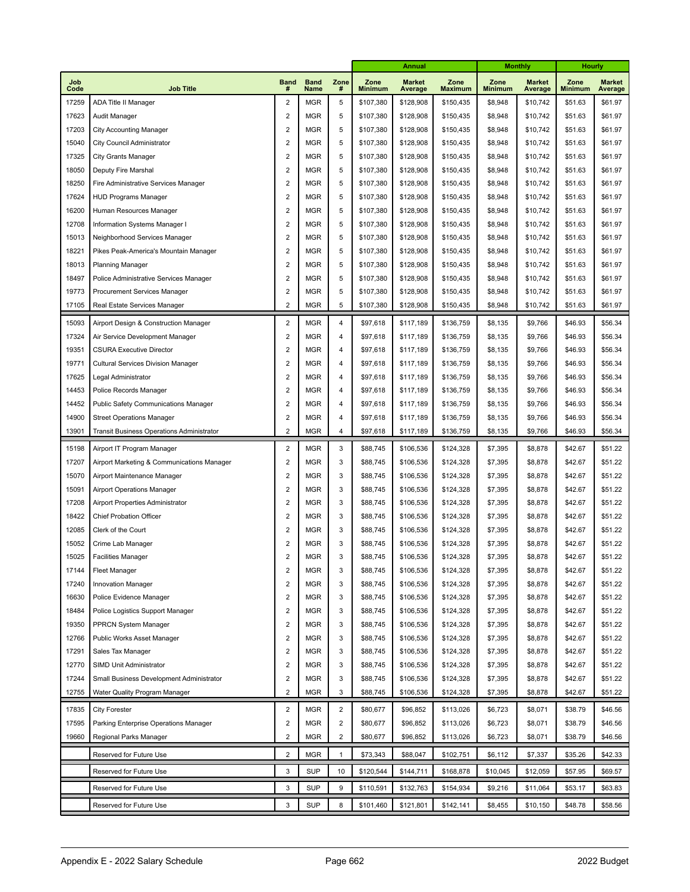|             |                                             |                  |                     |                | <b>Annual</b>          |                          | <b>Monthly</b>         |                        | Hourly                   |                        |                          |
|-------------|---------------------------------------------|------------------|---------------------|----------------|------------------------|--------------------------|------------------------|------------------------|--------------------------|------------------------|--------------------------|
| Job<br>Code | <b>Job Title</b>                            | <b>Band</b><br># | <b>Band</b><br>Name | Zone<br>#      | Zone<br><b>Minimum</b> | <b>Market</b><br>Average | Zone<br><b>Maximum</b> | Zone<br><b>Minimum</b> | <b>Market</b><br>Average | Zone<br><b>Minimum</b> | <b>Market</b><br>Average |
| 17259       | ADA Title II Manager                        | $\overline{2}$   | <b>MGR</b>          | 5              | \$107,380              | \$128,908                | \$150,435              | \$8,948                | \$10,742                 | \$51.63                | \$61.97                  |
| 17623       | Audit Manager                               | $\overline{2}$   | <b>MGR</b>          | 5              | \$107,380              | \$128,908                | \$150,435              | \$8,948                | \$10,742                 | \$51.63                | \$61.97                  |
| 17203       | <b>City Accounting Manager</b>              | $\overline{2}$   | <b>MGR</b>          | 5              | \$107,380              | \$128,908                | \$150,435              | \$8,948                | \$10,742                 | \$51.63                | \$61.97                  |
| 15040       | City Council Administrator                  | $\overline{2}$   | <b>MGR</b>          | 5              | \$107,380              | \$128,908                | \$150,435              | \$8,948                | \$10,742                 | \$51.63                | \$61.97                  |
| 17325       | <b>City Grants Manager</b>                  | $\overline{2}$   | <b>MGR</b>          | 5              | \$107,380              | \$128,908                | \$150,435              | \$8,948                | \$10,742                 | \$51.63                | \$61.97                  |
| 18050       | Deputy Fire Marshal                         | $\overline{2}$   | <b>MGR</b>          | 5              | \$107,380              | \$128,908                | \$150,435              | \$8,948                | \$10,742                 | \$51.63                | \$61.97                  |
| 18250       | Fire Administrative Services Manager        | $\overline{2}$   | <b>MGR</b>          | 5              | \$107,380              | \$128,908                | \$150,435              | \$8,948                | \$10,742                 | \$51.63                | \$61.97                  |
| 17624       | <b>HUD Programs Manager</b>                 | $\overline{2}$   | <b>MGR</b>          | 5              | \$107,380              | \$128,908                | \$150,435              | \$8,948                | \$10,742                 | \$51.63                | \$61.97                  |
| 16200       | Human Resources Manager                     | $\overline{2}$   | <b>MGR</b>          | 5              | \$107,380              | \$128,908                | \$150,435              | \$8,948                | \$10,742                 | \$51.63                | \$61.97                  |
| 12708       | Information Systems Manager I               | $\overline{2}$   | <b>MGR</b>          | 5              | \$107,380              | \$128,908                | \$150,435              | \$8,948                | \$10,742                 | \$51.63                | \$61.97                  |
| 15013       | Neighborhood Services Manager               | $\overline{2}$   | <b>MGR</b>          | 5              | \$107,380              | \$128,908                | \$150,435              | \$8,948                | \$10,742                 | \$51.63                | \$61.97                  |
| 18221       | Pikes Peak-America's Mountain Manager       | $\overline{2}$   | <b>MGR</b>          | 5              | \$107,380              | \$128,908                | \$150,435              | \$8,948                | \$10,742                 | \$51.63                | \$61.97                  |
| 18013       | <b>Planning Manager</b>                     | $\overline{2}$   | <b>MGR</b>          | 5              | \$107,380              | \$128,908                | \$150,435              | \$8,948                | \$10,742                 | \$51.63                | \$61.97                  |
| 18497       | Police Administrative Services Manager      | $\overline{2}$   | <b>MGR</b>          | 5              | \$107,380              | \$128,908                | \$150,435              | \$8,948                | \$10,742                 | \$51.63                | \$61.97                  |
| 19773       | Procurement Services Manager                | $\overline{2}$   | <b>MGR</b>          | 5              | \$107,380              | \$128,908                | \$150,435              | \$8,948                | \$10,742                 | \$51.63                | \$61.97                  |
| 17105       | Real Estate Services Manager                | $\overline{c}$   | <b>MGR</b>          | 5              | \$107,380              | \$128,908                | \$150,435              | \$8,948                | \$10,742                 | \$51.63                | \$61.97                  |
| 15093       | Airport Design & Construction Manager       | $\sqrt{2}$       | <b>MGR</b>          | $\overline{4}$ | \$97,618               | \$117,189                | \$136,759              | \$8,135                | \$9,766                  | \$46.93                | \$56.34                  |
| 17324       | Air Service Development Manager             | $\overline{2}$   | <b>MGR</b>          | $\overline{4}$ | \$97,618               | \$117,189                | \$136,759              | \$8,135                | \$9,766                  | \$46.93                | \$56.34                  |
| 19351       | <b>CSURA Executive Director</b>             | $\sqrt{2}$       | <b>MGR</b>          | 4              | \$97,618               | \$117,189                | \$136,759              | \$8,135                | \$9,766                  | \$46.93                | \$56.34                  |
| 19771       | <b>Cultural Services Division Manager</b>   | $\overline{2}$   | <b>MGR</b>          | $\overline{4}$ | \$97,618               | \$117,189                | \$136,759              | \$8,135                | \$9,766                  | \$46.93                | \$56.34                  |
| 17625       | Legal Administrator                         | $\overline{2}$   | <b>MGR</b>          | 4              | \$97,618               | \$117,189                | \$136,759              | \$8,135                | \$9,766                  | \$46.93                | \$56.34                  |
| 14453       | Police Records Manager                      | $\overline{2}$   | <b>MGR</b>          | 4              | \$97,618               | \$117,189                | \$136,759              | \$8,135                | \$9,766                  | \$46.93                | \$56.34                  |
| 14452       | <b>Public Safety Communications Manager</b> | $\overline{2}$   | <b>MGR</b>          | 4              | \$97,618               | \$117,189                | \$136,759              | \$8,135                | \$9,766                  | \$46.93                | \$56.34                  |
| 14900       | <b>Street Operations Manager</b>            | $\overline{2}$   | <b>MGR</b>          | 4              | \$97,618               | \$117,189                | \$136,759              | \$8,135                | \$9,766                  | \$46.93                | \$56.34                  |
| 13901       | Transit Business Operations Administrator   | $\overline{2}$   | <b>MGR</b>          | $\overline{4}$ | \$97,618               | \$117,189                | \$136,759              | \$8,135                | \$9,766                  | \$46.93                | \$56.34                  |
| 15198       | Airport IT Program Manager                  | $\overline{2}$   | <b>MGR</b>          | 3              | \$88,745               | \$106,536                | \$124,328              | \$7,395                | \$8,878                  | \$42.67                | \$51.22                  |
| 17207       | Airport Marketing & Communications Manager  | $\overline{2}$   | <b>MGR</b>          | 3              | \$88,745               | \$106,536                | \$124,328              | \$7,395                | \$8,878                  | \$42.67                | \$51.22                  |
| 15070       | Airport Maintenance Manager                 | $\overline{c}$   | <b>MGR</b>          | 3              | \$88,745               | \$106,536                | \$124,328              | \$7,395                | \$8,878                  | \$42.67                | \$51.22                  |
| 15091       | Airport Operations Manager                  | $\overline{2}$   | <b>MGR</b>          | 3              | \$88,745               | \$106,536                | \$124,328              | \$7,395                | \$8,878                  | \$42.67                | \$51.22                  |
| 17208       | Airport Properties Administrator            | $\overline{c}$   | <b>MGR</b>          | 3              | \$88,745               | \$106,536                | \$124,328              | \$7,395                | \$8,878                  | \$42.67                | \$51.22                  |
| 18422       | <b>Chief Probation Officer</b>              | $\overline{2}$   | <b>MGR</b>          | 3              | \$88,745               | \$106,536                | \$124,328              | \$7,395                | \$8,878                  | \$42.67                | \$51.22                  |
| 12085       | Clerk of the Court                          | $\overline{c}$   | <b>MGR</b>          | 3              | \$88,745               | \$106,536                | \$124,328              | \$7,395                | \$8,878                  | \$42.67                | \$51.22                  |
| 15052       | Crime Lab Manager                           | $\overline{c}$   | <b>MGR</b>          | 3              | \$88,745               | \$106,536                | \$124,328              | \$7,395                | \$8,878                  | \$42.67                | \$51.22                  |
| 15025       | <b>Facilities Manager</b>                   | $\overline{c}$   | <b>MGR</b>          | 3              | \$88,745               | \$106,536                | \$124,328              | \$7,395                | \$8,878                  | \$42.67                | \$51.22                  |
| 17144       | <b>Fleet Manager</b>                        | 2                | <b>MGR</b>          | 3              | \$88,745               | \$106,536                | \$124,328              | \$7,395                | \$8,878                  | \$42.67                | \$51.22                  |
| 17240       | <b>Innovation Manager</b>                   | $\sqrt{2}$       | <b>MGR</b>          | 3              | \$88,745               | \$106,536                | \$124,328              | \$7,395                | \$8,878                  | \$42.67                | \$51.22                  |
| 16630       | Police Evidence Manager                     | $\overline{c}$   | <b>MGR</b>          | 3              | \$88,745               | \$106,536                | \$124,328              | \$7,395                | \$8,878                  | \$42.67                | \$51.22                  |
| 18484       | Police Logistics Support Manager            | $\overline{c}$   | <b>MGR</b>          | 3              | \$88,745               | \$106,536                | \$124,328              | \$7,395                | \$8,878                  | \$42.67                | \$51.22                  |
| 19350       | PPRCN System Manager                        | $\overline{c}$   | <b>MGR</b>          | 3              | \$88,745               | \$106,536                | \$124,328              | \$7,395                | \$8,878                  | \$42.67                | \$51.22                  |
| 12766       | Public Works Asset Manager                  | $\overline{c}$   | <b>MGR</b>          | 3              | \$88,745               | \$106,536                | \$124,328              | \$7,395                | \$8,878                  | \$42.67                | \$51.22                  |
| 17291       | Sales Tax Manager                           | $\overline{c}$   | <b>MGR</b>          | 3              | \$88,745               | \$106,536                | \$124,328              | \$7,395                | \$8,878                  | \$42.67                | \$51.22                  |
| 12770       | SIMD Unit Administrator                     | $\overline{c}$   | <b>MGR</b>          | 3              | \$88,745               | \$106,536                | \$124,328              | \$7,395                | \$8,878                  | \$42.67                | \$51.22                  |
| 17244       | Small Business Development Administrator    | $\sqrt{2}$       | <b>MGR</b>          | 3              | \$88,745               | \$106,536                | \$124,328              | \$7,395                | \$8,878                  | \$42.67                | \$51.22                  |
| 12755       | Water Quality Program Manager               | $\overline{2}$   | <b>MGR</b>          | 3              | \$88,745               | \$106,536                | \$124,328              | \$7,395                | \$8,878                  | \$42.67                | \$51.22                  |
| 17835       | <b>City Forester</b>                        | $\overline{2}$   | <b>MGR</b>          | $\overline{2}$ | \$80,677               | \$96,852                 | \$113,026              | \$6,723                | \$8,071                  | \$38.79                | \$46.56                  |
| 17595       | Parking Enterprise Operations Manager       | $\sqrt{2}$       | <b>MGR</b>          | $\sqrt{2}$     | \$80,677               | \$96,852                 | \$113,026              | \$6,723                | \$8,071                  | \$38.79                | \$46.56                  |
| 19660       | Regional Parks Manager                      | $\overline{c}$   | <b>MGR</b>          | 2              | \$80,677               | \$96,852                 | \$113,026              | \$6,723                | \$8,071                  | \$38.79                | \$46.56                  |
|             | Reserved for Future Use                     | $\overline{2}$   | <b>MGR</b>          | 1              | \$73,343               | \$88,047                 | \$102,751              | \$6,112                | \$7,337                  | \$35.26                | \$42.33                  |
|             | Reserved for Future Use                     | 3                | <b>SUP</b>          | 10             | \$120,544              | \$144,711                | \$168,878              | \$10,045               | \$12,059                 | \$57.95                | \$69.57                  |
|             | Reserved for Future Use                     | 3                | <b>SUP</b>          | 9              | \$110,591              | \$132,763                | \$154,934              | \$9,216                | \$11,064                 | \$53.17                | \$63.83                  |
|             | Reserved for Future Use                     | 3                | <b>SUP</b>          | 8              | \$101,460              | \$121,801                | \$142,141              | \$8,455                | \$10,150                 | \$48.78                | \$58.56                  |
|             |                                             |                  |                     |                |                        |                          |                        |                        |                          |                        |                          |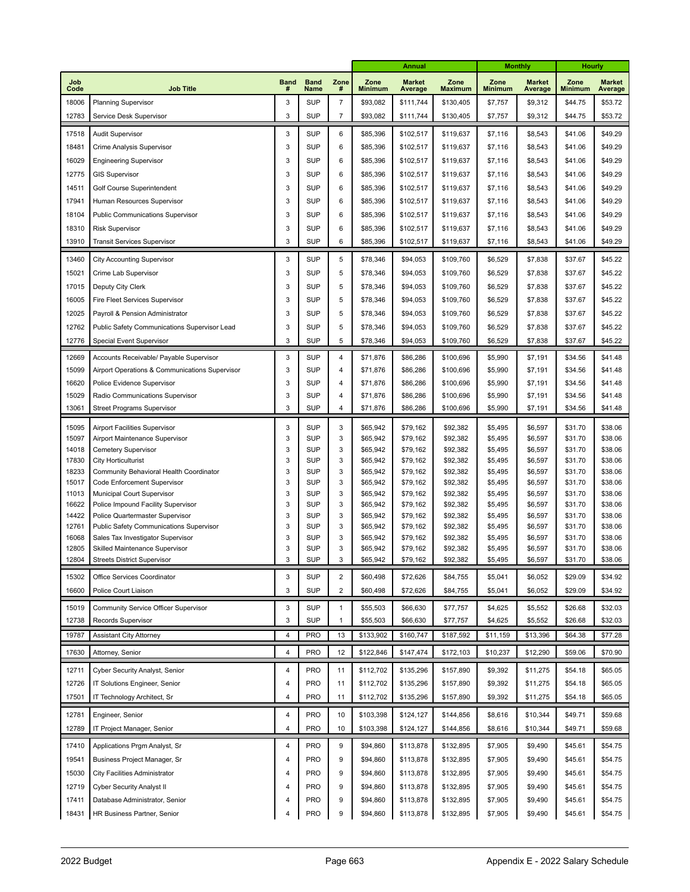| Job<br><b>Band</b><br><b>Band</b><br>Zone<br>Zone<br><b>Market</b><br>Zone<br>Zone<br><b>Market</b><br>Zone<br><b>Market</b><br>Code<br><b>Job Title</b><br><b>Minimum</b><br>#<br>Name<br>#<br><b>Minimum</b><br>Average<br><b>Maximum</b><br><b>Minimum</b><br>Average<br>Average<br>18006<br>Planning Supervisor<br>3<br><b>SUP</b><br>$\overline{7}$<br>\$93,082<br>\$111,744<br>\$130,405<br>\$7,757<br>\$9,312<br>\$44.75<br>\$53.72<br>3<br><b>SUP</b><br>12783<br>$\overline{7}$<br>\$93,082<br>\$130,405<br>\$9,312<br>\$44.75<br>\$53.72<br>Service Desk Supervisor<br>\$111,744<br>\$7,757<br>3<br><b>SUP</b><br>6<br>\$49.29<br>17518<br>\$85,396<br>\$102,517<br>\$119,637<br>\$7,116<br>\$8,543<br>\$41.06<br><b>Audit Supervisor</b><br>3<br><b>SUP</b><br>6<br>18481<br>\$85,396<br>\$102,517<br>\$8,543<br>\$41.06<br>\$49.29<br>\$119,637<br>\$7,116<br>Crime Analysis Supervisor<br>3<br><b>SUP</b><br>16029<br>6<br>\$85,396<br>\$102,517<br>\$8,543<br>\$49.29<br><b>Engineering Supervisor</b><br>\$119,637<br>\$7,116<br>\$41.06<br>3<br><b>SUP</b><br>12775<br>6<br>\$85,396<br>\$102,517<br>\$8,543<br>\$49.29<br><b>GIS Supervisor</b><br>\$119,637<br>\$7,116<br>\$41.06<br>3<br><b>SUP</b><br>6<br>\$85,396<br>\$102,517<br>\$49.29<br>14511<br>Golf Course Superintendent<br>\$119,637<br>\$7,116<br>\$8,543<br>\$41.06<br>3<br><b>SUP</b><br>17941<br>6<br>\$85,396<br>\$102,517<br>\$8,543<br>\$49.29<br>Human Resources Supervisor<br>\$119,637<br>\$7,116<br>\$41.06<br><b>SUP</b><br>18104<br>3<br>6<br>\$85,396<br>\$102,517<br>\$8,543<br>\$49.29<br><b>Public Communications Supervisor</b><br>\$119,637<br>\$7,116<br>\$41.06<br>3<br><b>SUP</b><br>18310<br>6<br>\$85,396<br>\$102,517<br>\$49.29<br><b>Risk Supervisor</b><br>\$119,637<br>\$7,116<br>\$8,543<br>\$41.06<br>3<br><b>SUP</b><br>6<br>13910<br>\$85,396<br>\$49.29<br>\$102,517<br>\$119,637<br>\$7,116<br>\$8,543<br>\$41.06<br><b>Transit Services Supervisor</b><br>3<br><b>SUP</b><br>\$109,760<br>\$45.22<br>13460<br>5<br>\$78,346<br>\$94,053<br>\$6,529<br>\$7,838<br>\$37.67<br><b>City Accounting Supervisor</b><br>3<br><b>SUP</b><br>15021<br>5<br>\$78,346<br>\$94,053<br>\$109,760<br>\$6,529<br>\$7,838<br>\$37.67<br>\$45.22<br>Crime Lab Supervisor<br>17015<br>3<br><b>SUP</b><br>5<br>\$78,346<br>\$94,053<br>\$109,760<br>\$6,529<br>\$7,838<br>\$37.67<br>\$45.22<br>Deputy City Clerk<br>16005<br>3<br><b>SUP</b><br>5<br>\$78,346<br>\$94,053<br>\$109,760<br>\$6,529<br>\$7,838<br>\$37.67<br>\$45.22<br>Fire Fleet Services Supervisor<br>12025<br>3<br><b>SUP</b><br>5<br>\$78,346<br>\$94,053<br>\$109,760<br>\$6,529<br>\$7,838<br>\$37.67<br>\$45.22<br>Payroll & Pension Administrator<br>12762<br>3<br><b>SUP</b><br>5<br>\$78,346<br>\$94,053<br>\$109,760<br>\$6,529<br>\$7,838<br>\$37.67<br>\$45.22<br>Public Safety Communications Supervisor Lead<br>12776<br>3<br><b>SUP</b><br>5<br>\$78,346<br>\$94,053<br>\$6,529<br>\$7,838<br>\$37.67<br>\$45.22<br>Special Event Supervisor<br>\$109,760<br>\$41.48<br>12669<br>3<br><b>SUP</b><br>4<br>\$71,876<br>\$86,286<br>\$100,696<br>\$5,990<br>\$7,191<br>\$34.56<br>Accounts Receivable/ Payable Supervisor<br>3<br><b>SUP</b><br>15099<br>4<br>\$71,876<br>\$86,286<br>\$100,696<br>\$7,191<br>\$41.48<br>Airport Operations & Communications Supervisor<br>\$5,990<br>\$34.56<br>16620<br>3<br><b>SUP</b><br>\$71,876<br>\$86,286<br>\$100,696<br>\$5,990<br>\$7,191<br>\$34.56<br>\$41.48<br>Police Evidence Supervisor<br>4<br>15029<br>3<br><b>SUP</b><br>\$86,286<br>\$100,696<br>\$5,990<br>\$7,191<br>\$41.48<br>Radio Communications Supervisor<br>4<br>\$71,876<br>\$34.56<br>13061<br>3<br><b>SUP</b><br>4<br>\$71,876<br>\$86,286<br>\$100,696<br>\$5,990<br>\$34.56<br><b>Street Programs Supervisor</b><br>\$7,191<br>\$41.48<br>3<br><b>SUP</b><br>3<br>15095<br>\$65,942<br>\$79,162<br>\$92,382<br>\$5,495<br>\$6,597<br>\$31.70<br>\$38.06<br>Airport Facilities Supervisor<br>3<br><b>SUP</b><br>3<br>15097<br>\$65,942<br>\$79,162<br>\$92,382<br>\$5,495<br>\$6,597<br>\$31.70<br>\$38.06<br>Airport Maintenance Supervisor<br>3<br><b>SUP</b><br>3<br>\$65,942<br>\$38.06<br>14018<br>\$79,162<br>\$92,382<br>\$5,495<br>\$6,597<br>Cemetery Supervisor<br>\$31.70<br>3<br>3<br>17830<br><b>SUP</b><br>\$65,942<br>\$79,162<br>\$92,382<br>\$6,597<br>\$31.70<br>\$38.06<br><b>City Horticulturist</b><br>\$5,495<br>18233<br>3<br><b>SUP</b><br>3<br>\$65,942<br>\$79,162<br>\$92,382<br>\$5,495<br>\$6,597<br>\$31.70<br>\$38.06<br>Community Behavioral Health Coordinator<br>3<br>3<br>15017<br><b>SUP</b><br>\$65,942<br>\$79,162<br>\$92,382<br>\$5,495<br>\$6,597<br>\$31.70<br>\$38.06<br>Code Enforcement Supervisor<br>3<br><b>SUP</b><br>3<br>11013<br>\$65,942<br>\$79,162<br>\$92,382<br>\$6,597<br>\$38.06<br>Municipal Court Supervisor<br>\$5,495<br>\$31.70<br>3<br>3<br>16622<br><b>SUP</b><br>\$65,942<br>\$79,162<br>\$92,382<br>\$6,597<br>\$31.70<br>\$38.06<br>Police Impound Facility Supervisor<br>\$5,495<br>3<br><b>SUP</b><br>3<br>14422<br>\$65,942<br>\$79,162<br>\$92,382<br>\$6,597<br>\$38.06<br>Police Quartermaster Supervisor<br>\$5,495<br>\$31.70<br>3<br>12761<br>3<br><b>SUP</b><br>\$65,942<br>\$79,162<br>\$92,382<br>\$5,495<br>\$6,597<br>\$31.70<br>\$38.06<br>Public Safety Communications Supervisor<br>3<br>3<br>16068<br><b>SUP</b><br>\$65,942<br>\$79,162<br>\$92,382<br>\$5,495<br>\$38.06<br>Sales Tax Investigator Supervisor<br>\$6,597<br>\$31.70<br>12805<br>3<br><b>SUP</b><br>3<br>\$65,942<br>\$31.70<br>\$38.06<br>Skilled Maintenance Supervisor<br>\$79,162<br>\$92,382<br>\$5,495<br>\$6,597<br>3<br><b>SUP</b><br>3<br>12804<br>\$65,942<br>\$79,162<br>\$92,382<br>\$5,495<br>\$6,597<br>\$31.70<br>\$38.06<br><b>Streets District Supervisor</b><br><b>SUP</b><br>\$60,498<br>\$72,626<br>\$6,052<br>\$34.92<br>15302<br>3<br>$\overline{c}$<br>\$84,755<br>\$5,041<br>\$29.09<br>Office Services Coordinator<br>16600<br>3<br><b>SUP</b><br>2<br>\$60,498<br>\$72,626<br>\$84,755<br>\$5,041<br>\$6,052<br>\$29.09<br>\$34.92<br>Police Court Liaison<br>\$32.03<br>15019<br>Community Service Officer Supervisor<br>3<br><b>SUP</b><br>\$55,503<br>\$66,630<br>\$77,757<br>\$4,625<br>\$5,552<br>\$26.68<br>$\mathbf{1}$<br>3<br><b>SUP</b><br>12738<br>\$55,503<br>\$66,630<br>\$5,552<br>\$26.68<br>\$32.03<br>Records Supervisor<br>1<br>\$77,757<br>\$4,625<br>19787<br>4<br>PRO<br>13<br>\$133,902<br>\$160,747<br>\$187,592<br>\$11,159<br>\$64.38<br>\$77.28<br><b>Assistant City Attorney</b><br>\$13,396<br><b>PRO</b><br>12<br>\$122,846<br>17630<br>4<br>\$147,474<br>\$172,103<br>\$10,237<br>\$12,290<br>\$59.06<br>\$70.90<br>Attorney, Senior<br>12711<br>Cyber Security Analyst, Senior<br>4<br>PRO<br>11<br>\$112,702<br>\$135,296<br>\$157,890<br>\$9,392<br>\$11,275<br>\$54.18<br>\$65.05<br>12726<br>PRO<br>11<br>\$112,702<br>\$135,296<br>\$157,890<br>\$9,392<br>\$11,275<br>\$54.18<br>\$65.05<br>IT Solutions Engineer, Senior<br>4<br>17501<br>4<br>PRO<br>\$112,702<br>\$135,296<br>\$9,392<br>\$11,275<br>\$54.18<br>\$65.05<br>IT Technology Architect, Sr<br>11<br>\$157,890<br><b>PRO</b><br>\$103,398<br>\$59.68<br>12781<br>Engineer, Senior<br>4<br>10<br>\$124,127<br>\$144,856<br>\$8,616<br>\$10,344<br>\$49.71<br><b>PRO</b><br>12789<br>$\overline{4}$<br>10<br>\$103,398<br>\$10,344<br>\$49.71<br>\$59.68<br>IT Project Manager, Senior<br>\$124,127<br>\$144,856<br>\$8,616<br>\$54.75<br>17410<br>Applications Prgm Analyst, Sr<br>4<br><b>PRO</b><br>9<br>\$94,860<br>\$113,878<br>\$132,895<br>\$7,905<br>\$9,490<br>\$45.61<br>\$54.75<br>19541<br>4<br><b>PRO</b><br>9<br>\$94,860<br>\$113,878<br>\$132,895<br>\$7,905<br>\$9,490<br>\$45.61<br>Business Project Manager, Sr<br>\$54.75<br>15030<br><b>PRO</b><br>9<br>\$94,860<br>\$113,878<br>\$132,895<br>\$7,905<br>\$9,490<br>\$45.61<br>City Facilities Administrator<br>4<br>\$54.75<br>12719<br>Cyber Security Analyst II<br><b>PRO</b><br>9<br>\$94,860<br>\$113,878<br>\$132,895<br>\$7,905<br>\$9,490<br>\$45.61<br>4<br>\$54.75<br>17411<br>Database Administrator, Senior<br>PRO<br>9<br>\$94,860<br>\$113,878<br>\$132,895<br>\$7,905<br>\$9,490<br>\$45.61<br>4<br>PRO<br>\$94,860<br>18431<br>HR Business Partner, Senior<br>9<br>\$113,878<br>\$132,895<br>\$7,905<br>\$9,490<br>\$45.61<br>\$54.75<br>4 |  |  | Annual |  |  | <b>Monthly</b> |  | Hourly |  |
|-------------------------------------------------------------------------------------------------------------------------------------------------------------------------------------------------------------------------------------------------------------------------------------------------------------------------------------------------------------------------------------------------------------------------------------------------------------------------------------------------------------------------------------------------------------------------------------------------------------------------------------------------------------------------------------------------------------------------------------------------------------------------------------------------------------------------------------------------------------------------------------------------------------------------------------------------------------------------------------------------------------------------------------------------------------------------------------------------------------------------------------------------------------------------------------------------------------------------------------------------------------------------------------------------------------------------------------------------------------------------------------------------------------------------------------------------------------------------------------------------------------------------------------------------------------------------------------------------------------------------------------------------------------------------------------------------------------------------------------------------------------------------------------------------------------------------------------------------------------------------------------------------------------------------------------------------------------------------------------------------------------------------------------------------------------------------------------------------------------------------------------------------------------------------------------------------------------------------------------------------------------------------------------------------------------------------------------------------------------------------------------------------------------------------------------------------------------------------------------------------------------------------------------------------------------------------------------------------------------------------------------------------------------------------------------------------------------------------------------------------------------------------------------------------------------------------------------------------------------------------------------------------------------------------------------------------------------------------------------------------------------------------------------------------------------------------------------------------------------------------------------------------------------------------------------------------------------------------------------------------------------------------------------------------------------------------------------------------------------------------------------------------------------------------------------------------------------------------------------------------------------------------------------------------------------------------------------------------------------------------------------------------------------------------------------------------------------------------------------------------------------------------------------------------------------------------------------------------------------------------------------------------------------------------------------------------------------------------------------------------------------------------------------------------------------------------------------------------------------------------------------------------------------------------------------------------------------------------------------------------------------------------------------------------------------------------------------------------------------------------------------------------------------------------------------------------------------------------------------------------------------------------------------------------------------------------------------------------------------------------------------------------------------------------------------------------------------------------------------------------------------------------------------------------------------------------------------------------------------------------------------------------------------------------------------------------------------------------------------------------------------------------------------------------------------------------------------------------------------------------------------------------------------------------------------------------------------------------------------------------------------------------------------------------------------------------------------------------------------------------------------------------------------------------------------------------------------------------------------------------------------------------------------------------------------------------------------------------------------------------------------------------------------------------------------------------------------------------------------------------------------------------------------------------------------------------------------------------------------------------------------------------------------------------------------------------------------------------------------------------------------------------------------------------------------------------------------------------------------------------------------------------------------------------------------------------------------------------------------------------------------------------------------------------------------------------------------------------------------------------------------------------------------------------------------------------------------------------------------------------------------------------------------------------------------------------------------------------------------------------------------------------------------------------------------------------------------------------------------------------------------------------------------------------------------------------------------------------------------------------------------------------------------------------------------------------------------------------------------------------------------------------------------------------------------------------------------------------------------------------------------------------------------------------------------------------------------------------------------------------------------------------------------------------------------------------------------------------------------------------------------------------------------------------------------------------------------------------------------------------------------------------------------------------------------------------------------------------------------------------------------------------------------------------------------------------------------------------------------------------------------------------------------------------------------------------------------------------------------------------------------------------------------------------------------------------------------------------------------------------------------------------------------------------------------------------------------------------------------------------------------------------------------------------------------------------------------------------------------------------------------------------------------------------------------------------------------------------------------------------------------------------------------------|--|--|--------|--|--|----------------|--|--------|--|
|                                                                                                                                                                                                                                                                                                                                                                                                                                                                                                                                                                                                                                                                                                                                                                                                                                                                                                                                                                                                                                                                                                                                                                                                                                                                                                                                                                                                                                                                                                                                                                                                                                                                                                                                                                                                                                                                                                                                                                                                                                                                                                                                                                                                                                                                                                                                                                                                                                                                                                                                                                                                                                                                                                                                                                                                                                                                                                                                                                                                                                                                                                                                                                                                                                                                                                                                                                                                                                                                                                                                                                                                                                                                                                                                                                                                                                                                                                                                                                                                                                                                                                                                                                                                                                                                                                                                                                                                                                                                                                                                                                                                                                                                                                                                                                                                                                                                                                                                                                                                                                                                                                                                                                                                                                                                                                                                                                                                                                                                                                                                                                                                                                                                                                                                                                                                                                                                                                                                                                                                                                                                                                                                                                                                                                                                                                                                                                                                                                                                                                                                                                                                                                                                                                                                                                                                                                                                                                                                                                                                                                                                                                                                                                                                                                                                                                                                                                                                                                                                                                                                                                                                                                                                                                                                                                                                                                                                                                                                                                                                                                                                                                                                                                                                                                                                                                                                                                                                                   |  |  |        |  |  |                |  |        |  |
|                                                                                                                                                                                                                                                                                                                                                                                                                                                                                                                                                                                                                                                                                                                                                                                                                                                                                                                                                                                                                                                                                                                                                                                                                                                                                                                                                                                                                                                                                                                                                                                                                                                                                                                                                                                                                                                                                                                                                                                                                                                                                                                                                                                                                                                                                                                                                                                                                                                                                                                                                                                                                                                                                                                                                                                                                                                                                                                                                                                                                                                                                                                                                                                                                                                                                                                                                                                                                                                                                                                                                                                                                                                                                                                                                                                                                                                                                                                                                                                                                                                                                                                                                                                                                                                                                                                                                                                                                                                                                                                                                                                                                                                                                                                                                                                                                                                                                                                                                                                                                                                                                                                                                                                                                                                                                                                                                                                                                                                                                                                                                                                                                                                                                                                                                                                                                                                                                                                                                                                                                                                                                                                                                                                                                                                                                                                                                                                                                                                                                                                                                                                                                                                                                                                                                                                                                                                                                                                                                                                                                                                                                                                                                                                                                                                                                                                                                                                                                                                                                                                                                                                                                                                                                                                                                                                                                                                                                                                                                                                                                                                                                                                                                                                                                                                                                                                                                                                                                   |  |  |        |  |  |                |  |        |  |
|                                                                                                                                                                                                                                                                                                                                                                                                                                                                                                                                                                                                                                                                                                                                                                                                                                                                                                                                                                                                                                                                                                                                                                                                                                                                                                                                                                                                                                                                                                                                                                                                                                                                                                                                                                                                                                                                                                                                                                                                                                                                                                                                                                                                                                                                                                                                                                                                                                                                                                                                                                                                                                                                                                                                                                                                                                                                                                                                                                                                                                                                                                                                                                                                                                                                                                                                                                                                                                                                                                                                                                                                                                                                                                                                                                                                                                                                                                                                                                                                                                                                                                                                                                                                                                                                                                                                                                                                                                                                                                                                                                                                                                                                                                                                                                                                                                                                                                                                                                                                                                                                                                                                                                                                                                                                                                                                                                                                                                                                                                                                                                                                                                                                                                                                                                                                                                                                                                                                                                                                                                                                                                                                                                                                                                                                                                                                                                                                                                                                                                                                                                                                                                                                                                                                                                                                                                                                                                                                                                                                                                                                                                                                                                                                                                                                                                                                                                                                                                                                                                                                                                                                                                                                                                                                                                                                                                                                                                                                                                                                                                                                                                                                                                                                                                                                                                                                                                                                                   |  |  |        |  |  |                |  |        |  |
|                                                                                                                                                                                                                                                                                                                                                                                                                                                                                                                                                                                                                                                                                                                                                                                                                                                                                                                                                                                                                                                                                                                                                                                                                                                                                                                                                                                                                                                                                                                                                                                                                                                                                                                                                                                                                                                                                                                                                                                                                                                                                                                                                                                                                                                                                                                                                                                                                                                                                                                                                                                                                                                                                                                                                                                                                                                                                                                                                                                                                                                                                                                                                                                                                                                                                                                                                                                                                                                                                                                                                                                                                                                                                                                                                                                                                                                                                                                                                                                                                                                                                                                                                                                                                                                                                                                                                                                                                                                                                                                                                                                                                                                                                                                                                                                                                                                                                                                                                                                                                                                                                                                                                                                                                                                                                                                                                                                                                                                                                                                                                                                                                                                                                                                                                                                                                                                                                                                                                                                                                                                                                                                                                                                                                                                                                                                                                                                                                                                                                                                                                                                                                                                                                                                                                                                                                                                                                                                                                                                                                                                                                                                                                                                                                                                                                                                                                                                                                                                                                                                                                                                                                                                                                                                                                                                                                                                                                                                                                                                                                                                                                                                                                                                                                                                                                                                                                                                                                   |  |  |        |  |  |                |  |        |  |
|                                                                                                                                                                                                                                                                                                                                                                                                                                                                                                                                                                                                                                                                                                                                                                                                                                                                                                                                                                                                                                                                                                                                                                                                                                                                                                                                                                                                                                                                                                                                                                                                                                                                                                                                                                                                                                                                                                                                                                                                                                                                                                                                                                                                                                                                                                                                                                                                                                                                                                                                                                                                                                                                                                                                                                                                                                                                                                                                                                                                                                                                                                                                                                                                                                                                                                                                                                                                                                                                                                                                                                                                                                                                                                                                                                                                                                                                                                                                                                                                                                                                                                                                                                                                                                                                                                                                                                                                                                                                                                                                                                                                                                                                                                                                                                                                                                                                                                                                                                                                                                                                                                                                                                                                                                                                                                                                                                                                                                                                                                                                                                                                                                                                                                                                                                                                                                                                                                                                                                                                                                                                                                                                                                                                                                                                                                                                                                                                                                                                                                                                                                                                                                                                                                                                                                                                                                                                                                                                                                                                                                                                                                                                                                                                                                                                                                                                                                                                                                                                                                                                                                                                                                                                                                                                                                                                                                                                                                                                                                                                                                                                                                                                                                                                                                                                                                                                                                                                                   |  |  |        |  |  |                |  |        |  |
|                                                                                                                                                                                                                                                                                                                                                                                                                                                                                                                                                                                                                                                                                                                                                                                                                                                                                                                                                                                                                                                                                                                                                                                                                                                                                                                                                                                                                                                                                                                                                                                                                                                                                                                                                                                                                                                                                                                                                                                                                                                                                                                                                                                                                                                                                                                                                                                                                                                                                                                                                                                                                                                                                                                                                                                                                                                                                                                                                                                                                                                                                                                                                                                                                                                                                                                                                                                                                                                                                                                                                                                                                                                                                                                                                                                                                                                                                                                                                                                                                                                                                                                                                                                                                                                                                                                                                                                                                                                                                                                                                                                                                                                                                                                                                                                                                                                                                                                                                                                                                                                                                                                                                                                                                                                                                                                                                                                                                                                                                                                                                                                                                                                                                                                                                                                                                                                                                                                                                                                                                                                                                                                                                                                                                                                                                                                                                                                                                                                                                                                                                                                                                                                                                                                                                                                                                                                                                                                                                                                                                                                                                                                                                                                                                                                                                                                                                                                                                                                                                                                                                                                                                                                                                                                                                                                                                                                                                                                                                                                                                                                                                                                                                                                                                                                                                                                                                                                                                   |  |  |        |  |  |                |  |        |  |
|                                                                                                                                                                                                                                                                                                                                                                                                                                                                                                                                                                                                                                                                                                                                                                                                                                                                                                                                                                                                                                                                                                                                                                                                                                                                                                                                                                                                                                                                                                                                                                                                                                                                                                                                                                                                                                                                                                                                                                                                                                                                                                                                                                                                                                                                                                                                                                                                                                                                                                                                                                                                                                                                                                                                                                                                                                                                                                                                                                                                                                                                                                                                                                                                                                                                                                                                                                                                                                                                                                                                                                                                                                                                                                                                                                                                                                                                                                                                                                                                                                                                                                                                                                                                                                                                                                                                                                                                                                                                                                                                                                                                                                                                                                                                                                                                                                                                                                                                                                                                                                                                                                                                                                                                                                                                                                                                                                                                                                                                                                                                                                                                                                                                                                                                                                                                                                                                                                                                                                                                                                                                                                                                                                                                                                                                                                                                                                                                                                                                                                                                                                                                                                                                                                                                                                                                                                                                                                                                                                                                                                                                                                                                                                                                                                                                                                                                                                                                                                                                                                                                                                                                                                                                                                                                                                                                                                                                                                                                                                                                                                                                                                                                                                                                                                                                                                                                                                                                                   |  |  |        |  |  |                |  |        |  |
|                                                                                                                                                                                                                                                                                                                                                                                                                                                                                                                                                                                                                                                                                                                                                                                                                                                                                                                                                                                                                                                                                                                                                                                                                                                                                                                                                                                                                                                                                                                                                                                                                                                                                                                                                                                                                                                                                                                                                                                                                                                                                                                                                                                                                                                                                                                                                                                                                                                                                                                                                                                                                                                                                                                                                                                                                                                                                                                                                                                                                                                                                                                                                                                                                                                                                                                                                                                                                                                                                                                                                                                                                                                                                                                                                                                                                                                                                                                                                                                                                                                                                                                                                                                                                                                                                                                                                                                                                                                                                                                                                                                                                                                                                                                                                                                                                                                                                                                                                                                                                                                                                                                                                                                                                                                                                                                                                                                                                                                                                                                                                                                                                                                                                                                                                                                                                                                                                                                                                                                                                                                                                                                                                                                                                                                                                                                                                                                                                                                                                                                                                                                                                                                                                                                                                                                                                                                                                                                                                                                                                                                                                                                                                                                                                                                                                                                                                                                                                                                                                                                                                                                                                                                                                                                                                                                                                                                                                                                                                                                                                                                                                                                                                                                                                                                                                                                                                                                                                   |  |  |        |  |  |                |  |        |  |
|                                                                                                                                                                                                                                                                                                                                                                                                                                                                                                                                                                                                                                                                                                                                                                                                                                                                                                                                                                                                                                                                                                                                                                                                                                                                                                                                                                                                                                                                                                                                                                                                                                                                                                                                                                                                                                                                                                                                                                                                                                                                                                                                                                                                                                                                                                                                                                                                                                                                                                                                                                                                                                                                                                                                                                                                                                                                                                                                                                                                                                                                                                                                                                                                                                                                                                                                                                                                                                                                                                                                                                                                                                                                                                                                                                                                                                                                                                                                                                                                                                                                                                                                                                                                                                                                                                                                                                                                                                                                                                                                                                                                                                                                                                                                                                                                                                                                                                                                                                                                                                                                                                                                                                                                                                                                                                                                                                                                                                                                                                                                                                                                                                                                                                                                                                                                                                                                                                                                                                                                                                                                                                                                                                                                                                                                                                                                                                                                                                                                                                                                                                                                                                                                                                                                                                                                                                                                                                                                                                                                                                                                                                                                                                                                                                                                                                                                                                                                                                                                                                                                                                                                                                                                                                                                                                                                                                                                                                                                                                                                                                                                                                                                                                                                                                                                                                                                                                                                                   |  |  |        |  |  |                |  |        |  |
|                                                                                                                                                                                                                                                                                                                                                                                                                                                                                                                                                                                                                                                                                                                                                                                                                                                                                                                                                                                                                                                                                                                                                                                                                                                                                                                                                                                                                                                                                                                                                                                                                                                                                                                                                                                                                                                                                                                                                                                                                                                                                                                                                                                                                                                                                                                                                                                                                                                                                                                                                                                                                                                                                                                                                                                                                                                                                                                                                                                                                                                                                                                                                                                                                                                                                                                                                                                                                                                                                                                                                                                                                                                                                                                                                                                                                                                                                                                                                                                                                                                                                                                                                                                                                                                                                                                                                                                                                                                                                                                                                                                                                                                                                                                                                                                                                                                                                                                                                                                                                                                                                                                                                                                                                                                                                                                                                                                                                                                                                                                                                                                                                                                                                                                                                                                                                                                                                                                                                                                                                                                                                                                                                                                                                                                                                                                                                                                                                                                                                                                                                                                                                                                                                                                                                                                                                                                                                                                                                                                                                                                                                                                                                                                                                                                                                                                                                                                                                                                                                                                                                                                                                                                                                                                                                                                                                                                                                                                                                                                                                                                                                                                                                                                                                                                                                                                                                                                                                   |  |  |        |  |  |                |  |        |  |
|                                                                                                                                                                                                                                                                                                                                                                                                                                                                                                                                                                                                                                                                                                                                                                                                                                                                                                                                                                                                                                                                                                                                                                                                                                                                                                                                                                                                                                                                                                                                                                                                                                                                                                                                                                                                                                                                                                                                                                                                                                                                                                                                                                                                                                                                                                                                                                                                                                                                                                                                                                                                                                                                                                                                                                                                                                                                                                                                                                                                                                                                                                                                                                                                                                                                                                                                                                                                                                                                                                                                                                                                                                                                                                                                                                                                                                                                                                                                                                                                                                                                                                                                                                                                                                                                                                                                                                                                                                                                                                                                                                                                                                                                                                                                                                                                                                                                                                                                                                                                                                                                                                                                                                                                                                                                                                                                                                                                                                                                                                                                                                                                                                                                                                                                                                                                                                                                                                                                                                                                                                                                                                                                                                                                                                                                                                                                                                                                                                                                                                                                                                                                                                                                                                                                                                                                                                                                                                                                                                                                                                                                                                                                                                                                                                                                                                                                                                                                                                                                                                                                                                                                                                                                                                                                                                                                                                                                                                                                                                                                                                                                                                                                                                                                                                                                                                                                                                                                                   |  |  |        |  |  |                |  |        |  |
|                                                                                                                                                                                                                                                                                                                                                                                                                                                                                                                                                                                                                                                                                                                                                                                                                                                                                                                                                                                                                                                                                                                                                                                                                                                                                                                                                                                                                                                                                                                                                                                                                                                                                                                                                                                                                                                                                                                                                                                                                                                                                                                                                                                                                                                                                                                                                                                                                                                                                                                                                                                                                                                                                                                                                                                                                                                                                                                                                                                                                                                                                                                                                                                                                                                                                                                                                                                                                                                                                                                                                                                                                                                                                                                                                                                                                                                                                                                                                                                                                                                                                                                                                                                                                                                                                                                                                                                                                                                                                                                                                                                                                                                                                                                                                                                                                                                                                                                                                                                                                                                                                                                                                                                                                                                                                                                                                                                                                                                                                                                                                                                                                                                                                                                                                                                                                                                                                                                                                                                                                                                                                                                                                                                                                                                                                                                                                                                                                                                                                                                                                                                                                                                                                                                                                                                                                                                                                                                                                                                                                                                                                                                                                                                                                                                                                                                                                                                                                                                                                                                                                                                                                                                                                                                                                                                                                                                                                                                                                                                                                                                                                                                                                                                                                                                                                                                                                                                                                   |  |  |        |  |  |                |  |        |  |
|                                                                                                                                                                                                                                                                                                                                                                                                                                                                                                                                                                                                                                                                                                                                                                                                                                                                                                                                                                                                                                                                                                                                                                                                                                                                                                                                                                                                                                                                                                                                                                                                                                                                                                                                                                                                                                                                                                                                                                                                                                                                                                                                                                                                                                                                                                                                                                                                                                                                                                                                                                                                                                                                                                                                                                                                                                                                                                                                                                                                                                                                                                                                                                                                                                                                                                                                                                                                                                                                                                                                                                                                                                                                                                                                                                                                                                                                                                                                                                                                                                                                                                                                                                                                                                                                                                                                                                                                                                                                                                                                                                                                                                                                                                                                                                                                                                                                                                                                                                                                                                                                                                                                                                                                                                                                                                                                                                                                                                                                                                                                                                                                                                                                                                                                                                                                                                                                                                                                                                                                                                                                                                                                                                                                                                                                                                                                                                                                                                                                                                                                                                                                                                                                                                                                                                                                                                                                                                                                                                                                                                                                                                                                                                                                                                                                                                                                                                                                                                                                                                                                                                                                                                                                                                                                                                                                                                                                                                                                                                                                                                                                                                                                                                                                                                                                                                                                                                                                                   |  |  |        |  |  |                |  |        |  |
|                                                                                                                                                                                                                                                                                                                                                                                                                                                                                                                                                                                                                                                                                                                                                                                                                                                                                                                                                                                                                                                                                                                                                                                                                                                                                                                                                                                                                                                                                                                                                                                                                                                                                                                                                                                                                                                                                                                                                                                                                                                                                                                                                                                                                                                                                                                                                                                                                                                                                                                                                                                                                                                                                                                                                                                                                                                                                                                                                                                                                                                                                                                                                                                                                                                                                                                                                                                                                                                                                                                                                                                                                                                                                                                                                                                                                                                                                                                                                                                                                                                                                                                                                                                                                                                                                                                                                                                                                                                                                                                                                                                                                                                                                                                                                                                                                                                                                                                                                                                                                                                                                                                                                                                                                                                                                                                                                                                                                                                                                                                                                                                                                                                                                                                                                                                                                                                                                                                                                                                                                                                                                                                                                                                                                                                                                                                                                                                                                                                                                                                                                                                                                                                                                                                                                                                                                                                                                                                                                                                                                                                                                                                                                                                                                                                                                                                                                                                                                                                                                                                                                                                                                                                                                                                                                                                                                                                                                                                                                                                                                                                                                                                                                                                                                                                                                                                                                                                                                   |  |  |        |  |  |                |  |        |  |
|                                                                                                                                                                                                                                                                                                                                                                                                                                                                                                                                                                                                                                                                                                                                                                                                                                                                                                                                                                                                                                                                                                                                                                                                                                                                                                                                                                                                                                                                                                                                                                                                                                                                                                                                                                                                                                                                                                                                                                                                                                                                                                                                                                                                                                                                                                                                                                                                                                                                                                                                                                                                                                                                                                                                                                                                                                                                                                                                                                                                                                                                                                                                                                                                                                                                                                                                                                                                                                                                                                                                                                                                                                                                                                                                                                                                                                                                                                                                                                                                                                                                                                                                                                                                                                                                                                                                                                                                                                                                                                                                                                                                                                                                                                                                                                                                                                                                                                                                                                                                                                                                                                                                                                                                                                                                                                                                                                                                                                                                                                                                                                                                                                                                                                                                                                                                                                                                                                                                                                                                                                                                                                                                                                                                                                                                                                                                                                                                                                                                                                                                                                                                                                                                                                                                                                                                                                                                                                                                                                                                                                                                                                                                                                                                                                                                                                                                                                                                                                                                                                                                                                                                                                                                                                                                                                                                                                                                                                                                                                                                                                                                                                                                                                                                                                                                                                                                                                                                                   |  |  |        |  |  |                |  |        |  |
|                                                                                                                                                                                                                                                                                                                                                                                                                                                                                                                                                                                                                                                                                                                                                                                                                                                                                                                                                                                                                                                                                                                                                                                                                                                                                                                                                                                                                                                                                                                                                                                                                                                                                                                                                                                                                                                                                                                                                                                                                                                                                                                                                                                                                                                                                                                                                                                                                                                                                                                                                                                                                                                                                                                                                                                                                                                                                                                                                                                                                                                                                                                                                                                                                                                                                                                                                                                                                                                                                                                                                                                                                                                                                                                                                                                                                                                                                                                                                                                                                                                                                                                                                                                                                                                                                                                                                                                                                                                                                                                                                                                                                                                                                                                                                                                                                                                                                                                                                                                                                                                                                                                                                                                                                                                                                                                                                                                                                                                                                                                                                                                                                                                                                                                                                                                                                                                                                                                                                                                                                                                                                                                                                                                                                                                                                                                                                                                                                                                                                                                                                                                                                                                                                                                                                                                                                                                                                                                                                                                                                                                                                                                                                                                                                                                                                                                                                                                                                                                                                                                                                                                                                                                                                                                                                                                                                                                                                                                                                                                                                                                                                                                                                                                                                                                                                                                                                                                                                   |  |  |        |  |  |                |  |        |  |
|                                                                                                                                                                                                                                                                                                                                                                                                                                                                                                                                                                                                                                                                                                                                                                                                                                                                                                                                                                                                                                                                                                                                                                                                                                                                                                                                                                                                                                                                                                                                                                                                                                                                                                                                                                                                                                                                                                                                                                                                                                                                                                                                                                                                                                                                                                                                                                                                                                                                                                                                                                                                                                                                                                                                                                                                                                                                                                                                                                                                                                                                                                                                                                                                                                                                                                                                                                                                                                                                                                                                                                                                                                                                                                                                                                                                                                                                                                                                                                                                                                                                                                                                                                                                                                                                                                                                                                                                                                                                                                                                                                                                                                                                                                                                                                                                                                                                                                                                                                                                                                                                                                                                                                                                                                                                                                                                                                                                                                                                                                                                                                                                                                                                                                                                                                                                                                                                                                                                                                                                                                                                                                                                                                                                                                                                                                                                                                                                                                                                                                                                                                                                                                                                                                                                                                                                                                                                                                                                                                                                                                                                                                                                                                                                                                                                                                                                                                                                                                                                                                                                                                                                                                                                                                                                                                                                                                                                                                                                                                                                                                                                                                                                                                                                                                                                                                                                                                                                                   |  |  |        |  |  |                |  |        |  |
|                                                                                                                                                                                                                                                                                                                                                                                                                                                                                                                                                                                                                                                                                                                                                                                                                                                                                                                                                                                                                                                                                                                                                                                                                                                                                                                                                                                                                                                                                                                                                                                                                                                                                                                                                                                                                                                                                                                                                                                                                                                                                                                                                                                                                                                                                                                                                                                                                                                                                                                                                                                                                                                                                                                                                                                                                                                                                                                                                                                                                                                                                                                                                                                                                                                                                                                                                                                                                                                                                                                                                                                                                                                                                                                                                                                                                                                                                                                                                                                                                                                                                                                                                                                                                                                                                                                                                                                                                                                                                                                                                                                                                                                                                                                                                                                                                                                                                                                                                                                                                                                                                                                                                                                                                                                                                                                                                                                                                                                                                                                                                                                                                                                                                                                                                                                                                                                                                                                                                                                                                                                                                                                                                                                                                                                                                                                                                                                                                                                                                                                                                                                                                                                                                                                                                                                                                                                                                                                                                                                                                                                                                                                                                                                                                                                                                                                                                                                                                                                                                                                                                                                                                                                                                                                                                                                                                                                                                                                                                                                                                                                                                                                                                                                                                                                                                                                                                                                                                   |  |  |        |  |  |                |  |        |  |
|                                                                                                                                                                                                                                                                                                                                                                                                                                                                                                                                                                                                                                                                                                                                                                                                                                                                                                                                                                                                                                                                                                                                                                                                                                                                                                                                                                                                                                                                                                                                                                                                                                                                                                                                                                                                                                                                                                                                                                                                                                                                                                                                                                                                                                                                                                                                                                                                                                                                                                                                                                                                                                                                                                                                                                                                                                                                                                                                                                                                                                                                                                                                                                                                                                                                                                                                                                                                                                                                                                                                                                                                                                                                                                                                                                                                                                                                                                                                                                                                                                                                                                                                                                                                                                                                                                                                                                                                                                                                                                                                                                                                                                                                                                                                                                                                                                                                                                                                                                                                                                                                                                                                                                                                                                                                                                                                                                                                                                                                                                                                                                                                                                                                                                                                                                                                                                                                                                                                                                                                                                                                                                                                                                                                                                                                                                                                                                                                                                                                                                                                                                                                                                                                                                                                                                                                                                                                                                                                                                                                                                                                                                                                                                                                                                                                                                                                                                                                                                                                                                                                                                                                                                                                                                                                                                                                                                                                                                                                                                                                                                                                                                                                                                                                                                                                                                                                                                                                                   |  |  |        |  |  |                |  |        |  |
|                                                                                                                                                                                                                                                                                                                                                                                                                                                                                                                                                                                                                                                                                                                                                                                                                                                                                                                                                                                                                                                                                                                                                                                                                                                                                                                                                                                                                                                                                                                                                                                                                                                                                                                                                                                                                                                                                                                                                                                                                                                                                                                                                                                                                                                                                                                                                                                                                                                                                                                                                                                                                                                                                                                                                                                                                                                                                                                                                                                                                                                                                                                                                                                                                                                                                                                                                                                                                                                                                                                                                                                                                                                                                                                                                                                                                                                                                                                                                                                                                                                                                                                                                                                                                                                                                                                                                                                                                                                                                                                                                                                                                                                                                                                                                                                                                                                                                                                                                                                                                                                                                                                                                                                                                                                                                                                                                                                                                                                                                                                                                                                                                                                                                                                                                                                                                                                                                                                                                                                                                                                                                                                                                                                                                                                                                                                                                                                                                                                                                                                                                                                                                                                                                                                                                                                                                                                                                                                                                                                                                                                                                                                                                                                                                                                                                                                                                                                                                                                                                                                                                                                                                                                                                                                                                                                                                                                                                                                                                                                                                                                                                                                                                                                                                                                                                                                                                                                                                   |  |  |        |  |  |                |  |        |  |
|                                                                                                                                                                                                                                                                                                                                                                                                                                                                                                                                                                                                                                                                                                                                                                                                                                                                                                                                                                                                                                                                                                                                                                                                                                                                                                                                                                                                                                                                                                                                                                                                                                                                                                                                                                                                                                                                                                                                                                                                                                                                                                                                                                                                                                                                                                                                                                                                                                                                                                                                                                                                                                                                                                                                                                                                                                                                                                                                                                                                                                                                                                                                                                                                                                                                                                                                                                                                                                                                                                                                                                                                                                                                                                                                                                                                                                                                                                                                                                                                                                                                                                                                                                                                                                                                                                                                                                                                                                                                                                                                                                                                                                                                                                                                                                                                                                                                                                                                                                                                                                                                                                                                                                                                                                                                                                                                                                                                                                                                                                                                                                                                                                                                                                                                                                                                                                                                                                                                                                                                                                                                                                                                                                                                                                                                                                                                                                                                                                                                                                                                                                                                                                                                                                                                                                                                                                                                                                                                                                                                                                                                                                                                                                                                                                                                                                                                                                                                                                                                                                                                                                                                                                                                                                                                                                                                                                                                                                                                                                                                                                                                                                                                                                                                                                                                                                                                                                                                                   |  |  |        |  |  |                |  |        |  |
|                                                                                                                                                                                                                                                                                                                                                                                                                                                                                                                                                                                                                                                                                                                                                                                                                                                                                                                                                                                                                                                                                                                                                                                                                                                                                                                                                                                                                                                                                                                                                                                                                                                                                                                                                                                                                                                                                                                                                                                                                                                                                                                                                                                                                                                                                                                                                                                                                                                                                                                                                                                                                                                                                                                                                                                                                                                                                                                                                                                                                                                                                                                                                                                                                                                                                                                                                                                                                                                                                                                                                                                                                                                                                                                                                                                                                                                                                                                                                                                                                                                                                                                                                                                                                                                                                                                                                                                                                                                                                                                                                                                                                                                                                                                                                                                                                                                                                                                                                                                                                                                                                                                                                                                                                                                                                                                                                                                                                                                                                                                                                                                                                                                                                                                                                                                                                                                                                                                                                                                                                                                                                                                                                                                                                                                                                                                                                                                                                                                                                                                                                                                                                                                                                                                                                                                                                                                                                                                                                                                                                                                                                                                                                                                                                                                                                                                                                                                                                                                                                                                                                                                                                                                                                                                                                                                                                                                                                                                                                                                                                                                                                                                                                                                                                                                                                                                                                                                                                   |  |  |        |  |  |                |  |        |  |
|                                                                                                                                                                                                                                                                                                                                                                                                                                                                                                                                                                                                                                                                                                                                                                                                                                                                                                                                                                                                                                                                                                                                                                                                                                                                                                                                                                                                                                                                                                                                                                                                                                                                                                                                                                                                                                                                                                                                                                                                                                                                                                                                                                                                                                                                                                                                                                                                                                                                                                                                                                                                                                                                                                                                                                                                                                                                                                                                                                                                                                                                                                                                                                                                                                                                                                                                                                                                                                                                                                                                                                                                                                                                                                                                                                                                                                                                                                                                                                                                                                                                                                                                                                                                                                                                                                                                                                                                                                                                                                                                                                                                                                                                                                                                                                                                                                                                                                                                                                                                                                                                                                                                                                                                                                                                                                                                                                                                                                                                                                                                                                                                                                                                                                                                                                                                                                                                                                                                                                                                                                                                                                                                                                                                                                                                                                                                                                                                                                                                                                                                                                                                                                                                                                                                                                                                                                                                                                                                                                                                                                                                                                                                                                                                                                                                                                                                                                                                                                                                                                                                                                                                                                                                                                                                                                                                                                                                                                                                                                                                                                                                                                                                                                                                                                                                                                                                                                                                                   |  |  |        |  |  |                |  |        |  |
|                                                                                                                                                                                                                                                                                                                                                                                                                                                                                                                                                                                                                                                                                                                                                                                                                                                                                                                                                                                                                                                                                                                                                                                                                                                                                                                                                                                                                                                                                                                                                                                                                                                                                                                                                                                                                                                                                                                                                                                                                                                                                                                                                                                                                                                                                                                                                                                                                                                                                                                                                                                                                                                                                                                                                                                                                                                                                                                                                                                                                                                                                                                                                                                                                                                                                                                                                                                                                                                                                                                                                                                                                                                                                                                                                                                                                                                                                                                                                                                                                                                                                                                                                                                                                                                                                                                                                                                                                                                                                                                                                                                                                                                                                                                                                                                                                                                                                                                                                                                                                                                                                                                                                                                                                                                                                                                                                                                                                                                                                                                                                                                                                                                                                                                                                                                                                                                                                                                                                                                                                                                                                                                                                                                                                                                                                                                                                                                                                                                                                                                                                                                                                                                                                                                                                                                                                                                                                                                                                                                                                                                                                                                                                                                                                                                                                                                                                                                                                                                                                                                                                                                                                                                                                                                                                                                                                                                                                                                                                                                                                                                                                                                                                                                                                                                                                                                                                                                                                   |  |  |        |  |  |                |  |        |  |
|                                                                                                                                                                                                                                                                                                                                                                                                                                                                                                                                                                                                                                                                                                                                                                                                                                                                                                                                                                                                                                                                                                                                                                                                                                                                                                                                                                                                                                                                                                                                                                                                                                                                                                                                                                                                                                                                                                                                                                                                                                                                                                                                                                                                                                                                                                                                                                                                                                                                                                                                                                                                                                                                                                                                                                                                                                                                                                                                                                                                                                                                                                                                                                                                                                                                                                                                                                                                                                                                                                                                                                                                                                                                                                                                                                                                                                                                                                                                                                                                                                                                                                                                                                                                                                                                                                                                                                                                                                                                                                                                                                                                                                                                                                                                                                                                                                                                                                                                                                                                                                                                                                                                                                                                                                                                                                                                                                                                                                                                                                                                                                                                                                                                                                                                                                                                                                                                                                                                                                                                                                                                                                                                                                                                                                                                                                                                                                                                                                                                                                                                                                                                                                                                                                                                                                                                                                                                                                                                                                                                                                                                                                                                                                                                                                                                                                                                                                                                                                                                                                                                                                                                                                                                                                                                                                                                                                                                                                                                                                                                                                                                                                                                                                                                                                                                                                                                                                                                                   |  |  |        |  |  |                |  |        |  |
|                                                                                                                                                                                                                                                                                                                                                                                                                                                                                                                                                                                                                                                                                                                                                                                                                                                                                                                                                                                                                                                                                                                                                                                                                                                                                                                                                                                                                                                                                                                                                                                                                                                                                                                                                                                                                                                                                                                                                                                                                                                                                                                                                                                                                                                                                                                                                                                                                                                                                                                                                                                                                                                                                                                                                                                                                                                                                                                                                                                                                                                                                                                                                                                                                                                                                                                                                                                                                                                                                                                                                                                                                                                                                                                                                                                                                                                                                                                                                                                                                                                                                                                                                                                                                                                                                                                                                                                                                                                                                                                                                                                                                                                                                                                                                                                                                                                                                                                                                                                                                                                                                                                                                                                                                                                                                                                                                                                                                                                                                                                                                                                                                                                                                                                                                                                                                                                                                                                                                                                                                                                                                                                                                                                                                                                                                                                                                                                                                                                                                                                                                                                                                                                                                                                                                                                                                                                                                                                                                                                                                                                                                                                                                                                                                                                                                                                                                                                                                                                                                                                                                                                                                                                                                                                                                                                                                                                                                                                                                                                                                                                                                                                                                                                                                                                                                                                                                                                                                   |  |  |        |  |  |                |  |        |  |
|                                                                                                                                                                                                                                                                                                                                                                                                                                                                                                                                                                                                                                                                                                                                                                                                                                                                                                                                                                                                                                                                                                                                                                                                                                                                                                                                                                                                                                                                                                                                                                                                                                                                                                                                                                                                                                                                                                                                                                                                                                                                                                                                                                                                                                                                                                                                                                                                                                                                                                                                                                                                                                                                                                                                                                                                                                                                                                                                                                                                                                                                                                                                                                                                                                                                                                                                                                                                                                                                                                                                                                                                                                                                                                                                                                                                                                                                                                                                                                                                                                                                                                                                                                                                                                                                                                                                                                                                                                                                                                                                                                                                                                                                                                                                                                                                                                                                                                                                                                                                                                                                                                                                                                                                                                                                                                                                                                                                                                                                                                                                                                                                                                                                                                                                                                                                                                                                                                                                                                                                                                                                                                                                                                                                                                                                                                                                                                                                                                                                                                                                                                                                                                                                                                                                                                                                                                                                                                                                                                                                                                                                                                                                                                                                                                                                                                                                                                                                                                                                                                                                                                                                                                                                                                                                                                                                                                                                                                                                                                                                                                                                                                                                                                                                                                                                                                                                                                                                                   |  |  |        |  |  |                |  |        |  |
|                                                                                                                                                                                                                                                                                                                                                                                                                                                                                                                                                                                                                                                                                                                                                                                                                                                                                                                                                                                                                                                                                                                                                                                                                                                                                                                                                                                                                                                                                                                                                                                                                                                                                                                                                                                                                                                                                                                                                                                                                                                                                                                                                                                                                                                                                                                                                                                                                                                                                                                                                                                                                                                                                                                                                                                                                                                                                                                                                                                                                                                                                                                                                                                                                                                                                                                                                                                                                                                                                                                                                                                                                                                                                                                                                                                                                                                                                                                                                                                                                                                                                                                                                                                                                                                                                                                                                                                                                                                                                                                                                                                                                                                                                                                                                                                                                                                                                                                                                                                                                                                                                                                                                                                                                                                                                                                                                                                                                                                                                                                                                                                                                                                                                                                                                                                                                                                                                                                                                                                                                                                                                                                                                                                                                                                                                                                                                                                                                                                                                                                                                                                                                                                                                                                                                                                                                                                                                                                                                                                                                                                                                                                                                                                                                                                                                                                                                                                                                                                                                                                                                                                                                                                                                                                                                                                                                                                                                                                                                                                                                                                                                                                                                                                                                                                                                                                                                                                                                   |  |  |        |  |  |                |  |        |  |
|                                                                                                                                                                                                                                                                                                                                                                                                                                                                                                                                                                                                                                                                                                                                                                                                                                                                                                                                                                                                                                                                                                                                                                                                                                                                                                                                                                                                                                                                                                                                                                                                                                                                                                                                                                                                                                                                                                                                                                                                                                                                                                                                                                                                                                                                                                                                                                                                                                                                                                                                                                                                                                                                                                                                                                                                                                                                                                                                                                                                                                                                                                                                                                                                                                                                                                                                                                                                                                                                                                                                                                                                                                                                                                                                                                                                                                                                                                                                                                                                                                                                                                                                                                                                                                                                                                                                                                                                                                                                                                                                                                                                                                                                                                                                                                                                                                                                                                                                                                                                                                                                                                                                                                                                                                                                                                                                                                                                                                                                                                                                                                                                                                                                                                                                                                                                                                                                                                                                                                                                                                                                                                                                                                                                                                                                                                                                                                                                                                                                                                                                                                                                                                                                                                                                                                                                                                                                                                                                                                                                                                                                                                                                                                                                                                                                                                                                                                                                                                                                                                                                                                                                                                                                                                                                                                                                                                                                                                                                                                                                                                                                                                                                                                                                                                                                                                                                                                                                                   |  |  |        |  |  |                |  |        |  |
|                                                                                                                                                                                                                                                                                                                                                                                                                                                                                                                                                                                                                                                                                                                                                                                                                                                                                                                                                                                                                                                                                                                                                                                                                                                                                                                                                                                                                                                                                                                                                                                                                                                                                                                                                                                                                                                                                                                                                                                                                                                                                                                                                                                                                                                                                                                                                                                                                                                                                                                                                                                                                                                                                                                                                                                                                                                                                                                                                                                                                                                                                                                                                                                                                                                                                                                                                                                                                                                                                                                                                                                                                                                                                                                                                                                                                                                                                                                                                                                                                                                                                                                                                                                                                                                                                                                                                                                                                                                                                                                                                                                                                                                                                                                                                                                                                                                                                                                                                                                                                                                                                                                                                                                                                                                                                                                                                                                                                                                                                                                                                                                                                                                                                                                                                                                                                                                                                                                                                                                                                                                                                                                                                                                                                                                                                                                                                                                                                                                                                                                                                                                                                                                                                                                                                                                                                                                                                                                                                                                                                                                                                                                                                                                                                                                                                                                                                                                                                                                                                                                                                                                                                                                                                                                                                                                                                                                                                                                                                                                                                                                                                                                                                                                                                                                                                                                                                                                                                   |  |  |        |  |  |                |  |        |  |
|                                                                                                                                                                                                                                                                                                                                                                                                                                                                                                                                                                                                                                                                                                                                                                                                                                                                                                                                                                                                                                                                                                                                                                                                                                                                                                                                                                                                                                                                                                                                                                                                                                                                                                                                                                                                                                                                                                                                                                                                                                                                                                                                                                                                                                                                                                                                                                                                                                                                                                                                                                                                                                                                                                                                                                                                                                                                                                                                                                                                                                                                                                                                                                                                                                                                                                                                                                                                                                                                                                                                                                                                                                                                                                                                                                                                                                                                                                                                                                                                                                                                                                                                                                                                                                                                                                                                                                                                                                                                                                                                                                                                                                                                                                                                                                                                                                                                                                                                                                                                                                                                                                                                                                                                                                                                                                                                                                                                                                                                                                                                                                                                                                                                                                                                                                                                                                                                                                                                                                                                                                                                                                                                                                                                                                                                                                                                                                                                                                                                                                                                                                                                                                                                                                                                                                                                                                                                                                                                                                                                                                                                                                                                                                                                                                                                                                                                                                                                                                                                                                                                                                                                                                                                                                                                                                                                                                                                                                                                                                                                                                                                                                                                                                                                                                                                                                                                                                                                                   |  |  |        |  |  |                |  |        |  |
|                                                                                                                                                                                                                                                                                                                                                                                                                                                                                                                                                                                                                                                                                                                                                                                                                                                                                                                                                                                                                                                                                                                                                                                                                                                                                                                                                                                                                                                                                                                                                                                                                                                                                                                                                                                                                                                                                                                                                                                                                                                                                                                                                                                                                                                                                                                                                                                                                                                                                                                                                                                                                                                                                                                                                                                                                                                                                                                                                                                                                                                                                                                                                                                                                                                                                                                                                                                                                                                                                                                                                                                                                                                                                                                                                                                                                                                                                                                                                                                                                                                                                                                                                                                                                                                                                                                                                                                                                                                                                                                                                                                                                                                                                                                                                                                                                                                                                                                                                                                                                                                                                                                                                                                                                                                                                                                                                                                                                                                                                                                                                                                                                                                                                                                                                                                                                                                                                                                                                                                                                                                                                                                                                                                                                                                                                                                                                                                                                                                                                                                                                                                                                                                                                                                                                                                                                                                                                                                                                                                                                                                                                                                                                                                                                                                                                                                                                                                                                                                                                                                                                                                                                                                                                                                                                                                                                                                                                                                                                                                                                                                                                                                                                                                                                                                                                                                                                                                                                   |  |  |        |  |  |                |  |        |  |
|                                                                                                                                                                                                                                                                                                                                                                                                                                                                                                                                                                                                                                                                                                                                                                                                                                                                                                                                                                                                                                                                                                                                                                                                                                                                                                                                                                                                                                                                                                                                                                                                                                                                                                                                                                                                                                                                                                                                                                                                                                                                                                                                                                                                                                                                                                                                                                                                                                                                                                                                                                                                                                                                                                                                                                                                                                                                                                                                                                                                                                                                                                                                                                                                                                                                                                                                                                                                                                                                                                                                                                                                                                                                                                                                                                                                                                                                                                                                                                                                                                                                                                                                                                                                                                                                                                                                                                                                                                                                                                                                                                                                                                                                                                                                                                                                                                                                                                                                                                                                                                                                                                                                                                                                                                                                                                                                                                                                                                                                                                                                                                                                                                                                                                                                                                                                                                                                                                                                                                                                                                                                                                                                                                                                                                                                                                                                                                                                                                                                                                                                                                                                                                                                                                                                                                                                                                                                                                                                                                                                                                                                                                                                                                                                                                                                                                                                                                                                                                                                                                                                                                                                                                                                                                                                                                                                                                                                                                                                                                                                                                                                                                                                                                                                                                                                                                                                                                                                                   |  |  |        |  |  |                |  |        |  |
|                                                                                                                                                                                                                                                                                                                                                                                                                                                                                                                                                                                                                                                                                                                                                                                                                                                                                                                                                                                                                                                                                                                                                                                                                                                                                                                                                                                                                                                                                                                                                                                                                                                                                                                                                                                                                                                                                                                                                                                                                                                                                                                                                                                                                                                                                                                                                                                                                                                                                                                                                                                                                                                                                                                                                                                                                                                                                                                                                                                                                                                                                                                                                                                                                                                                                                                                                                                                                                                                                                                                                                                                                                                                                                                                                                                                                                                                                                                                                                                                                                                                                                                                                                                                                                                                                                                                                                                                                                                                                                                                                                                                                                                                                                                                                                                                                                                                                                                                                                                                                                                                                                                                                                                                                                                                                                                                                                                                                                                                                                                                                                                                                                                                                                                                                                                                                                                                                                                                                                                                                                                                                                                                                                                                                                                                                                                                                                                                                                                                                                                                                                                                                                                                                                                                                                                                                                                                                                                                                                                                                                                                                                                                                                                                                                                                                                                                                                                                                                                                                                                                                                                                                                                                                                                                                                                                                                                                                                                                                                                                                                                                                                                                                                                                                                                                                                                                                                                                                   |  |  |        |  |  |                |  |        |  |
|                                                                                                                                                                                                                                                                                                                                                                                                                                                                                                                                                                                                                                                                                                                                                                                                                                                                                                                                                                                                                                                                                                                                                                                                                                                                                                                                                                                                                                                                                                                                                                                                                                                                                                                                                                                                                                                                                                                                                                                                                                                                                                                                                                                                                                                                                                                                                                                                                                                                                                                                                                                                                                                                                                                                                                                                                                                                                                                                                                                                                                                                                                                                                                                                                                                                                                                                                                                                                                                                                                                                                                                                                                                                                                                                                                                                                                                                                                                                                                                                                                                                                                                                                                                                                                                                                                                                                                                                                                                                                                                                                                                                                                                                                                                                                                                                                                                                                                                                                                                                                                                                                                                                                                                                                                                                                                                                                                                                                                                                                                                                                                                                                                                                                                                                                                                                                                                                                                                                                                                                                                                                                                                                                                                                                                                                                                                                                                                                                                                                                                                                                                                                                                                                                                                                                                                                                                                                                                                                                                                                                                                                                                                                                                                                                                                                                                                                                                                                                                                                                                                                                                                                                                                                                                                                                                                                                                                                                                                                                                                                                                                                                                                                                                                                                                                                                                                                                                                                                   |  |  |        |  |  |                |  |        |  |
|                                                                                                                                                                                                                                                                                                                                                                                                                                                                                                                                                                                                                                                                                                                                                                                                                                                                                                                                                                                                                                                                                                                                                                                                                                                                                                                                                                                                                                                                                                                                                                                                                                                                                                                                                                                                                                                                                                                                                                                                                                                                                                                                                                                                                                                                                                                                                                                                                                                                                                                                                                                                                                                                                                                                                                                                                                                                                                                                                                                                                                                                                                                                                                                                                                                                                                                                                                                                                                                                                                                                                                                                                                                                                                                                                                                                                                                                                                                                                                                                                                                                                                                                                                                                                                                                                                                                                                                                                                                                                                                                                                                                                                                                                                                                                                                                                                                                                                                                                                                                                                                                                                                                                                                                                                                                                                                                                                                                                                                                                                                                                                                                                                                                                                                                                                                                                                                                                                                                                                                                                                                                                                                                                                                                                                                                                                                                                                                                                                                                                                                                                                                                                                                                                                                                                                                                                                                                                                                                                                                                                                                                                                                                                                                                                                                                                                                                                                                                                                                                                                                                                                                                                                                                                                                                                                                                                                                                                                                                                                                                                                                                                                                                                                                                                                                                                                                                                                                                                   |  |  |        |  |  |                |  |        |  |
|                                                                                                                                                                                                                                                                                                                                                                                                                                                                                                                                                                                                                                                                                                                                                                                                                                                                                                                                                                                                                                                                                                                                                                                                                                                                                                                                                                                                                                                                                                                                                                                                                                                                                                                                                                                                                                                                                                                                                                                                                                                                                                                                                                                                                                                                                                                                                                                                                                                                                                                                                                                                                                                                                                                                                                                                                                                                                                                                                                                                                                                                                                                                                                                                                                                                                                                                                                                                                                                                                                                                                                                                                                                                                                                                                                                                                                                                                                                                                                                                                                                                                                                                                                                                                                                                                                                                                                                                                                                                                                                                                                                                                                                                                                                                                                                                                                                                                                                                                                                                                                                                                                                                                                                                                                                                                                                                                                                                                                                                                                                                                                                                                                                                                                                                                                                                                                                                                                                                                                                                                                                                                                                                                                                                                                                                                                                                                                                                                                                                                                                                                                                                                                                                                                                                                                                                                                                                                                                                                                                                                                                                                                                                                                                                                                                                                                                                                                                                                                                                                                                                                                                                                                                                                                                                                                                                                                                                                                                                                                                                                                                                                                                                                                                                                                                                                                                                                                                                                   |  |  |        |  |  |                |  |        |  |
|                                                                                                                                                                                                                                                                                                                                                                                                                                                                                                                                                                                                                                                                                                                                                                                                                                                                                                                                                                                                                                                                                                                                                                                                                                                                                                                                                                                                                                                                                                                                                                                                                                                                                                                                                                                                                                                                                                                                                                                                                                                                                                                                                                                                                                                                                                                                                                                                                                                                                                                                                                                                                                                                                                                                                                                                                                                                                                                                                                                                                                                                                                                                                                                                                                                                                                                                                                                                                                                                                                                                                                                                                                                                                                                                                                                                                                                                                                                                                                                                                                                                                                                                                                                                                                                                                                                                                                                                                                                                                                                                                                                                                                                                                                                                                                                                                                                                                                                                                                                                                                                                                                                                                                                                                                                                                                                                                                                                                                                                                                                                                                                                                                                                                                                                                                                                                                                                                                                                                                                                                                                                                                                                                                                                                                                                                                                                                                                                                                                                                                                                                                                                                                                                                                                                                                                                                                                                                                                                                                                                                                                                                                                                                                                                                                                                                                                                                                                                                                                                                                                                                                                                                                                                                                                                                                                                                                                                                                                                                                                                                                                                                                                                                                                                                                                                                                                                                                                                                   |  |  |        |  |  |                |  |        |  |
|                                                                                                                                                                                                                                                                                                                                                                                                                                                                                                                                                                                                                                                                                                                                                                                                                                                                                                                                                                                                                                                                                                                                                                                                                                                                                                                                                                                                                                                                                                                                                                                                                                                                                                                                                                                                                                                                                                                                                                                                                                                                                                                                                                                                                                                                                                                                                                                                                                                                                                                                                                                                                                                                                                                                                                                                                                                                                                                                                                                                                                                                                                                                                                                                                                                                                                                                                                                                                                                                                                                                                                                                                                                                                                                                                                                                                                                                                                                                                                                                                                                                                                                                                                                                                                                                                                                                                                                                                                                                                                                                                                                                                                                                                                                                                                                                                                                                                                                                                                                                                                                                                                                                                                                                                                                                                                                                                                                                                                                                                                                                                                                                                                                                                                                                                                                                                                                                                                                                                                                                                                                                                                                                                                                                                                                                                                                                                                                                                                                                                                                                                                                                                                                                                                                                                                                                                                                                                                                                                                                                                                                                                                                                                                                                                                                                                                                                                                                                                                                                                                                                                                                                                                                                                                                                                                                                                                                                                                                                                                                                                                                                                                                                                                                                                                                                                                                                                                                                                   |  |  |        |  |  |                |  |        |  |
|                                                                                                                                                                                                                                                                                                                                                                                                                                                                                                                                                                                                                                                                                                                                                                                                                                                                                                                                                                                                                                                                                                                                                                                                                                                                                                                                                                                                                                                                                                                                                                                                                                                                                                                                                                                                                                                                                                                                                                                                                                                                                                                                                                                                                                                                                                                                                                                                                                                                                                                                                                                                                                                                                                                                                                                                                                                                                                                                                                                                                                                                                                                                                                                                                                                                                                                                                                                                                                                                                                                                                                                                                                                                                                                                                                                                                                                                                                                                                                                                                                                                                                                                                                                                                                                                                                                                                                                                                                                                                                                                                                                                                                                                                                                                                                                                                                                                                                                                                                                                                                                                                                                                                                                                                                                                                                                                                                                                                                                                                                                                                                                                                                                                                                                                                                                                                                                                                                                                                                                                                                                                                                                                                                                                                                                                                                                                                                                                                                                                                                                                                                                                                                                                                                                                                                                                                                                                                                                                                                                                                                                                                                                                                                                                                                                                                                                                                                                                                                                                                                                                                                                                                                                                                                                                                                                                                                                                                                                                                                                                                                                                                                                                                                                                                                                                                                                                                                                                                   |  |  |        |  |  |                |  |        |  |
|                                                                                                                                                                                                                                                                                                                                                                                                                                                                                                                                                                                                                                                                                                                                                                                                                                                                                                                                                                                                                                                                                                                                                                                                                                                                                                                                                                                                                                                                                                                                                                                                                                                                                                                                                                                                                                                                                                                                                                                                                                                                                                                                                                                                                                                                                                                                                                                                                                                                                                                                                                                                                                                                                                                                                                                                                                                                                                                                                                                                                                                                                                                                                                                                                                                                                                                                                                                                                                                                                                                                                                                                                                                                                                                                                                                                                                                                                                                                                                                                                                                                                                                                                                                                                                                                                                                                                                                                                                                                                                                                                                                                                                                                                                                                                                                                                                                                                                                                                                                                                                                                                                                                                                                                                                                                                                                                                                                                                                                                                                                                                                                                                                                                                                                                                                                                                                                                                                                                                                                                                                                                                                                                                                                                                                                                                                                                                                                                                                                                                                                                                                                                                                                                                                                                                                                                                                                                                                                                                                                                                                                                                                                                                                                                                                                                                                                                                                                                                                                                                                                                                                                                                                                                                                                                                                                                                                                                                                                                                                                                                                                                                                                                                                                                                                                                                                                                                                                                                   |  |  |        |  |  |                |  |        |  |
|                                                                                                                                                                                                                                                                                                                                                                                                                                                                                                                                                                                                                                                                                                                                                                                                                                                                                                                                                                                                                                                                                                                                                                                                                                                                                                                                                                                                                                                                                                                                                                                                                                                                                                                                                                                                                                                                                                                                                                                                                                                                                                                                                                                                                                                                                                                                                                                                                                                                                                                                                                                                                                                                                                                                                                                                                                                                                                                                                                                                                                                                                                                                                                                                                                                                                                                                                                                                                                                                                                                                                                                                                                                                                                                                                                                                                                                                                                                                                                                                                                                                                                                                                                                                                                                                                                                                                                                                                                                                                                                                                                                                                                                                                                                                                                                                                                                                                                                                                                                                                                                                                                                                                                                                                                                                                                                                                                                                                                                                                                                                                                                                                                                                                                                                                                                                                                                                                                                                                                                                                                                                                                                                                                                                                                                                                                                                                                                                                                                                                                                                                                                                                                                                                                                                                                                                                                                                                                                                                                                                                                                                                                                                                                                                                                                                                                                                                                                                                                                                                                                                                                                                                                                                                                                                                                                                                                                                                                                                                                                                                                                                                                                                                                                                                                                                                                                                                                                                                   |  |  |        |  |  |                |  |        |  |
|                                                                                                                                                                                                                                                                                                                                                                                                                                                                                                                                                                                                                                                                                                                                                                                                                                                                                                                                                                                                                                                                                                                                                                                                                                                                                                                                                                                                                                                                                                                                                                                                                                                                                                                                                                                                                                                                                                                                                                                                                                                                                                                                                                                                                                                                                                                                                                                                                                                                                                                                                                                                                                                                                                                                                                                                                                                                                                                                                                                                                                                                                                                                                                                                                                                                                                                                                                                                                                                                                                                                                                                                                                                                                                                                                                                                                                                                                                                                                                                                                                                                                                                                                                                                                                                                                                                                                                                                                                                                                                                                                                                                                                                                                                                                                                                                                                                                                                                                                                                                                                                                                                                                                                                                                                                                                                                                                                                                                                                                                                                                                                                                                                                                                                                                                                                                                                                                                                                                                                                                                                                                                                                                                                                                                                                                                                                                                                                                                                                                                                                                                                                                                                                                                                                                                                                                                                                                                                                                                                                                                                                                                                                                                                                                                                                                                                                                                                                                                                                                                                                                                                                                                                                                                                                                                                                                                                                                                                                                                                                                                                                                                                                                                                                                                                                                                                                                                                                                                   |  |  |        |  |  |                |  |        |  |
|                                                                                                                                                                                                                                                                                                                                                                                                                                                                                                                                                                                                                                                                                                                                                                                                                                                                                                                                                                                                                                                                                                                                                                                                                                                                                                                                                                                                                                                                                                                                                                                                                                                                                                                                                                                                                                                                                                                                                                                                                                                                                                                                                                                                                                                                                                                                                                                                                                                                                                                                                                                                                                                                                                                                                                                                                                                                                                                                                                                                                                                                                                                                                                                                                                                                                                                                                                                                                                                                                                                                                                                                                                                                                                                                                                                                                                                                                                                                                                                                                                                                                                                                                                                                                                                                                                                                                                                                                                                                                                                                                                                                                                                                                                                                                                                                                                                                                                                                                                                                                                                                                                                                                                                                                                                                                                                                                                                                                                                                                                                                                                                                                                                                                                                                                                                                                                                                                                                                                                                                                                                                                                                                                                                                                                                                                                                                                                                                                                                                                                                                                                                                                                                                                                                                                                                                                                                                                                                                                                                                                                                                                                                                                                                                                                                                                                                                                                                                                                                                                                                                                                                                                                                                                                                                                                                                                                                                                                                                                                                                                                                                                                                                                                                                                                                                                                                                                                                                                   |  |  |        |  |  |                |  |        |  |
|                                                                                                                                                                                                                                                                                                                                                                                                                                                                                                                                                                                                                                                                                                                                                                                                                                                                                                                                                                                                                                                                                                                                                                                                                                                                                                                                                                                                                                                                                                                                                                                                                                                                                                                                                                                                                                                                                                                                                                                                                                                                                                                                                                                                                                                                                                                                                                                                                                                                                                                                                                                                                                                                                                                                                                                                                                                                                                                                                                                                                                                                                                                                                                                                                                                                                                                                                                                                                                                                                                                                                                                                                                                                                                                                                                                                                                                                                                                                                                                                                                                                                                                                                                                                                                                                                                                                                                                                                                                                                                                                                                                                                                                                                                                                                                                                                                                                                                                                                                                                                                                                                                                                                                                                                                                                                                                                                                                                                                                                                                                                                                                                                                                                                                                                                                                                                                                                                                                                                                                                                                                                                                                                                                                                                                                                                                                                                                                                                                                                                                                                                                                                                                                                                                                                                                                                                                                                                                                                                                                                                                                                                                                                                                                                                                                                                                                                                                                                                                                                                                                                                                                                                                                                                                                                                                                                                                                                                                                                                                                                                                                                                                                                                                                                                                                                                                                                                                                                                   |  |  |        |  |  |                |  |        |  |
|                                                                                                                                                                                                                                                                                                                                                                                                                                                                                                                                                                                                                                                                                                                                                                                                                                                                                                                                                                                                                                                                                                                                                                                                                                                                                                                                                                                                                                                                                                                                                                                                                                                                                                                                                                                                                                                                                                                                                                                                                                                                                                                                                                                                                                                                                                                                                                                                                                                                                                                                                                                                                                                                                                                                                                                                                                                                                                                                                                                                                                                                                                                                                                                                                                                                                                                                                                                                                                                                                                                                                                                                                                                                                                                                                                                                                                                                                                                                                                                                                                                                                                                                                                                                                                                                                                                                                                                                                                                                                                                                                                                                                                                                                                                                                                                                                                                                                                                                                                                                                                                                                                                                                                                                                                                                                                                                                                                                                                                                                                                                                                                                                                                                                                                                                                                                                                                                                                                                                                                                                                                                                                                                                                                                                                                                                                                                                                                                                                                                                                                                                                                                                                                                                                                                                                                                                                                                                                                                                                                                                                                                                                                                                                                                                                                                                                                                                                                                                                                                                                                                                                                                                                                                                                                                                                                                                                                                                                                                                                                                                                                                                                                                                                                                                                                                                                                                                                                                                   |  |  |        |  |  |                |  |        |  |
|                                                                                                                                                                                                                                                                                                                                                                                                                                                                                                                                                                                                                                                                                                                                                                                                                                                                                                                                                                                                                                                                                                                                                                                                                                                                                                                                                                                                                                                                                                                                                                                                                                                                                                                                                                                                                                                                                                                                                                                                                                                                                                                                                                                                                                                                                                                                                                                                                                                                                                                                                                                                                                                                                                                                                                                                                                                                                                                                                                                                                                                                                                                                                                                                                                                                                                                                                                                                                                                                                                                                                                                                                                                                                                                                                                                                                                                                                                                                                                                                                                                                                                                                                                                                                                                                                                                                                                                                                                                                                                                                                                                                                                                                                                                                                                                                                                                                                                                                                                                                                                                                                                                                                                                                                                                                                                                                                                                                                                                                                                                                                                                                                                                                                                                                                                                                                                                                                                                                                                                                                                                                                                                                                                                                                                                                                                                                                                                                                                                                                                                                                                                                                                                                                                                                                                                                                                                                                                                                                                                                                                                                                                                                                                                                                                                                                                                                                                                                                                                                                                                                                                                                                                                                                                                                                                                                                                                                                                                                                                                                                                                                                                                                                                                                                                                                                                                                                                                                                   |  |  |        |  |  |                |  |        |  |
|                                                                                                                                                                                                                                                                                                                                                                                                                                                                                                                                                                                                                                                                                                                                                                                                                                                                                                                                                                                                                                                                                                                                                                                                                                                                                                                                                                                                                                                                                                                                                                                                                                                                                                                                                                                                                                                                                                                                                                                                                                                                                                                                                                                                                                                                                                                                                                                                                                                                                                                                                                                                                                                                                                                                                                                                                                                                                                                                                                                                                                                                                                                                                                                                                                                                                                                                                                                                                                                                                                                                                                                                                                                                                                                                                                                                                                                                                                                                                                                                                                                                                                                                                                                                                                                                                                                                                                                                                                                                                                                                                                                                                                                                                                                                                                                                                                                                                                                                                                                                                                                                                                                                                                                                                                                                                                                                                                                                                                                                                                                                                                                                                                                                                                                                                                                                                                                                                                                                                                                                                                                                                                                                                                                                                                                                                                                                                                                                                                                                                                                                                                                                                                                                                                                                                                                                                                                                                                                                                                                                                                                                                                                                                                                                                                                                                                                                                                                                                                                                                                                                                                                                                                                                                                                                                                                                                                                                                                                                                                                                                                                                                                                                                                                                                                                                                                                                                                                                                   |  |  |        |  |  |                |  |        |  |
|                                                                                                                                                                                                                                                                                                                                                                                                                                                                                                                                                                                                                                                                                                                                                                                                                                                                                                                                                                                                                                                                                                                                                                                                                                                                                                                                                                                                                                                                                                                                                                                                                                                                                                                                                                                                                                                                                                                                                                                                                                                                                                                                                                                                                                                                                                                                                                                                                                                                                                                                                                                                                                                                                                                                                                                                                                                                                                                                                                                                                                                                                                                                                                                                                                                                                                                                                                                                                                                                                                                                                                                                                                                                                                                                                                                                                                                                                                                                                                                                                                                                                                                                                                                                                                                                                                                                                                                                                                                                                                                                                                                                                                                                                                                                                                                                                                                                                                                                                                                                                                                                                                                                                                                                                                                                                                                                                                                                                                                                                                                                                                                                                                                                                                                                                                                                                                                                                                                                                                                                                                                                                                                                                                                                                                                                                                                                                                                                                                                                                                                                                                                                                                                                                                                                                                                                                                                                                                                                                                                                                                                                                                                                                                                                                                                                                                                                                                                                                                                                                                                                                                                                                                                                                                                                                                                                                                                                                                                                                                                                                                                                                                                                                                                                                                                                                                                                                                                                                   |  |  |        |  |  |                |  |        |  |
|                                                                                                                                                                                                                                                                                                                                                                                                                                                                                                                                                                                                                                                                                                                                                                                                                                                                                                                                                                                                                                                                                                                                                                                                                                                                                                                                                                                                                                                                                                                                                                                                                                                                                                                                                                                                                                                                                                                                                                                                                                                                                                                                                                                                                                                                                                                                                                                                                                                                                                                                                                                                                                                                                                                                                                                                                                                                                                                                                                                                                                                                                                                                                                                                                                                                                                                                                                                                                                                                                                                                                                                                                                                                                                                                                                                                                                                                                                                                                                                                                                                                                                                                                                                                                                                                                                                                                                                                                                                                                                                                                                                                                                                                                                                                                                                                                                                                                                                                                                                                                                                                                                                                                                                                                                                                                                                                                                                                                                                                                                                                                                                                                                                                                                                                                                                                                                                                                                                                                                                                                                                                                                                                                                                                                                                                                                                                                                                                                                                                                                                                                                                                                                                                                                                                                                                                                                                                                                                                                                                                                                                                                                                                                                                                                                                                                                                                                                                                                                                                                                                                                                                                                                                                                                                                                                                                                                                                                                                                                                                                                                                                                                                                                                                                                                                                                                                                                                                                                   |  |  |        |  |  |                |  |        |  |
|                                                                                                                                                                                                                                                                                                                                                                                                                                                                                                                                                                                                                                                                                                                                                                                                                                                                                                                                                                                                                                                                                                                                                                                                                                                                                                                                                                                                                                                                                                                                                                                                                                                                                                                                                                                                                                                                                                                                                                                                                                                                                                                                                                                                                                                                                                                                                                                                                                                                                                                                                                                                                                                                                                                                                                                                                                                                                                                                                                                                                                                                                                                                                                                                                                                                                                                                                                                                                                                                                                                                                                                                                                                                                                                                                                                                                                                                                                                                                                                                                                                                                                                                                                                                                                                                                                                                                                                                                                                                                                                                                                                                                                                                                                                                                                                                                                                                                                                                                                                                                                                                                                                                                                                                                                                                                                                                                                                                                                                                                                                                                                                                                                                                                                                                                                                                                                                                                                                                                                                                                                                                                                                                                                                                                                                                                                                                                                                                                                                                                                                                                                                                                                                                                                                                                                                                                                                                                                                                                                                                                                                                                                                                                                                                                                                                                                                                                                                                                                                                                                                                                                                                                                                                                                                                                                                                                                                                                                                                                                                                                                                                                                                                                                                                                                                                                                                                                                                                                   |  |  |        |  |  |                |  |        |  |
|                                                                                                                                                                                                                                                                                                                                                                                                                                                                                                                                                                                                                                                                                                                                                                                                                                                                                                                                                                                                                                                                                                                                                                                                                                                                                                                                                                                                                                                                                                                                                                                                                                                                                                                                                                                                                                                                                                                                                                                                                                                                                                                                                                                                                                                                                                                                                                                                                                                                                                                                                                                                                                                                                                                                                                                                                                                                                                                                                                                                                                                                                                                                                                                                                                                                                                                                                                                                                                                                                                                                                                                                                                                                                                                                                                                                                                                                                                                                                                                                                                                                                                                                                                                                                                                                                                                                                                                                                                                                                                                                                                                                                                                                                                                                                                                                                                                                                                                                                                                                                                                                                                                                                                                                                                                                                                                                                                                                                                                                                                                                                                                                                                                                                                                                                                                                                                                                                                                                                                                                                                                                                                                                                                                                                                                                                                                                                                                                                                                                                                                                                                                                                                                                                                                                                                                                                                                                                                                                                                                                                                                                                                                                                                                                                                                                                                                                                                                                                                                                                                                                                                                                                                                                                                                                                                                                                                                                                                                                                                                                                                                                                                                                                                                                                                                                                                                                                                                                                   |  |  |        |  |  |                |  |        |  |
|                                                                                                                                                                                                                                                                                                                                                                                                                                                                                                                                                                                                                                                                                                                                                                                                                                                                                                                                                                                                                                                                                                                                                                                                                                                                                                                                                                                                                                                                                                                                                                                                                                                                                                                                                                                                                                                                                                                                                                                                                                                                                                                                                                                                                                                                                                                                                                                                                                                                                                                                                                                                                                                                                                                                                                                                                                                                                                                                                                                                                                                                                                                                                                                                                                                                                                                                                                                                                                                                                                                                                                                                                                                                                                                                                                                                                                                                                                                                                                                                                                                                                                                                                                                                                                                                                                                                                                                                                                                                                                                                                                                                                                                                                                                                                                                                                                                                                                                                                                                                                                                                                                                                                                                                                                                                                                                                                                                                                                                                                                                                                                                                                                                                                                                                                                                                                                                                                                                                                                                                                                                                                                                                                                                                                                                                                                                                                                                                                                                                                                                                                                                                                                                                                                                                                                                                                                                                                                                                                                                                                                                                                                                                                                                                                                                                                                                                                                                                                                                                                                                                                                                                                                                                                                                                                                                                                                                                                                                                                                                                                                                                                                                                                                                                                                                                                                                                                                                                                   |  |  |        |  |  |                |  |        |  |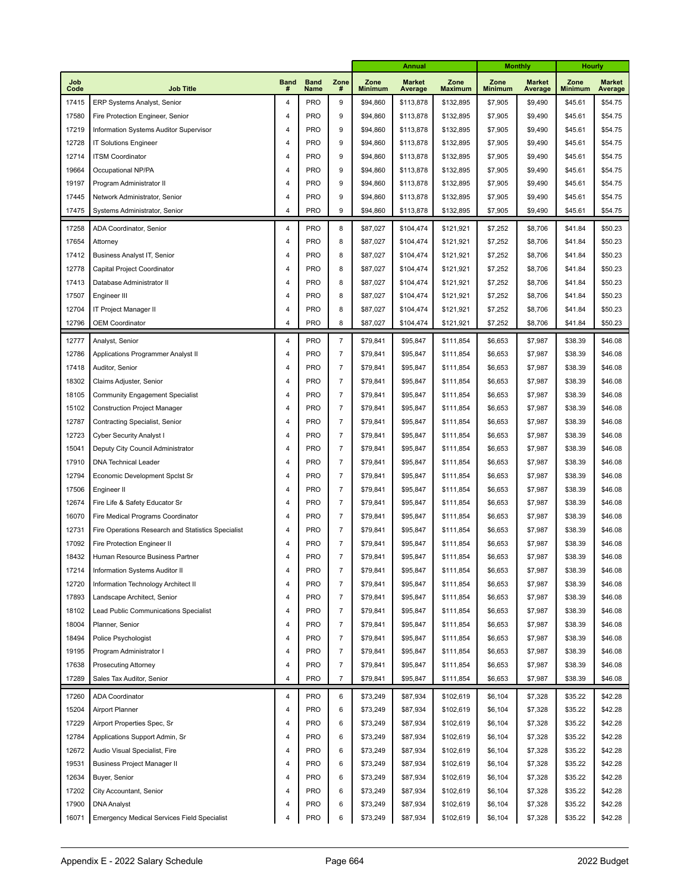|             |                                                    |                         |                     |                         | <b>Annual</b>          |                          |                        |                        | <b>Monthly</b>           | Hourly                 |                          |
|-------------|----------------------------------------------------|-------------------------|---------------------|-------------------------|------------------------|--------------------------|------------------------|------------------------|--------------------------|------------------------|--------------------------|
| Job<br>Code | <b>Job Title</b>                                   | <b>Band</b><br>#        | <b>Band</b><br>Name | Zone<br>#               | Zone<br><b>Minimum</b> | <b>Market</b><br>Average | Zone<br><b>Maximum</b> | Zone<br><b>Minimum</b> | <b>Market</b><br>Average | Zone<br><b>Minimum</b> | <b>Market</b><br>Average |
| 17415       | ERP Systems Analyst, Senior                        | $\overline{4}$          | <b>PRO</b>          | 9                       | \$94,860               | \$113,878                | \$132,895              | \$7,905                | \$9,490                  | \$45.61                | \$54.75                  |
| 17580       | Fire Protection Engineer, Senior                   | 4                       | <b>PRO</b>          | 9                       | \$94,860               | \$113,878                | \$132,895              | \$7,905                | \$9,490                  | \$45.61                | \$54.75                  |
| 17219       | Information Systems Auditor Supervisor             | 4                       | <b>PRO</b>          | 9                       | \$94,860               | \$113,878                | \$132,895              | \$7,905                | \$9,490                  | \$45.61                | \$54.75                  |
| 12728       | <b>IT Solutions Engineer</b>                       |                         | <b>PRO</b>          | 9                       | \$94,860               | \$113,878                | \$132,895              | \$7,905                | \$9,490                  | \$45.61                | \$54.75                  |
| 12714       | <b>ITSM Coordinator</b>                            | 4                       | <b>PRO</b>          | 9                       | \$94,860               | \$113,878                | \$132,895              | \$7,905                | \$9,490                  | \$45.61                | \$54.75                  |
| 19664       | Occupational NP/PA                                 | 4                       | <b>PRO</b>          | 9                       | \$94,860               | \$113,878                | \$132,895              | \$7,905                | \$9,490                  | \$45.61                | \$54.75                  |
| 19197       | Program Administrator II                           | 4                       | <b>PRO</b>          | 9                       | \$94,860               | \$113,878                | \$132,895              | \$7,905                | \$9,490                  | \$45.61                | \$54.75                  |
| 17445       | Network Administrator, Senior                      | 4                       | <b>PRO</b>          | 9                       | \$94,860               | \$113,878                | \$132,895              | \$7,905                | \$9,490                  | \$45.61                | \$54.75                  |
| 17475       | Systems Administrator, Senior                      | 4                       | <b>PRO</b>          | 9                       | \$94,860               | \$113,878                | \$132,895              | \$7,905                | \$9,490                  | \$45.61                | \$54.75                  |
| 17258       | ADA Coordinator, Senior                            | 4                       | PRO                 | 8                       | \$87,027               | \$104,474                | \$121,921              | \$7,252                | \$8,706                  | \$41.84                | \$50.23                  |
| 17654       | Attorney                                           | $\overline{\mathbf{4}}$ | <b>PRO</b>          | 8                       | \$87,027               | \$104,474                | \$121,921              | \$7,252                | \$8,706                  | \$41.84                | \$50.23                  |
| 17412       | Business Analyst IT, Senior                        | 4                       | <b>PRO</b>          | 8                       | \$87,027               | \$104,474                | \$121,921              | \$7,252                | \$8,706                  | \$41.84                | \$50.23                  |
| 12778       | Capital Project Coordinator                        | 4                       | <b>PRO</b>          | 8                       | \$87,027               | \$104,474                | \$121,921              | \$7,252                | \$8,706                  | \$41.84                | \$50.23                  |
| 17413       | Database Administrator II                          | 4                       | <b>PRO</b>          | 8                       | \$87,027               | \$104,474                | \$121,921              | \$7,252                | \$8,706                  | \$41.84                | \$50.23                  |
| 17507       | Engineer III                                       | 4                       | <b>PRO</b>          | 8                       | \$87,027               | \$104,474                | \$121,921              | \$7,252                | \$8,706                  | \$41.84                | \$50.23                  |
| 12704       | IT Project Manager II                              | 4                       | <b>PRO</b>          | 8                       | \$87,027               | \$104,474                | \$121,921              | \$7,252                | \$8,706                  | \$41.84                | \$50.23                  |
| 12796       | <b>OEM Coordinator</b>                             | 4                       | <b>PRO</b>          | 8                       | \$87,027               | \$104,474                | \$121,921              | \$7,252                | \$8,706                  | \$41.84                | \$50.23                  |
|             |                                                    |                         |                     |                         |                        |                          |                        |                        |                          |                        |                          |
| 12777       | Analyst, Senior                                    | 4                       | <b>PRO</b>          | $\overline{7}$          | \$79,841               | \$95,847                 | \$111,854              | \$6,653                | \$7,987                  | \$38.39                | \$46.08                  |
| 12786       | Applications Programmer Analyst II                 | 4                       | <b>PRO</b>          | $\overline{7}$          | \$79,841               | \$95,847                 | \$111,854              | \$6,653                | \$7,987                  | \$38.39                | \$46.08                  |
| 17418       | Auditor, Senior                                    | 4                       | <b>PRO</b>          | $\overline{7}$          | \$79,841               | \$95,847                 | \$111,854              | \$6,653                | \$7,987                  | \$38.39                | \$46.08                  |
| 18302       | Claims Adjuster, Senior                            | 4                       | <b>PRO</b>          | $\overline{7}$          | \$79,841               | \$95,847                 | \$111,854              | \$6,653                | \$7,987                  | \$38.39                | \$46.08                  |
| 18105       | <b>Community Engagement Specialist</b>             | 4                       | <b>PRO</b>          | $\overline{7}$          | \$79,841               | \$95,847                 | \$111,854              | \$6,653                | \$7,987                  | \$38.39                | \$46.08                  |
| 15102       | <b>Construction Project Manager</b>                | 4                       | <b>PRO</b>          | $\overline{7}$          | \$79,841               | \$95,847                 | \$111,854              | \$6,653                | \$7,987                  | \$38.39                | \$46.08                  |
| 12787       | Contracting Specialist, Senior                     | 4                       | <b>PRO</b>          | $\overline{7}$          | \$79,841               | \$95,847                 | \$111,854              | \$6,653                | \$7,987                  | \$38.39                | \$46.08                  |
| 12723       | Cyber Security Analyst I                           | 4                       | <b>PRO</b>          | $\overline{7}$          | \$79,841               | \$95,847                 | \$111,854              | \$6,653                | \$7,987                  | \$38.39                | \$46.08                  |
| 15041       | Deputy City Council Administrator                  | 4                       | <b>PRO</b>          | $\overline{7}$          | \$79,841               | \$95,847                 | \$111,854              | \$6,653                | \$7,987                  | \$38.39                | \$46.08                  |
| 17910       | <b>DNA Technical Leader</b>                        | 4                       | <b>PRO</b>          | $\overline{7}$          | \$79,841               | \$95,847                 | \$111,854              | \$6,653                | \$7,987                  | \$38.39                | \$46.08                  |
| 12794       | Economic Development Spclst Sr                     | 4                       | <b>PRO</b>          | $\overline{7}$          | \$79,841               | \$95,847                 | \$111,854              | \$6,653                | \$7,987                  | \$38.39                | \$46.08                  |
| 17506       | Engineer II                                        | 4                       | <b>PRO</b>          | $\overline{7}$          | \$79,841               | \$95,847                 | \$111,854              | \$6,653                | \$7,987                  | \$38.39                | \$46.08                  |
| 12674       | Fire Life & Safety Educator Sr                     | 4                       | <b>PRO</b>          | $\overline{7}$          | \$79,841               | \$95,847                 | \$111,854              | \$6,653                | \$7,987                  | \$38.39                | \$46.08                  |
| 16070       | Fire Medical Programs Coordinator                  | 4                       | <b>PRO</b>          | $\overline{7}$          | \$79,841               | \$95,847                 | \$111,854              | \$6,653                | \$7,987                  | \$38.39                | \$46.08                  |
| 12731       | Fire Operations Research and Statistics Specialist | 4                       | <b>PRO</b>          | $\overline{7}$          | \$79,841               | \$95,847                 | \$111,854              | \$6,653                | \$7,987                  | \$38.39                | \$46.08                  |
| 17092       | Fire Protection Engineer II                        | 4                       | <b>PRO</b>          | $\overline{7}$          | \$79,841               | \$95,847                 | \$111,854              | \$6,653                | \$7,987                  | \$38.39                | \$46.08                  |
| 18432       | Human Resource Business Partner                    | 4                       | <b>PRO</b>          | $\overline{7}$          | \$79,841               | \$95,847                 | \$111,854              | \$6,653                | \$7,987                  | \$38.39                | \$46.08                  |
| 17214       | Information Systems Auditor II                     | 4                       | PRO                 | $\overline{\mathbf{7}}$ | \$79,841               | \$95,847                 | \$111,854              | \$6,653                | \$7,987                  | \$38.39                | \$46.08                  |
| 12720       | Information Technology Architect II                | 4                       | <b>PRO</b>          | $\boldsymbol{7}$        | \$79,841               | \$95,847                 | \$111,854              | \$6,653                | \$7,987                  | \$38.39                | \$46.08                  |
| 17893       | Landscape Architect, Senior                        | 4                       | <b>PRO</b>          | $\boldsymbol{7}$        | \$79,841               | \$95,847                 | \$111,854              | \$6,653                | \$7,987                  | \$38.39                | \$46.08                  |
| 18102       | Lead Public Communications Specialist              | 4                       | <b>PRO</b>          | $\boldsymbol{7}$        | \$79,841               | \$95,847                 | \$111,854              | \$6,653                | \$7,987                  | \$38.39                | \$46.08                  |
| 18004       | Planner, Senior                                    | 4                       | <b>PRO</b>          | $\boldsymbol{7}$        | \$79,841               | \$95,847                 | \$111,854              | \$6,653                | \$7,987                  | \$38.39                | \$46.08                  |
| 18494       | Police Psychologist                                | 4                       | <b>PRO</b>          | $\boldsymbol{7}$        | \$79,841               | \$95,847                 | \$111,854              | \$6,653                | \$7,987                  | \$38.39                | \$46.08                  |
| 19195       | Program Administrator I                            | 4                       | <b>PRO</b>          | $\boldsymbol{7}$        | \$79,841               | \$95,847                 | \$111,854              | \$6,653                | \$7,987                  | \$38.39                | \$46.08                  |
| 17638       | <b>Prosecuting Attorney</b>                        | 4                       | <b>PRO</b>          | $\boldsymbol{7}$        | \$79,841               | \$95,847                 | \$111,854              | \$6,653                | \$7,987                  | \$38.39                | \$46.08                  |
| 17289       | Sales Tax Auditor, Senior                          | 4                       | PRO                 | $\overline{7}$          | \$79,841               | \$95,847                 | \$111,854              | \$6,653                | \$7,987                  | \$38.39                | \$46.08                  |
| 17260       | <b>ADA Coordinator</b>                             | 4                       | <b>PRO</b>          | 6                       | \$73,249               | \$87,934                 | \$102,619              | \$6,104                | \$7,328                  | \$35.22                | \$42.28                  |
| 15204       | Airport Planner                                    | 4                       | <b>PRO</b>          | 6                       | \$73,249               | \$87,934                 | \$102,619              | \$6,104                | \$7,328                  | \$35.22                | \$42.28                  |
| 17229       | Airport Properties Spec, Sr                        | 4                       | PRO                 | 6                       | \$73,249               | \$87,934                 | \$102,619              | \$6,104                | \$7,328                  | \$35.22                | \$42.28                  |
| 12784       | Applications Support Admin, Sr                     | 4                       | PRO                 | 6                       | \$73,249               | \$87,934                 | \$102,619              | \$6,104                | \$7,328                  | \$35.22                | \$42.28                  |
| 12672       | Audio Visual Specialist, Fire                      | 4                       | PRO                 | 6                       | \$73,249               | \$87,934                 | \$102,619              | \$6,104                | \$7,328                  | \$35.22                | \$42.28                  |
| 19531       | <b>Business Project Manager II</b>                 | 4                       | PRO                 | 6                       | \$73,249               | \$87,934                 | \$102,619              | \$6,104                | \$7,328                  | \$35.22                | \$42.28                  |
| 12634       | Buyer, Senior                                      | 4                       | PRO                 | 6                       | \$73,249               | \$87,934                 | \$102,619              | \$6,104                | \$7,328                  | \$35.22                | \$42.28                  |
| 17202       | City Accountant, Senior                            | 4                       | PRO                 | 6                       | \$73,249               | \$87,934                 | \$102,619              | \$6,104                | \$7,328                  | \$35.22                | \$42.28                  |
| 17900       | <b>DNA</b> Analyst                                 | 4                       | PRO                 | 6                       | \$73,249               | \$87,934                 | \$102,619              | \$6,104                | \$7,328                  | \$35.22                | \$42.28                  |
| 16071       | <b>Emergency Medical Services Field Specialist</b> | 4                       | PRO                 | 6                       | \$73,249               | \$87,934                 | \$102,619              | \$6,104                | \$7,328                  | \$35.22                | \$42.28                  |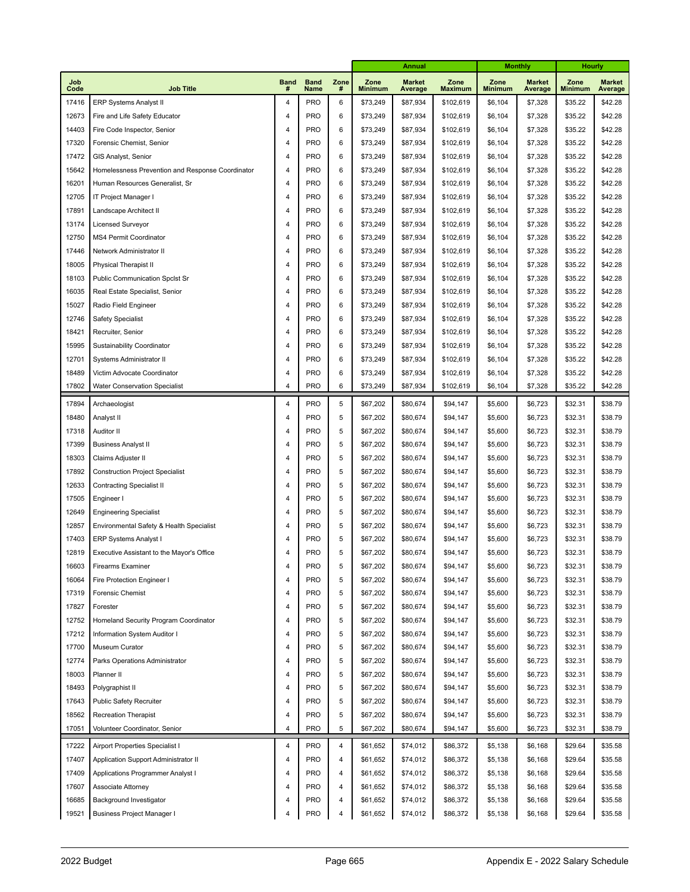|             |                                                  |                         |                     |                | <b>Annual</b>          |                                 |                        |                        | <b>Monthly</b>           | <b>Hourly</b>          |                          |
|-------------|--------------------------------------------------|-------------------------|---------------------|----------------|------------------------|---------------------------------|------------------------|------------------------|--------------------------|------------------------|--------------------------|
| Job<br>Code | <b>Job Title</b>                                 | <b>Band</b><br>#        | <b>Band</b><br>Name | Zone<br>#      | Zone<br><b>Minimum</b> | <b>Market</b><br><b>Average</b> | Zone<br><b>Maximum</b> | Zone<br><b>Minimum</b> | <b>Market</b><br>Average | Zone<br><b>Minimum</b> | <b>Market</b><br>Average |
| 17416       | <b>ERP Systems Analyst II</b>                    | $\overline{\mathbf{4}}$ | <b>PRO</b>          | 6              | \$73,249               | \$87,934                        | \$102,619              | \$6,104                | \$7,328                  | \$35.22                | \$42.28                  |
| 12673       | Fire and Life Safety Educator                    | $\overline{\mathbf{4}}$ | <b>PRO</b>          | 6              | \$73,249               | \$87,934                        | \$102,619              | \$6,104                | \$7,328                  | \$35.22                | \$42.28                  |
| 14403       | Fire Code Inspector, Senior                      | 4                       | <b>PRO</b>          | 6              | \$73,249               | \$87,934                        | \$102,619              | \$6,104                | \$7,328                  | \$35.22                | \$42.28                  |
| 17320       | Forensic Chemist, Senior                         | 4                       | <b>PRO</b>          | 6              | \$73,249               | \$87,934                        | \$102,619              | \$6,104                | \$7,328                  | \$35.22                | \$42.28                  |
| 17472       | GIS Analyst, Senior                              | 4                       | <b>PRO</b>          | 6              | \$73,249               | \$87,934                        | \$102,619              | \$6,104                | \$7,328                  | \$35.22                | \$42.28                  |
| 15642       | Homelessness Prevention and Response Coordinator | 4                       | <b>PRO</b>          | 6              | \$73,249               | \$87,934                        | \$102,619              | \$6,104                | \$7,328                  | \$35.22                | \$42.28                  |
| 16201       | Human Resources Generalist, Sr                   | 4                       | <b>PRO</b>          | 6              | \$73,249               | \$87,934                        | \$102,619              | \$6,104                | \$7,328                  | \$35.22                | \$42.28                  |
| 12705       | IT Project Manager I                             | 4                       | <b>PRO</b>          | 6              | \$73,249               | \$87,934                        | \$102,619              | \$6,104                | \$7,328                  | \$35.22                | \$42.28                  |
| 17891       | Landscape Architect II                           | 4                       | <b>PRO</b>          | 6              | \$73,249               | \$87,934                        | \$102,619              | \$6,104                | \$7,328                  | \$35.22                | \$42.28                  |
| 13174       | Licensed Surveyor                                | 4                       | <b>PRO</b>          | 6              | \$73,249               | \$87,934                        | \$102,619              | \$6,104                | \$7,328                  | \$35.22                | \$42.28                  |
| 12750       | MS4 Permit Coordinator                           | 4                       | <b>PRO</b>          | 6              | \$73,249               | \$87,934                        | \$102,619              | \$6,104                | \$7,328                  | \$35.22                | \$42.28                  |
| 17446       | Network Administrator II                         | 4                       | <b>PRO</b>          | 6              | \$73,249               | \$87,934                        | \$102,619              | \$6,104                | \$7,328                  | \$35.22                | \$42.28                  |
| 18005       | <b>Physical Therapist II</b>                     | 4                       | <b>PRO</b>          | 6              | \$73,249               | \$87,934                        | \$102,619              | \$6,104                | \$7,328                  | \$35.22                | \$42.28                  |
| 18103       | <b>Public Communication Spclst Sr</b>            | 4                       | <b>PRO</b>          | 6              | \$73,249               | \$87,934                        | \$102,619              | \$6,104                | \$7,328                  | \$35.22                | \$42.28                  |
| 16035       | Real Estate Specialist, Senior                   | 4                       | <b>PRO</b>          | 6              | \$73,249               | \$87,934                        | \$102,619              | \$6,104                | \$7,328                  | \$35.22                | \$42.28                  |
| 15027       | Radio Field Engineer                             | 4                       | <b>PRO</b>          | 6              | \$73,249               | \$87,934                        | \$102,619              | \$6,104                | \$7,328                  | \$35.22                | \$42.28                  |
| 12746       | <b>Safety Specialist</b>                         | 4                       | <b>PRO</b>          | 6              | \$73,249               | \$87,934                        | \$102,619              | \$6,104                | \$7,328                  | \$35.22                | \$42.28                  |
| 18421       | Recruiter, Senior                                | 4                       | <b>PRO</b>          | 6              | \$73,249               | \$87,934                        | \$102,619              | \$6,104                | \$7,328                  | \$35.22                | \$42.28                  |
| 15995       | Sustainability Coordinator                       | 4                       | <b>PRO</b>          | 6              | \$73,249               | \$87,934                        | \$102,619              | \$6,104                | \$7,328                  | \$35.22                | \$42.28                  |
| 12701       | Systems Administrator II                         | 4                       | <b>PRO</b>          | 6              | \$73,249               | \$87,934                        | \$102,619              | \$6,104                | \$7,328                  | \$35.22                | \$42.28                  |
| 18489       | Victim Advocate Coordinator                      | 4                       | <b>PRO</b>          | 6              | \$73,249               | \$87,934                        | \$102,619              | \$6,104                | \$7,328                  | \$35.22                | \$42.28                  |
| 17802       | <b>Water Conservation Specialist</b>             | $\overline{4}$          | <b>PRO</b>          | 6              | \$73,249               | \$87,934                        | \$102,619              | \$6,104                | \$7,328                  | \$35.22                | \$42.28                  |
| 17894       | Archaeologist                                    | 4                       | <b>PRO</b>          | 5              | \$67,202               | \$80,674                        | \$94,147               | \$5,600                | \$6,723                  | \$32.31                | \$38.79                  |
| 18480       | Analyst II                                       | 4                       | <b>PRO</b>          | 5              | \$67,202               | \$80,674                        | \$94,147               | \$5,600                | \$6,723                  | \$32.31                | \$38.79                  |
| 17318       | Auditor II                                       | 4                       | <b>PRO</b>          | 5              | \$67,202               | \$80,674                        | \$94,147               | \$5,600                | \$6,723                  | \$32.31                | \$38.79                  |
| 17399       | <b>Business Analyst II</b>                       | 4                       | <b>PRO</b>          | 5              | \$67,202               | \$80,674                        | \$94,147               | \$5,600                | \$6,723                  | \$32.31                | \$38.79                  |
| 18303       | Claims Adjuster II                               | 4                       | <b>PRO</b>          | 5              | \$67,202               | \$80,674                        | \$94,147               | \$5,600                | \$6,723                  | \$32.31                | \$38.79                  |
| 17892       | <b>Construction Project Specialist</b>           | 4                       | <b>PRO</b>          | 5              | \$67,202               | \$80,674                        | \$94,147               | \$5,600                | \$6,723                  | \$32.31                | \$38.79                  |
| 12633       | <b>Contracting Specialist II</b>                 | 4                       | <b>PRO</b>          | 5              | \$67,202               | \$80,674                        | \$94,147               | \$5,600                | \$6,723                  | \$32.31                | \$38.79                  |
| 17505       | Engineer I                                       | 4                       | <b>PRO</b>          | 5              | \$67,202               | \$80,674                        | \$94,147               | \$5,600                | \$6,723                  | \$32.31                | \$38.79                  |
| 12649       | <b>Engineering Specialist</b>                    | 4                       | <b>PRO</b>          | 5              | \$67,202               | \$80,674                        | \$94,147               | \$5,600                | \$6,723                  | \$32.31                | \$38.79                  |
| 12857       | Environmental Safety & Health Specialist         | 4                       | <b>PRO</b>          | 5              | \$67,202               | \$80,674                        | \$94,147               | \$5,600                | \$6,723                  | \$32.31                | \$38.79                  |
| 17403       | ERP Systems Analyst I                            | 4                       | <b>PRO</b>          | 5              | \$67,202               | \$80,674                        | \$94,147               | \$5,600                | \$6,723                  | \$32.31                | \$38.79                  |
| 12819       | Executive Assistant to the Mayor's Office        | 4                       | <b>PRO</b>          | 5              | \$67,202               | \$80,674                        | \$94,147               | \$5,600                | \$6,723                  | \$32.31                | \$38.79                  |
| 16603       | Firearms Examiner                                | $\overline{4}$          | <b>PRO</b>          | 5              | \$67,202               | \$80,674                        | \$94,147               | \$5,600                | \$6,723                  | \$32.31                | \$38.79                  |
| 16064       | Fire Protection Engineer I                       | 4                       | <b>PRO</b>          | 5              | \$67,202               | \$80,674                        | \$94,147               | \$5,600                | \$6,723                  | \$32.31                | \$38.79                  |
| 17319       | Forensic Chemist                                 | 4                       | PRO                 | 5              | \$67,202               | \$80,674                        | \$94,147               | \$5,600                | \$6,723                  | \$32.31                | \$38.79                  |
| 17827       | Forester                                         | 4                       | PRO                 | 5              | \$67,202               | \$80,674                        | \$94,147               | \$5,600                | \$6,723                  | \$32.31                | \$38.79                  |
| 12752       | Homeland Security Program Coordinator            | 4                       | <b>PRO</b>          | 5              | \$67,202               | \$80,674                        | \$94,147               | \$5,600                | \$6,723                  | \$32.31                | \$38.79                  |
| 17212       | Information System Auditor I                     | 4                       | PRO                 | 5              | \$67,202               | \$80,674                        | \$94,147               | \$5,600                | \$6,723                  | \$32.31                | \$38.79                  |
| 17700       | Museum Curator                                   | 4                       | PRO                 | 5              | \$67,202               | \$80,674                        | \$94,147               | \$5,600                | \$6,723                  | \$32.31                | \$38.79                  |
| 12774       | Parks Operations Administrator                   | 4                       | PRO                 | 5              | \$67,202               | \$80,674                        | \$94,147               | \$5,600                | \$6,723                  | \$32.31                | \$38.79                  |
| 18003       | Planner II                                       | 4                       | PRO                 | 5              | \$67,202               | \$80,674                        | \$94,147               | \$5,600                | \$6,723                  | \$32.31                | \$38.79                  |
| 18493       | Polygraphist II                                  | 4                       | PRO                 | 5              | \$67,202               | \$80,674                        | \$94,147               | \$5,600                | \$6,723                  | \$32.31                | \$38.79                  |
| 17643       | Public Safety Recruiter                          | 4                       | <b>PRO</b>          | 5              | \$67,202               | \$80,674                        | \$94,147               | \$5,600                | \$6,723                  | \$32.31                | \$38.79                  |
| 18562       | <b>Recreation Therapist</b>                      | 4                       | PRO                 | 5              | \$67,202               | \$80,674                        | \$94,147               | \$5,600                | \$6,723                  | \$32.31                | \$38.79                  |
| 17051       | Volunteer Coordinator, Senior                    | 4                       | <b>PRO</b>          | 5              | \$67,202               | \$80,674                        | \$94,147               | \$5,600                | \$6,723                  | \$32.31                | \$38.79                  |
| 17222       | Airport Properties Specialist I                  | 4                       | <b>PRO</b>          | $\overline{4}$ | \$61,652               | \$74,012                        | \$86,372               | \$5,138                | \$6,168                  | \$29.64                | \$35.58                  |
| 17407       | Application Support Administrator II             | 4                       | <b>PRO</b>          | 4              | \$61,652               | \$74,012                        | \$86,372               | \$5,138                | \$6,168                  | \$29.64                | \$35.58                  |
| 17409       | Applications Programmer Analyst I                | 4                       | <b>PRO</b>          | 4              | \$61,652               | \$74,012                        | \$86,372               | \$5,138                | \$6,168                  | \$29.64                | \$35.58                  |
| 17607       | Associate Attorney                               | 4                       | <b>PRO</b>          | 4              | \$61,652               | \$74,012                        | \$86,372               | \$5,138                | \$6,168                  | \$29.64                | \$35.58                  |
| 16685       | Background Investigator                          | 4                       | <b>PRO</b>          | 4              | \$61,652               | \$74,012                        | \$86,372               | \$5,138                | \$6,168                  | \$29.64                | \$35.58                  |
| 19521       | <b>Business Project Manager I</b>                | 4                       | PRO                 | 4              | \$61,652               | \$74,012                        | \$86,372               | \$5,138                | \$6,168                  | \$29.64                | \$35.58                  |
|             |                                                  |                         |                     |                |                        |                                 |                        |                        |                          |                        |                          |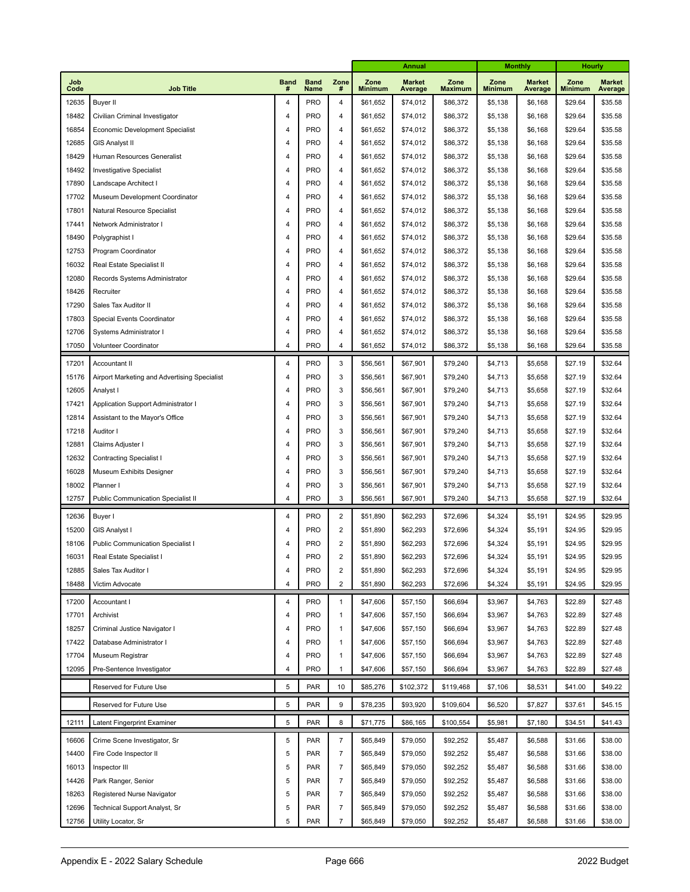|             |                                              |                  |                     |                  | <b>Annual</b>          |                          |                        |                        | <b>Monthly</b>           | Hourly                 |                          |
|-------------|----------------------------------------------|------------------|---------------------|------------------|------------------------|--------------------------|------------------------|------------------------|--------------------------|------------------------|--------------------------|
| Job<br>Code | <b>Job Title</b>                             | <b>Band</b><br># | <b>Band</b><br>Name | Zone<br>#        | Zone<br><b>Minimum</b> | <b>Market</b><br>Average | Zone<br><b>Maximum</b> | Zone<br><b>Minimum</b> | <b>Market</b><br>Average | Zone<br><b>Minimum</b> | <b>Market</b><br>Average |
| 12635       | <b>Buyer II</b>                              | 4                | <b>PRO</b>          | 4                | \$61,652               | \$74,012                 | \$86,372               | \$5,138                | \$6,168                  | \$29.64                | \$35.58                  |
| 18482       | Civilian Criminal Investigator               | $\overline{4}$   | <b>PRO</b>          | 4                | \$61,652               | \$74,012                 | \$86,372               | \$5,138                | \$6,168                  | \$29.64                | \$35.58                  |
| 16854       | Economic Development Specialist              | $\overline{4}$   | <b>PRO</b>          | 4                | \$61,652               | \$74,012                 | \$86,372               | \$5,138                | \$6,168                  | \$29.64                | \$35.58                  |
| 12685       | <b>GIS Analyst II</b>                        | $\overline{4}$   | <b>PRO</b>          | 4                | \$61,652               | \$74,012                 | \$86,372               | \$5,138                | \$6,168                  | \$29.64                | \$35.58                  |
| 18429       | Human Resources Generalist                   | $\overline{4}$   | <b>PRO</b>          | 4                | \$61,652               | \$74,012                 | \$86,372               | \$5,138                | \$6,168                  | \$29.64                | \$35.58                  |
| 18492       | <b>Investigative Specialist</b>              | 4                | <b>PRO</b>          | 4                | \$61,652               | \$74,012                 | \$86,372               | \$5,138                | \$6,168                  | \$29.64                | \$35.58                  |
| 17890       | Landscape Architect I                        | $\overline{4}$   | <b>PRO</b>          | $\overline{4}$   | \$61,652               | \$74,012                 | \$86,372               | \$5,138                | \$6,168                  | \$29.64                | \$35.58                  |
| 17702       | Museum Development Coordinator               | 4                | <b>PRO</b>          | 4                | \$61,652               | \$74,012                 | \$86,372               | \$5,138                | \$6,168                  | \$29.64                | \$35.58                  |
| 17801       | Natural Resource Specialist                  | $\overline{4}$   | <b>PRO</b>          | $\overline{4}$   | \$61,652               | \$74,012                 | \$86,372               | \$5,138                | \$6,168                  | \$29.64                | \$35.58                  |
| 17441       | Network Administrator I                      | 4                | <b>PRO</b>          | 4                | \$61,652               | \$74,012                 | \$86,372               | \$5,138                | \$6,168                  | \$29.64                | \$35.58                  |
| 18490       | Polygraphist I                               | $\overline{4}$   | <b>PRO</b>          | $\overline{4}$   | \$61,652               | \$74,012                 | \$86,372               | \$5,138                | \$6,168                  | \$29.64                | \$35.58                  |
| 12753       | Program Coordinator                          | 4                | <b>PRO</b>          | 4                | \$61,652               | \$74,012                 | \$86,372               | \$5,138                | \$6,168                  | \$29.64                | \$35.58                  |
| 16032       | Real Estate Specialist II                    | $\overline{4}$   | <b>PRO</b>          | $\overline{4}$   | \$61,652               | \$74,012                 | \$86,372               | \$5,138                | \$6,168                  | \$29.64                | \$35.58                  |
| 12080       | Records Systems Administrator                | 4                | <b>PRO</b>          | 4                | \$61,652               | \$74,012                 | \$86,372               | \$5,138                | \$6,168                  | \$29.64                | \$35.58                  |
| 18426       | Recruiter                                    | $\overline{4}$   | <b>PRO</b>          | 4                | \$61,652               | \$74,012                 | \$86,372               | \$5,138                | \$6,168                  | \$29.64                | \$35.58                  |
| 17290       | Sales Tax Auditor II                         | $\overline{4}$   | <b>PRO</b>          | 4                | \$61,652               | \$74,012                 | \$86,372               | \$5,138                | \$6,168                  | \$29.64                | \$35.58                  |
| 17803       | Special Events Coordinator                   | $\overline{4}$   | <b>PRO</b>          | 4                | \$61,652               | \$74,012                 | \$86,372               | \$5,138                | \$6,168                  | \$29.64                | \$35.58                  |
| 12706       | Systems Administrator I                      | 4                | <b>PRO</b>          | $\overline{4}$   | \$61,652               | \$74,012                 | \$86,372               | \$5,138                | \$6,168                  | \$29.64                | \$35.58                  |
| 17050       | Volunteer Coordinator                        | $\overline{4}$   | <b>PRO</b>          | $\overline{4}$   | \$61,652               | \$74,012                 | \$86,372               | \$5,138                | \$6,168                  | \$29.64                | \$35.58                  |
| 17201       | Accountant II                                | 4                | <b>PRO</b>          | 3                | \$56,561               | \$67,901                 | \$79,240               | \$4,713                | \$5,658                  | \$27.19                | \$32.64                  |
| 15176       | Airport Marketing and Advertising Specialist | 4                | <b>PRO</b>          | 3                | \$56,561               | \$67,901                 | \$79,240               | \$4,713                | \$5,658                  | \$27.19                | \$32.64                  |
| 12605       | Analyst I                                    | 4                | <b>PRO</b>          | 3                | \$56,561               | \$67,901                 | \$79,240               | \$4,713                | \$5,658                  | \$27.19                | \$32.64                  |
| 17421       | Application Support Administrator I          | 4                | <b>PRO</b>          | 3                | \$56,561               | \$67,901                 | \$79,240               | \$4,713                | \$5,658                  | \$27.19                | \$32.64                  |
| 12814       | Assistant to the Mayor's Office              | 4                | <b>PRO</b>          | 3                | \$56,561               | \$67,901                 | \$79,240               | \$4,713                | \$5,658                  | \$27.19                | \$32.64                  |
| 17218       | Auditor I                                    | 4                | <b>PRO</b>          | 3                | \$56,561               | \$67,901                 | \$79,240               | \$4,713                | \$5,658                  | \$27.19                | \$32.64                  |
| 12881       | Claims Adjuster I                            | 4                | <b>PRO</b>          | 3                | \$56,561               | \$67,901                 | \$79,240               | \$4,713                | \$5,658                  | \$27.19                | \$32.64                  |
| 12632       | <b>Contracting Specialist I</b>              | 4                | <b>PRO</b>          | 3                | \$56,561               | \$67,901                 | \$79,240               | \$4,713                | \$5,658                  | \$27.19                | \$32.64                  |
| 16028       | Museum Exhibits Designer                     | 4                | <b>PRO</b>          | 3                | \$56,561               | \$67,901                 | \$79,240               | \$4,713                | \$5,658                  | \$27.19                | \$32.64                  |
| 18002       | Planner I                                    | 4                | <b>PRO</b>          | 3                | \$56,561               | \$67,901                 | \$79,240               | \$4,713                | \$5,658                  | \$27.19                | \$32.64                  |
| 12757       | <b>Public Communication Specialist II</b>    | 4                | <b>PRO</b>          | 3                | \$56,561               | \$67,901                 | \$79,240               | \$4,713                | \$5,658                  | \$27.19                | \$32.64                  |
| 12636       | Buyer I                                      | 4                | <b>PRO</b>          | $\overline{2}$   | \$51,890               | \$62,293                 | \$72,696               | \$4,324                | \$5,191                  | \$24.95                | \$29.95                  |
| 15200       | <b>GIS Analyst I</b>                         | $\overline{4}$   | <b>PRO</b>          | $\overline{2}$   | \$51,890               | \$62,293                 | \$72,696               | \$4,324                | \$5,191                  | \$24.95                | \$29.95                  |
| 18106       | <b>Public Communication Specialist I</b>     | 4                | <b>PRO</b>          | $\overline{2}$   | \$51,890               | \$62,293                 | \$72,696               | \$4,324                | \$5,191                  | \$24.95                | \$29.95                  |
| 16031       | Real Estate Specialist I                     | 4                | <b>PRO</b>          | $\overline{c}$   | \$51,890               | \$62,293                 | \$72,696               | \$4,324                | \$5,191                  | \$24.95                | \$29.95                  |
| 12885       | Sales Tax Auditor I                          | 4                | PRO                 | 2                | \$51,890               | \$62,293                 | \$72,696               | \$4,324                | \$5,191                  | \$24.95                | \$29.95                  |
| 18488       | Victim Advocate                              | 4                | <b>PRO</b>          | $\overline{2}$   | \$51,890               | \$62,293                 | \$72,696               | \$4,324                | \$5,191                  | \$24.95                | \$29.95                  |
| 17200       | Accountant I                                 | 4                | PRO                 | $\mathbf{1}$     | \$47,606               | \$57,150                 | \$66,694               | \$3,967                | \$4,763                  | \$22.89                | \$27.48                  |
| 17701       | Archivist                                    | 4                | PRO                 | $\mathbf{1}$     | \$47,606               | \$57,150                 | \$66,694               | \$3,967                | \$4,763                  | \$22.89                | \$27.48                  |
| 18257       | Criminal Justice Navigator I                 | 4                | <b>PRO</b>          | 1                | \$47,606               | \$57,150                 | \$66,694               | \$3,967                | \$4,763                  | \$22.89                | \$27.48                  |
| 17422       | Database Administrator I                     | 4                | <b>PRO</b>          | 1                | \$47,606               | \$57,150                 | \$66,694               | \$3,967                | \$4,763                  | \$22.89                | \$27.48                  |
| 17704       | Museum Registrar                             | 4                | <b>PRO</b>          | 1                | \$47,606               | \$57,150                 | \$66,694               | \$3,967                | \$4,763                  | \$22.89                | \$27.48                  |
| 12095       | Pre-Sentence Investigator                    | 4                | <b>PRO</b>          | 1                | \$47,606               | \$57,150                 | \$66,694               | \$3,967                | \$4,763                  | \$22.89                | \$27.48                  |
|             | Reserved for Future Use                      | 5                | PAR                 | 10               | \$85,276               | \$102,372                | \$119,468              | \$7,106                | \$8,531                  | \$41.00                | \$49.22                  |
|             | Reserved for Future Use                      | 5                | PAR                 | 9                | \$78,235               | \$93,920                 | \$109,604              | \$6,520                | \$7,827                  | \$37.61                | \$45.15                  |
| 12111       | Latent Fingerprint Examiner                  | 5                | PAR                 | 8                | \$71,775               | \$86,165                 | \$100,554              | \$5,981                | \$7,180                  | \$34.51                | \$41.43                  |
| 16606       | Crime Scene Investigator, Sr                 | 5                | <b>PAR</b>          | $\boldsymbol{7}$ | \$65,849               | \$79,050                 | \$92,252               | \$5,487                | \$6,588                  | \$31.66                | \$38.00                  |
| 14400       | Fire Code Inspector II                       | 5                | PAR                 | $\boldsymbol{7}$ | \$65,849               | \$79,050                 | \$92,252               | \$5,487                | \$6,588                  | \$31.66                | \$38.00                  |
| 16013       | Inspector III                                | 5                | <b>PAR</b>          | $\boldsymbol{7}$ | \$65,849               | \$79,050                 | \$92,252               | \$5,487                | \$6,588                  | \$31.66                | \$38.00                  |
| 14426       | Park Ranger, Senior                          | 5                | PAR                 | $\boldsymbol{7}$ | \$65,849               | \$79,050                 | \$92,252               | \$5,487                | \$6,588                  | \$31.66                | \$38.00                  |
| 18263       | Registered Nurse Navigator                   | 5                | <b>PAR</b>          | $\boldsymbol{7}$ | \$65,849               | \$79,050                 | \$92,252               | \$5,487                | \$6,588                  | \$31.66                | \$38.00                  |
| 12696       | Technical Support Analyst, Sr                | 5                | PAR                 | $\boldsymbol{7}$ | \$65,849               | \$79,050                 | \$92,252               | \$5,487                | \$6,588                  | \$31.66                | \$38.00                  |
| 12756       | Utility Locator, Sr                          | 5                | PAR                 | $\boldsymbol{7}$ | \$65,849               | \$79,050                 | \$92,252               | \$5,487                | \$6,588                  | \$31.66                | \$38.00                  |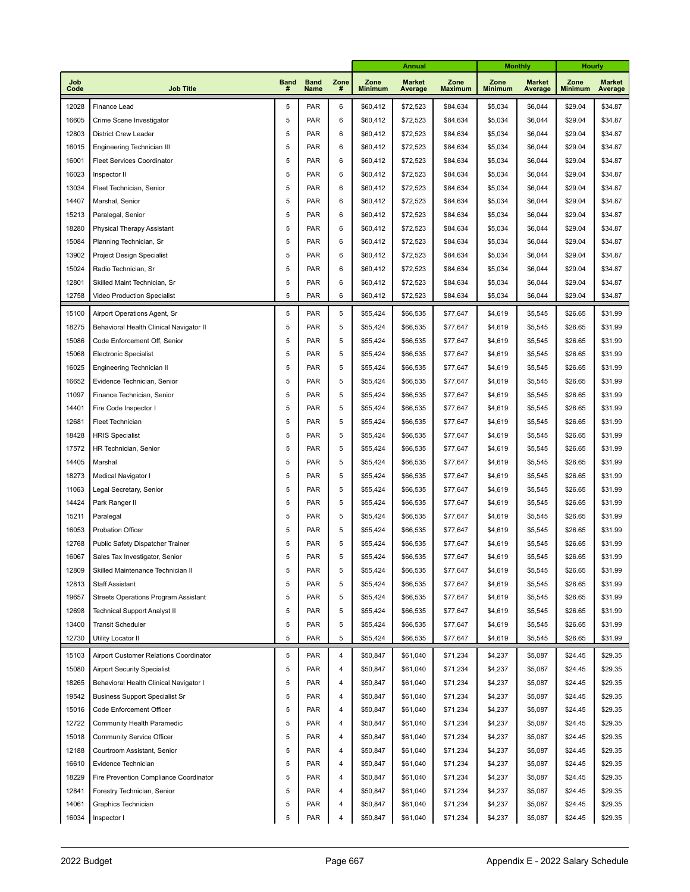|             |                                                                      |                  |                     |                | Annual                 |                          |                        |                        | <b>Monthly</b>           | Hourly                 |                          |
|-------------|----------------------------------------------------------------------|------------------|---------------------|----------------|------------------------|--------------------------|------------------------|------------------------|--------------------------|------------------------|--------------------------|
| Job<br>Code | <b>Job Title</b>                                                     | <b>Band</b><br># | <b>Band</b><br>Name | Zone<br>#      | Zone<br><b>Minimum</b> | <b>Market</b><br>Average | Zone<br><b>Maximum</b> | Zone<br><b>Minimum</b> | <b>Market</b><br>Average | Zone<br><b>Minimum</b> | <b>Market</b><br>Average |
| 12028       | Finance Lead                                                         | 5                | <b>PAR</b>          | 6              | \$60,412               | \$72,523                 | \$84,634               | \$5,034                | \$6,044                  | \$29.04                | \$34.87                  |
| 16605       | Crime Scene Investigator                                             | $\,$ 5 $\,$      | <b>PAR</b>          | 6              | \$60,412               | \$72,523                 | \$84,634               | \$5,034                | \$6,044                  | \$29.04                | \$34.87                  |
| 12803       | <b>District Crew Leader</b>                                          | $\sqrt{5}$       | <b>PAR</b>          | 6              | \$60,412               | \$72,523                 | \$84,634               | \$5,034                | \$6,044                  | \$29.04                | \$34.87                  |
| 16015       | Engineering Technician III                                           | $\sqrt{5}$       | <b>PAR</b>          | 6              | \$60,412               | \$72,523                 | \$84,634               | \$5,034                | \$6,044                  | \$29.04                | \$34.87                  |
| 16001       | <b>Fleet Services Coordinator</b>                                    | $\sqrt{5}$       | <b>PAR</b>          | 6              | \$60,412               | \$72,523                 | \$84,634               | \$5,034                | \$6,044                  | \$29.04                | \$34.87                  |
| 16023       | Inspector II                                                         |                  | <b>PAR</b>          | 6              | \$60,412               | \$72,523                 | \$84,634               | \$5,034                | \$6,044                  | \$29.04                | \$34.87                  |
| 13034       | Fleet Technician, Senior                                             | 5                | <b>PAR</b>          | 6              | \$60,412               | \$72,523                 | \$84,634               | \$5,034                | \$6,044                  | \$29.04                | \$34.87                  |
| 14407       | Marshal, Senior                                                      | 5                | <b>PAR</b>          | 6              | \$60,412               | \$72,523                 | \$84,634               | \$5,034                | \$6,044                  | \$29.04                | \$34.87                  |
| 15213       | Paralegal, Senior                                                    | 5                | <b>PAR</b>          | 6              | \$60,412               | \$72,523                 | \$84,634               | \$5,034                | \$6,044                  | \$29.04                | \$34.87                  |
| 18280       | <b>Physical Therapy Assistant</b>                                    | 5                | <b>PAR</b>          | 6              | \$60,412               | \$72,523                 | \$84,634               | \$5,034                | \$6,044                  | \$29.04                | \$34.87                  |
| 15084       | Planning Technician, Sr                                              | 5                | <b>PAR</b>          | 6              | \$60,412               | \$72,523                 | \$84,634               | \$5,034                | \$6,044                  | \$29.04                | \$34.87                  |
| 13902       | Project Design Specialist                                            | 5                | <b>PAR</b>          | 6              | \$60,412               | \$72,523                 | \$84,634               | \$5,034                | \$6,044                  | \$29.04                | \$34.87                  |
| 15024       | Radio Technician, Sr                                                 | 5                | <b>PAR</b>          | 6              | \$60,412               | \$72,523                 | \$84,634               | \$5,034                | \$6,044                  | \$29.04                | \$34.87                  |
| 12801       | Skilled Maint Technician, Sr                                         | 5                | <b>PAR</b>          | 6              | \$60,412               | \$72,523                 | \$84,634               | \$5,034                | \$6,044                  | \$29.04                | \$34.87                  |
| 12758       | Video Production Specialist                                          | 5                | <b>PAR</b>          | 6              | \$60,412               | \$72,523                 | \$84,634               | \$5,034                | \$6,044                  | \$29.04                | \$34.87                  |
| 15100       | Airport Operations Agent, Sr                                         | 5                | <b>PAR</b>          | 5              | \$55,424               | \$66,535                 | \$77,647               | \$4,619                | \$5,545                  | \$26.65                | \$31.99                  |
| 18275       | Behavioral Health Clinical Navigator II                              | 5                | <b>PAR</b>          | 5              | \$55,424               | \$66,535                 | \$77,647               | \$4,619                | \$5,545                  | \$26.65                | \$31.99                  |
| 15086       | Code Enforcement Off, Senior                                         | 5                | <b>PAR</b>          | 5              | \$55,424               | \$66,535                 | \$77,647               | \$4,619                | \$5,545                  | \$26.65                | \$31.99                  |
| 15068       | <b>Electronic Specialist</b>                                         | 5                | <b>PAR</b>          | 5              | \$55,424               | \$66,535                 | \$77,647               | \$4,619                | \$5,545                  | \$26.65                | \$31.99                  |
| 16025       | Engineering Technician II                                            | 5                | <b>PAR</b>          | 5              | \$55,424               | \$66,535                 | \$77,647               | \$4,619                | \$5,545                  | \$26.65                | \$31.99                  |
| 16652       | Evidence Technician, Senior                                          | 5                | <b>PAR</b>          | 5              | \$55,424               | \$66,535                 | \$77,647               | \$4,619                | \$5,545                  | \$26.65                | \$31.99                  |
| 11097       | Finance Technician, Senior                                           | 5                | <b>PAR</b>          | 5              | \$55,424               | \$66,535                 | \$77,647               | \$4,619                | \$5,545                  | \$26.65                | \$31.99                  |
| 14401       | Fire Code Inspector I                                                | 5                | <b>PAR</b>          | 5              | \$55,424               | \$66,535                 | \$77,647               | \$4,619                | \$5,545                  | \$26.65                | \$31.99                  |
| 12681       | Fleet Technician                                                     | 5                | <b>PAR</b>          | 5              | \$55,424               | \$66,535                 | \$77,647               | \$4,619                | \$5,545                  | \$26.65                | \$31.99                  |
| 18428       | <b>HRIS Specialist</b>                                               | 5                | <b>PAR</b>          | 5              | \$55,424               | \$66,535                 | \$77,647               | \$4,619                | \$5,545                  | \$26.65                | \$31.99                  |
| 17572       | HR Technician, Senior                                                | 5                | <b>PAR</b>          | 5              | \$55,424               | \$66,535                 | \$77,647               | \$4,619                | \$5,545                  | \$26.65                | \$31.99                  |
| 14405       | Marshal                                                              | 5                | <b>PAR</b>          | 5              | \$55,424               | \$66,535                 | \$77,647               | \$4,619                | \$5,545                  | \$26.65                | \$31.99                  |
| 18273       | Medical Navigator I                                                  | 5                | <b>PAR</b>          | 5              | \$55,424               | \$66,535                 | \$77,647               | \$4,619                | \$5,545                  | \$26.65                | \$31.99                  |
| 11063       | Legal Secretary, Senior                                              | 5                | <b>PAR</b>          | 5              | \$55,424               | \$66,535                 | \$77,647               | \$4,619                | \$5,545                  | \$26.65                | \$31.99                  |
| 14424       | Park Ranger II                                                       | 5                | <b>PAR</b>          | 5              | \$55,424               | \$66,535                 | \$77,647               | \$4,619                | \$5,545                  | \$26.65                | \$31.99                  |
| 15211       | Paralegal                                                            | 5                | <b>PAR</b>          | 5              | \$55,424               | \$66,535                 | \$77,647               | \$4,619                | \$5,545                  | \$26.65                | \$31.99                  |
| 16053       | <b>Probation Officer</b>                                             | 5                | <b>PAR</b>          | 5              | \$55,424               | \$66,535                 | \$77,647               | \$4,619                | \$5,545                  | \$26.65                | \$31.99                  |
| 12768       | Public Safety Dispatcher Trainer                                     | 5                | <b>PAR</b>          | 5              | \$55,424               | \$66,535                 | \$77,647               | \$4,619                | \$5,545                  | \$26.65                | \$31.99                  |
| 16067       | Sales Tax Investigator, Senior                                       | 5                | <b>PAR</b>          | 5              | \$55,424               | \$66,535                 | \$77,647               | \$4,619                | \$5,545                  | \$26.65                | \$31.99                  |
| 12809       | Skilled Maintenance Technician II                                    | 5                | PAR                 | 5              | \$55,424               | \$66,535                 | \$77,647               | \$4,619                | \$5,545                  | \$26.65                | \$31.99                  |
| 12813       | <b>Staff Assistant</b>                                               | 5                | PAR                 | 5              | \$55,424               | \$66,535                 | \$77,647               | \$4,619                | \$5,545                  | \$26.65                | \$31.99                  |
| 19657       | Streets Operations Program Assistant                                 | 5                | PAR                 | 5              | \$55,424               | \$66,535                 | \$77,647               | \$4,619                | \$5,545                  | \$26.65                | \$31.99                  |
| 12698       | <b>Technical Support Analyst II</b>                                  | 5                | <b>PAR</b>          | 5              | \$55,424               | \$66,535                 | \$77,647               | \$4,619                | \$5,545                  | \$26.65                | \$31.99                  |
| 13400       | <b>Transit Scheduler</b>                                             | 5                | <b>PAR</b>          | 5              | \$55,424               | \$66,535                 | \$77,647               | \$4,619                | \$5,545                  | \$26.65                | \$31.99                  |
| 12730       | Utility Locator II                                                   | 5                | PAR                 | 5              | \$55,424               | \$66,535                 | \$77,647               | \$4,619                | \$5,545                  | \$26.65                | \$31.99                  |
| 15103       | Airport Customer Relations Coordinator                               | $\,$ 5 $\,$      | <b>PAR</b>          | 4              | \$50,847               | \$61,040                 | \$71,234               | \$4,237                | \$5,087                  | \$24.45                | \$29.35                  |
| 15080       | <b>Airport Security Specialist</b>                                   | 5                | <b>PAR</b>          | $\overline{4}$ | \$50,847               | \$61,040                 | \$71,234               | \$4,237                | \$5,087                  | \$24.45                | \$29.35                  |
| 18265       | Behavioral Health Clinical Navigator I                               | 5                | <b>PAR</b>          | 4              | \$50,847               | \$61,040                 | \$71,234               | \$4,237                | \$5,087                  | \$24.45                | \$29.35                  |
| 19542       | <b>Business Support Specialist Sr</b>                                | 5                | <b>PAR</b>          | 4              | \$50,847               | \$61,040                 | \$71,234               | \$4,237                | \$5,087                  | \$24.45                | \$29.35                  |
| 15016       | Code Enforcement Officer                                             | 5                | <b>PAR</b>          | 4              | \$50,847               | \$61,040                 | \$71,234               | \$4,237                | \$5,087                  | \$24.45                | \$29.35                  |
| 12722       | Community Health Paramedic                                           | 5                | <b>PAR</b>          | 4              | \$50,847               | \$61,040                 | \$71,234               | \$4,237                | \$5,087                  | \$24.45                | \$29.35                  |
| 15018       | <b>Community Service Officer</b>                                     | 5                | <b>PAR</b>          | 4              | \$50,847               | \$61,040                 | \$71,234               | \$4,237                | \$5,087                  | \$24.45                | \$29.35                  |
| 12188       | Courtroom Assistant, Senior                                          | 5                | <b>PAR</b>          | 4              | \$50,847               | \$61,040                 | \$71,234               | \$4,237                | \$5,087                  | \$24.45                | \$29.35                  |
| 16610       | Evidence Technician                                                  | 5                | <b>PAR</b>          | 4              | \$50,847               | \$61,040                 | \$71,234               | \$4,237                | \$5,087                  | \$24.45                | \$29.35                  |
| 18229       | Fire Prevention Compliance Coordinator                               | 5                | <b>PAR</b>          | 4              | \$50,847               | \$61,040                 | \$71,234               | \$4,237                | \$5,087                  | \$24.45                | \$29.35                  |
|             |                                                                      | 5                | <b>PAR</b>          | 4              | \$50,847               | \$61,040                 | \$71,234               | \$4,237                | \$5,087                  | \$24.45                | \$29.35                  |
|             | 12841<br>Forestry Technician, Senior<br>14061<br>Graphics Technician |                  | <b>PAR</b>          | 4              | \$50,847               | \$61,040                 | \$71,234               | \$4,237                | \$5,087                  | \$24.45                | \$29.35                  |
| 16034       | Inspector I                                                          | 5<br>5           | PAR                 | 4              | \$50,847               | \$61,040                 | \$71,234               | \$4,237                | \$5,087                  | \$24.45                | \$29.35                  |
|             |                                                                      |                  |                     |                |                        |                          |                        |                        |                          |                        |                          |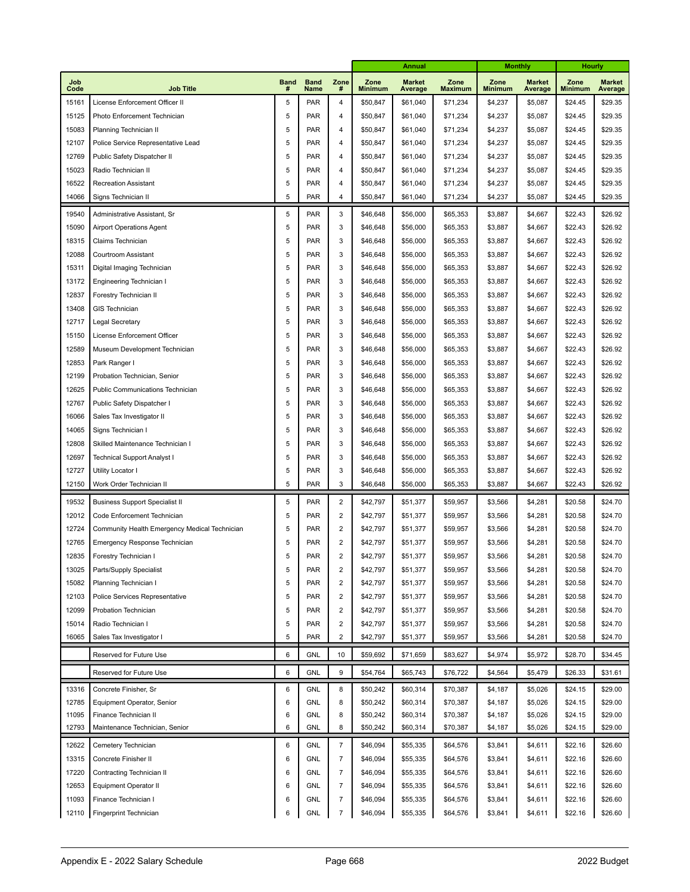|             |                                               |                  |                     |                         | <b>Annual</b>          |                          |                        | <b>Monthly</b>         |                          | <b>Hourly</b>          |                          |
|-------------|-----------------------------------------------|------------------|---------------------|-------------------------|------------------------|--------------------------|------------------------|------------------------|--------------------------|------------------------|--------------------------|
| Job<br>Code | <b>Job Title</b>                              | <b>Band</b><br># | <b>Band</b><br>Name | Zone<br>#               | Zone<br><b>Minimum</b> | <b>Market</b><br>Average | Zone<br><b>Maximum</b> | Zone<br><b>Minimum</b> | <b>Market</b><br>Average | Zone<br><b>Minimum</b> | <b>Market</b><br>Average |
| 15161       | License Enforcement Officer II                | 5                | PAR                 | 4                       | \$50,847               | \$61,040                 | \$71,234               | \$4,237                | \$5,087                  | \$24.45                | \$29.35                  |
| 15125       | Photo Enforcement Technician                  | 5                | PAR                 | 4                       | \$50,847               | \$61,040                 | \$71,234               | \$4,237                | \$5,087                  | \$24.45                | \$29.35                  |
| 15083       | Planning Technician II                        | 5                | <b>PAR</b>          | 4                       | \$50,847               | \$61,040                 | \$71,234               | \$4,237                | \$5,087                  | \$24.45                | \$29.35                  |
| 12107       | Police Service Representative Lead            |                  | <b>PAR</b>          | 4                       | \$50,847               | \$61,040                 | \$71,234               | \$4,237                | \$5,087                  | \$24.45                | \$29.35                  |
| 12769       | Public Safety Dispatcher II                   | 5                | PAR                 | 4                       | \$50,847               | \$61,040                 | \$71,234               | \$4,237                | \$5,087                  | \$24.45                | \$29.35                  |
| 15023       | Radio Technician II                           | 5                | <b>PAR</b>          | 4                       | \$50,847               | \$61,040                 | \$71,234               | \$4,237                | \$5,087                  | \$24.45                | \$29.35                  |
| 16522       | <b>Recreation Assistant</b>                   | 5                | PAR                 | 4                       | \$50,847               | \$61,040                 | \$71,234               | \$4,237                | \$5,087                  | \$24.45                | \$29.35                  |
| 14066       | Signs Technician II                           | 5                | PAR                 | 4                       | \$50,847               | \$61,040                 | \$71,234               | \$4,237                | \$5,087                  | \$24.45                | \$29.35                  |
| 19540       | Administrative Assistant, Sr                  | 5                | PAR                 | 3                       | \$46,648               | \$56,000                 | \$65,353               | \$3,887                | \$4,667                  | \$22.43                | \$26.92                  |
| 15090       | <b>Airport Operations Agent</b>               | 5                | PAR                 | 3                       | \$46,648               | \$56,000                 | \$65,353               | \$3,887                | \$4,667                  | \$22.43                | \$26.92                  |
| 18315       | Claims Technician                             | 5                | <b>PAR</b>          | 3                       | \$46,648               | \$56,000                 | \$65,353               | \$3,887                | \$4,667                  | \$22.43                | \$26.92                  |
| 12088       | Courtroom Assistant                           | 5                | PAR                 | 3                       | \$46,648               | \$56,000                 | \$65,353               | \$3,887                | \$4,667                  | \$22.43                | \$26.92                  |
| 15311       | Digital Imaging Technician                    | 5                | <b>PAR</b>          | 3                       | \$46,648               | \$56,000                 | \$65,353               | \$3,887                | \$4,667                  | \$22.43                | \$26.92                  |
| 13172       | Engineering Technician I                      | 5                | <b>PAR</b>          | 3                       | \$46,648               | \$56,000                 | \$65,353               | \$3,887                | \$4,667                  | \$22.43                | \$26.92                  |
| 12837       | Forestry Technician II                        | 5                | <b>PAR</b>          | 3                       | \$46,648               | \$56,000                 | \$65,353               | \$3,887                | \$4,667                  | \$22.43                | \$26.92                  |
| 13408       | <b>GIS Technician</b>                         | 5                | <b>PAR</b>          | 3                       | \$46,648               | \$56,000                 | \$65,353               | \$3,887                | \$4,667                  | \$22.43                | \$26.92                  |
| 12717       | Legal Secretary                               | 5                | PAR                 | 3                       | \$46,648               | \$56,000                 | \$65,353               | \$3,887                | \$4,667                  | \$22.43                | \$26.92                  |
| 15150       | License Enforcement Officer                   | 5                | <b>PAR</b>          | 3                       | \$46,648               | \$56,000                 | \$65,353               | \$3,887                | \$4,667                  | \$22.43                | \$26.92                  |
| 12589       | Museum Development Technician                 | 5                | <b>PAR</b>          | 3                       | \$46,648               | \$56,000                 | \$65,353               | \$3,887                | \$4,667                  | \$22.43                | \$26.92                  |
| 12853       | Park Ranger I                                 | 5                | <b>PAR</b>          | 3                       | \$46,648               | \$56,000                 | \$65,353               | \$3,887                | \$4,667                  | \$22.43                | \$26.92                  |
| 12199       | Probation Technician, Senior                  | 5                | <b>PAR</b>          | 3                       | \$46,648               | \$56,000                 | \$65,353               | \$3,887                | \$4,667                  | \$22.43                | \$26.92                  |
| 12625       | Public Communications Technician              | 5                | <b>PAR</b>          | 3                       | \$46,648               | \$56,000                 | \$65,353               | \$3,887                | \$4,667                  | \$22.43                | \$26.92                  |
| 12767       | Public Safety Dispatcher I                    | 5                | <b>PAR</b>          | 3                       | \$46,648               | \$56,000                 | \$65,353               | \$3,887                | \$4,667                  | \$22.43                | \$26.92                  |
| 16066       | Sales Tax Investigator II                     | 5                | <b>PAR</b>          | 3                       | \$46,648               | \$56,000                 | \$65,353               | \$3,887                | \$4,667                  | \$22.43                | \$26.92                  |
| 14065       | Signs Technician I                            | 5                | <b>PAR</b>          | 3                       | \$46,648               | \$56,000                 | \$65,353               | \$3,887                | \$4,667                  | \$22.43                | \$26.92                  |
| 12808       | Skilled Maintenance Technician I              | 5                | <b>PAR</b>          | 3                       | \$46,648               | \$56,000                 | \$65,353               | \$3,887                | \$4,667                  | \$22.43                | \$26.92                  |
| 12697       | Technical Support Analyst I                   | 5                | PAR                 | 3                       | \$46,648               | \$56,000                 | \$65,353               | \$3,887                | \$4,667                  | \$22.43                | \$26.92                  |
| 12727       | Utility Locator I                             | 5                | <b>PAR</b>          | 3                       | \$46,648               | \$56,000                 | \$65,353               | \$3,887                | \$4,667                  | \$22.43                | \$26.92                  |
| 12150       | Work Order Technician II                      | 5                | PAR                 | 3                       | \$46,648               | \$56,000                 | \$65,353               | \$3,887                | \$4,667                  | \$22.43                | \$26.92                  |
| 19532       | <b>Business Support Specialist II</b>         | 5                | PAR                 | $\overline{c}$          | \$42,797               | \$51,377                 | \$59,957               | \$3,566                | \$4,281                  | \$20.58                | \$24.70                  |
| 12012       | Code Enforcement Technician                   | 5                | PAR                 | $\overline{2}$          | \$42,797               | \$51,377                 | \$59,957               | \$3,566                | \$4,281                  | \$20.58                | \$24.70                  |
| 12724       | Community Health Emergency Medical Technician | 5                | PAR                 | 2                       | \$42,797               | \$51,377                 | \$59,957               | \$3,566                | \$4,281                  | \$20.58                | \$24.70                  |
| 12765       | Emergency Response Technician                 | 5                | PAR                 | 2                       | \$42,797               | \$51,377                 | \$59,957               | \$3,566                | \$4,281                  | \$20.58                | \$24.70                  |
| 12835       | Forestry Technician I                         | 5                | PAR                 | $\overline{c}$          | \$42,797               | \$51,377                 | \$59,957               | \$3,566                | \$4,281                  | \$20.58                | \$24.70                  |
| 13025       | Parts/Supply Specialist                       | 5                | PAR                 | 2                       | \$42,797               | \$51,377                 | \$59,957               | \$3,566                | \$4,281                  | \$20.58                | \$24.70                  |
| 15082       | Planning Technician I                         | 5                | PAR                 | $\overline{\mathbf{c}}$ | \$42,797               | \$51,377                 | \$59,957               | \$3,566                | \$4,281                  | \$20.58                | \$24.70                  |
| 12103       | Police Services Representative                | 5                | PAR                 | 2                       | \$42,797               | \$51,377                 | \$59,957               | \$3,566                | \$4,281                  | \$20.58                | \$24.70                  |
| 12099       | Probation Technician                          | 5                | PAR                 | 2                       | \$42,797               | \$51,377                 | \$59,957               | \$3,566                | \$4,281                  | \$20.58                | \$24.70                  |
| 15014       | Radio Technician I                            | 5                | PAR                 | $\overline{\mathbf{c}}$ | \$42,797               | \$51,377                 | \$59,957               | \$3,566                | \$4,281                  | \$20.58                | \$24.70                  |
| 16065       | Sales Tax Investigator I                      | 5                | PAR                 | 2                       | \$42,797               | \$51,377                 | \$59,957               | \$3,566                | \$4,281                  | \$20.58                | \$24.70                  |
|             | Reserved for Future Use                       | 6                | <b>GNL</b>          | 10                      | \$59,692               | \$71,659                 | \$83,627               | \$4,974                | \$5,972                  | \$28.70                | \$34.45                  |
|             | Reserved for Future Use                       | 6                | <b>GNL</b>          | 9                       | \$54,764               | \$65,743                 | \$76,722               | \$4,564                | \$5,479                  | \$26.33                | \$31.61                  |
| 13316       | Concrete Finisher, Sr                         | 6                | GNL                 | 8                       | \$50,242               | \$60,314                 | \$70,387               | \$4,187                | \$5,026                  | \$24.15                | \$29.00                  |
| 12785       | Equipment Operator, Senior                    | 6                | GNL                 | 8                       | \$50,242               | \$60,314                 | \$70,387               | \$4,187                | \$5,026                  | \$24.15                | \$29.00                  |
| 11095       | Finance Technician II                         | 6                | GNL                 | 8                       | \$50,242               | \$60,314                 | \$70,387               | \$4,187                | \$5,026                  | \$24.15                | \$29.00                  |
| 12793       | Maintenance Technician, Senior                | 6                | GNL                 | 8                       | \$50,242               | \$60,314                 | \$70,387               | \$4,187                | \$5,026                  | \$24.15                | \$29.00                  |
| 12622       | Cemetery Technician                           | 6                | GNL                 | $\overline{7}$          | \$46,094               | \$55,335                 | \$64,576               | \$3,841                | \$4,611                  | \$22.16                | \$26.60                  |
| 13315       | Concrete Finisher II                          | 6                | GNL                 | $\overline{7}$          | \$46,094               | \$55,335                 | \$64,576               | \$3,841                | \$4,611                  | \$22.16                | \$26.60                  |
| 17220       | Contracting Technician II                     | 6                | GNL                 | $\overline{7}$          | \$46,094               | \$55,335                 | \$64,576               | \$3,841                | \$4,611                  | \$22.16                | \$26.60                  |
| 12653       | Equipment Operator II                         | 6                | GNL                 | $\overline{7}$          | \$46,094               | \$55,335                 | \$64,576               | \$3,841                | \$4,611                  | \$22.16                | \$26.60                  |
| 11093       | Finance Technician I                          | 6                | GNL                 | 7                       | \$46,094               | \$55,335                 | \$64,576               | \$3,841                | \$4,611                  | \$22.16                | \$26.60                  |
| 12110       | Fingerprint Technician                        | 6                | GNL                 | $\boldsymbol{7}$        | \$46,094               | \$55,335                 | \$64,576               | \$3,841                | \$4,611                  | \$22.16                | \$26.60                  |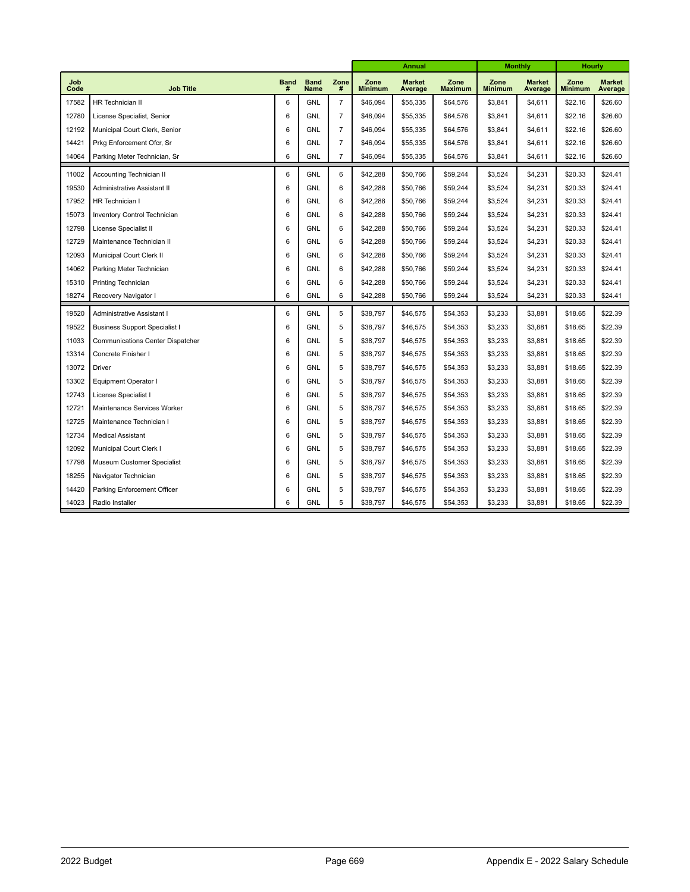|             |                                         |             |                     |                | <b>Annual</b>          |                          | <b>Monthly</b>         |                        | <b>Hourly</b>            |                        |                          |
|-------------|-----------------------------------------|-------------|---------------------|----------------|------------------------|--------------------------|------------------------|------------------------|--------------------------|------------------------|--------------------------|
| Job<br>Code | <b>Job Title</b>                        | <b>Band</b> | <b>Band</b><br>Name | Zone<br>#      | Zone<br><b>Minimum</b> | <b>Market</b><br>Average | Zone<br><b>Maximum</b> | Zone<br><b>Minimum</b> | <b>Market</b><br>Average | Zone<br><b>Minimum</b> | <b>Market</b><br>Average |
| 17582       | HR Technician II                        | 6           | <b>GNL</b>          | $\overline{7}$ | \$46,094               | \$55,335                 | \$64,576               | \$3,841                | \$4,611                  | \$22.16                | \$26.60                  |
| 12780       | License Specialist, Senior              | 6           | <b>GNL</b>          | $\overline{7}$ | \$46,094               | \$55,335                 | \$64,576               | \$3,841                | \$4,611                  | \$22.16                | \$26.60                  |
| 12192       | Municipal Court Clerk, Senior           | 6           | <b>GNL</b>          | $\overline{7}$ | \$46,094               | \$55,335                 | \$64,576               | \$3,841                | \$4,611                  | \$22.16                | \$26.60                  |
| 14421       | Prkg Enforcement Ofcr, Sr               | 6           | <b>GNL</b>          | $\overline{7}$ | \$46,094               | \$55,335                 | \$64,576               | \$3,841                | \$4,611                  | \$22.16                | \$26.60                  |
| 14064       | Parking Meter Technician, Sr            | 6           | <b>GNL</b>          | $\overline{7}$ | \$46,094               | \$55,335                 | \$64,576               | \$3,841                | \$4,611                  | \$22.16                | \$26.60                  |
| 11002       | <b>Accounting Technician II</b>         | 6           | <b>GNL</b>          | 6              | \$42,288               | \$50,766                 | \$59,244               | \$3,524                | \$4,231                  | \$20.33                | \$24.41                  |
| 19530       | Administrative Assistant II             | 6           | <b>GNL</b>          | 6              | \$42,288               | \$50,766                 | \$59,244               | \$3,524                | \$4,231                  | \$20.33                | \$24.41                  |
| 17952       | HR Technician I                         | 6           | <b>GNL</b>          | 6              | \$42,288               | \$50,766                 | \$59,244               | \$3,524                | \$4,231                  | \$20.33                | \$24.41                  |
| 15073       | <b>Inventory Control Technician</b>     | 6           | <b>GNL</b>          | 6              | \$42,288               | \$50,766                 | \$59,244               | \$3,524                | \$4,231                  | \$20.33                | \$24.41                  |
| 12798       | License Specialist II                   | 6           | <b>GNL</b>          | 6              | \$42,288               | \$50,766                 | \$59,244               | \$3,524                | \$4,231                  | \$20.33                | \$24.41                  |
| 12729       | Maintenance Technician II               | 6           | <b>GNL</b>          | 6              | \$42,288               | \$50,766                 | \$59,244               | \$3,524                | \$4,231                  | \$20.33                | \$24.41                  |
| 12093       | Municipal Court Clerk II                | 6           | <b>GNL</b>          | 6              | \$42,288               | \$50,766                 | \$59,244               | \$3,524                | \$4,231                  | \$20.33                | \$24.41                  |
| 14062       | Parking Meter Technician                | 6           | <b>GNL</b>          | 6              | \$42,288               | \$50,766                 | \$59,244               | \$3,524                | \$4,231                  | \$20.33                | \$24.41                  |
| 15310       | Printing Technician                     | 6           | <b>GNL</b>          | 6              | \$42,288               | \$50,766                 | \$59,244               | \$3,524                | \$4,231                  | \$20.33                | \$24.41                  |
| 18274       | Recovery Navigator I                    | 6           | <b>GNL</b>          | 6              | \$42,288               | \$50,766                 | \$59,244               | \$3,524                | \$4,231                  | \$20.33                | \$24.41                  |
| 19520       | Administrative Assistant I              | 6           | <b>GNL</b>          | 5              | \$38,797               | \$46,575                 | \$54,353               | \$3,233                | \$3,881                  | \$18.65                | \$22.39                  |
| 19522       | <b>Business Support Specialist I</b>    | 6           | <b>GNL</b>          | 5              | \$38,797               | \$46,575                 | \$54,353               | \$3,233                | \$3,881                  | \$18.65                | \$22.39                  |
| 11033       | <b>Communications Center Dispatcher</b> | 6           | <b>GNL</b>          | 5              | \$38,797               | \$46,575                 | \$54,353               | \$3,233                | \$3,881                  | \$18.65                | \$22.39                  |
| 13314       | Concrete Finisher I                     | 6           | <b>GNL</b>          | 5              | \$38,797               | \$46,575                 | \$54,353               | \$3,233                | \$3,881                  | \$18.65                | \$22.39                  |
| 13072       | <b>Driver</b>                           | 6           | <b>GNL</b>          | 5              | \$38,797               | \$46,575                 | \$54,353               | \$3,233                | \$3,881                  | \$18.65                | \$22.39                  |
| 13302       | <b>Equipment Operator I</b>             | 6           | <b>GNL</b>          | 5              | \$38,797               | \$46,575                 | \$54,353               | \$3,233                | \$3,881                  | \$18.65                | \$22.39                  |
| 12743       | License Specialist I                    | 6           | <b>GNL</b>          | 5              | \$38,797               | \$46,575                 | \$54,353               | \$3,233                | \$3,881                  | \$18.65                | \$22.39                  |
| 12721       | Maintenance Services Worker             | 6           | <b>GNL</b>          | 5              | \$38,797               | \$46,575                 | \$54,353               | \$3,233                | \$3,881                  | \$18.65                | \$22.39                  |
| 12725       | Maintenance Technician I                | 6           | <b>GNL</b>          | 5              | \$38,797               | \$46,575                 | \$54,353               | \$3,233                | \$3,881                  | \$18.65                | \$22.39                  |
| 12734       | <b>Medical Assistant</b>                | 6           | <b>GNL</b>          | 5              | \$38,797               | \$46,575                 | \$54,353               | \$3,233                | \$3,881                  | \$18.65                | \$22.39                  |
| 12092       | Municipal Court Clerk I                 | 6           | <b>GNL</b>          | 5              | \$38,797               | \$46,575                 | \$54,353               | \$3,233                | \$3,881                  | \$18.65                | \$22.39                  |
| 17798       | Museum Customer Specialist              | 6           | <b>GNL</b>          | 5              | \$38,797               | \$46,575                 | \$54,353               | \$3,233                | \$3,881                  | \$18.65                | \$22.39                  |
| 18255       | Navigator Technician                    | 6           | GNL                 | 5              | \$38,797               | \$46,575                 | \$54,353               | \$3,233                | \$3,881                  | \$18.65                | \$22.39                  |
| 14420       | Parking Enforcement Officer             | 6           | <b>GNL</b>          | 5              | \$38,797               | \$46,575                 | \$54,353               | \$3,233                | \$3,881                  | \$18.65                | \$22.39                  |
| 14023       | Radio Installer                         | 6           | <b>GNL</b>          | 5              | \$38,797               | \$46,575                 | \$54,353               | \$3,233                | \$3,881                  | \$18.65                | \$22.39                  |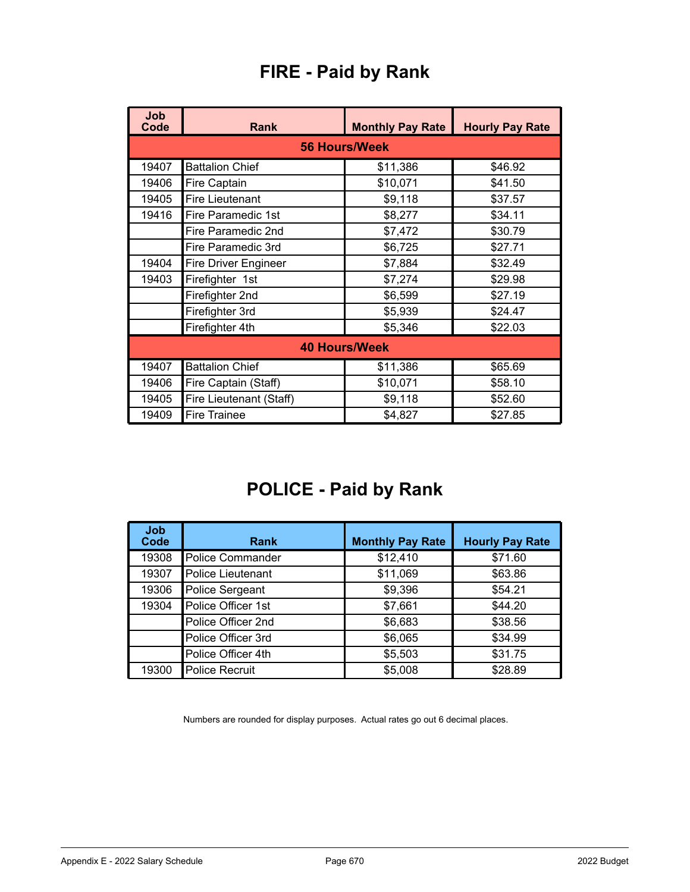| <b>Job</b><br>Code | <b>Rank</b>               | <b>Monthly Pay Rate</b> | <b>Hourly Pay Rate</b> |
|--------------------|---------------------------|-------------------------|------------------------|
|                    |                           | <b>56 Hours/Week</b>    |                        |
| 19407              | <b>Battalion Chief</b>    | \$11,386                | \$46.92                |
| 19406              | <b>Fire Captain</b>       | \$10,071                | \$41.50                |
| 19405              | <b>Fire Lieutenant</b>    | \$9,118                 | \$37.57                |
| 19416              | <b>Fire Paramedic 1st</b> | \$8,277                 | \$34.11                |
|                    | Fire Paramedic 2nd        | \$7,472                 | \$30.79                |
|                    | Fire Paramedic 3rd        | \$6,725                 | \$27.71                |
| 19404              | Fire Driver Engineer      | \$7,884                 | \$32.49                |
| 19403              | Firefighter 1st           | \$7,274                 | \$29.98                |
|                    | Firefighter 2nd           | \$6,599                 | \$27.19                |
|                    | Firefighter 3rd           | \$5,939                 | \$24.47                |
|                    | Firefighter 4th           | \$5,346                 | \$22.03                |
|                    |                           | <b>40 Hours/Week</b>    |                        |
| 19407              | <b>Battalion Chief</b>    | \$11,386                | \$65.69                |
| 19406              | Fire Captain (Staff)      | \$10,071                | \$58.10                |
| 19405              | Fire Lieutenant (Staff)   | \$9,118                 | \$52.60                |
| 19409              | Fire Trainee              | \$4,827                 | \$27.85                |

## **FIRE - Paid by Rank**

# **POLICE - Paid by Rank**

| Job<br>Code | <b>Rank</b>             | <b>Monthly Pay Rate</b> | <b>Hourly Pay Rate</b> |
|-------------|-------------------------|-------------------------|------------------------|
| 19308       | <b>Police Commander</b> | \$12,410                | \$71.60                |
| 19307       | Police Lieutenant       | \$11,069                | \$63.86                |
| 19306       | Police Sergeant         | \$9,396                 | \$54.21                |
| 19304       | Police Officer 1st      | \$7,661                 | \$44.20                |
|             | Police Officer 2nd      | \$6,683                 | \$38.56                |
|             | Police Officer 3rd      | \$6,065                 | \$34.99                |
|             | Police Officer 4th      | \$5,503                 | \$31.75                |
| 19300       | <b>Police Recruit</b>   | \$5,008                 | \$28.89                |

Numbers are rounded for display purposes. Actual rates go out 6 decimal places.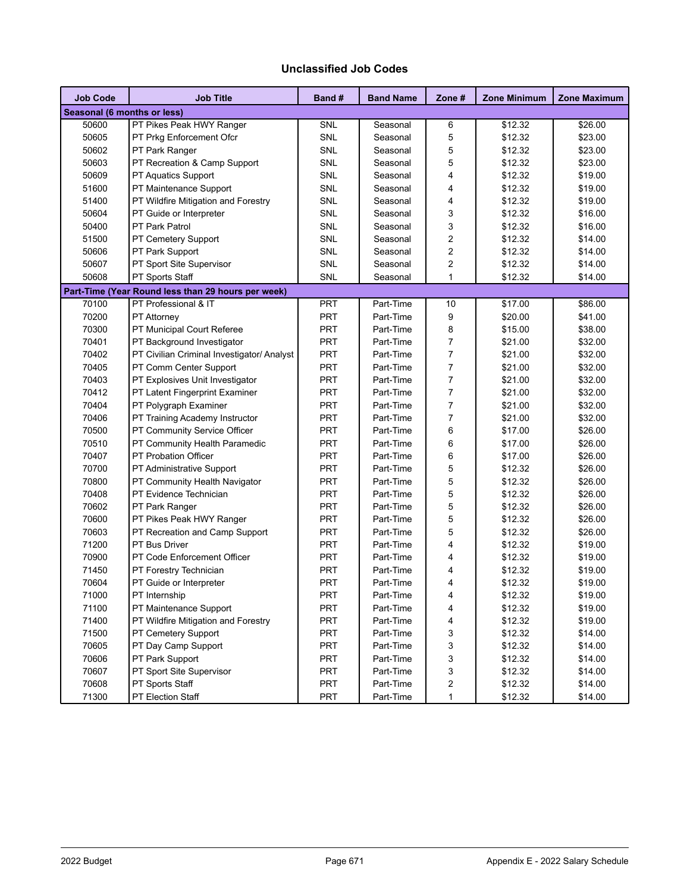#### **Unclassified Job Codes**

| <b>Job Code</b>             | <b>Job Title</b>                                   | Band #<br><b>Band Name</b> |           | Zone #                  | <b>Zone Minimum</b> | <b>Zone Maximum</b> |
|-----------------------------|----------------------------------------------------|----------------------------|-----------|-------------------------|---------------------|---------------------|
| Seasonal (6 months or less) |                                                    |                            |           |                         |                     |                     |
| 50600                       | PT Pikes Peak HWY Ranger                           | SNL                        | Seasonal  | 6                       | \$12.32             | \$26.00             |
| 50605                       | PT Prkg Enforcement Ofcr                           | SNL                        | Seasonal  | 5                       | \$12.32             | \$23.00             |
| 50602                       | PT Park Ranger                                     | SNL                        | Seasonal  | 5                       | \$12.32             | \$23.00             |
| 50603                       | PT Recreation & Camp Support                       | SNL                        | Seasonal  | 5                       | \$12.32             | \$23.00             |
| 50609                       | PT Aquatics Support                                | SNL                        | Seasonal  | $\overline{4}$          | \$12.32             | \$19.00             |
| 51600                       | PT Maintenance Support                             | SNL                        | Seasonal  | $\overline{4}$          | \$12.32             | \$19.00             |
| 51400                       | PT Wildfire Mitigation and Forestry                | SNL                        | Seasonal  | $\overline{4}$          | \$12.32             | \$19.00             |
| 50604                       | PT Guide or Interpreter                            | SNL                        | Seasonal  | 3                       | \$12.32             | \$16.00             |
| 50400                       | PT Park Patrol                                     | SNL                        | Seasonal  | 3                       | \$12.32             | \$16.00             |
| 51500                       | PT Cemetery Support                                | SNL                        | Seasonal  | $\overline{2}$          | \$12.32             | \$14.00             |
| 50606                       | PT Park Support                                    | SNL                        | Seasonal  | $\overline{c}$          | \$12.32             | \$14.00             |
| 50607                       | PT Sport Site Supervisor                           | SNL                        | Seasonal  | $\overline{c}$          | \$12.32             | \$14.00             |
| 50608                       | PT Sports Staff                                    | SNL                        | Seasonal  | $\mathbf{1}$            | \$12.32             | \$14.00             |
|                             | Part-Time (Year Round less than 29 hours per week) |                            |           |                         |                     |                     |
| 70100                       | PT Professional & IT                               | PRT                        | Part-Time | 10                      | \$17.00             | \$86.00             |
| 70200                       | <b>PT Attorney</b>                                 | PRT                        | Part-Time | 9                       | \$20.00             | \$41.00             |
| 70300                       | PT Municipal Court Referee                         | PRT                        | Part-Time | 8                       | \$15.00             | \$38.00             |
| 70401                       | PT Background Investigator                         | PRT                        | Part-Time | $\overline{7}$          | \$21.00             | \$32.00             |
| 70402                       | PT Civilian Criminal Investigator/ Analyst         | PRT                        | Part-Time | $\overline{7}$          | \$21.00             | \$32.00             |
| 70405                       | PT Comm Center Support                             | <b>PRT</b>                 | Part-Time | $\overline{7}$          | \$21.00             | \$32.00             |
| 70403                       | PT Explosives Unit Investigator                    | PRT                        | Part-Time | $\overline{7}$          | \$21.00             | \$32.00             |
| 70412                       | PT Latent Fingerprint Examiner                     | <b>PRT</b>                 | Part-Time | $\overline{7}$          | \$21.00             | \$32.00             |
| 70404                       | PT Polygraph Examiner                              | PRT                        | Part-Time | $\overline{7}$          | \$21.00             | \$32.00             |
| 70406                       | PT Training Academy Instructor                     | PRT                        | Part-Time | $\overline{7}$          | \$21.00             | \$32.00             |
| 70500                       | PT Community Service Officer                       | PRT                        | Part-Time | 6                       | \$17.00             | \$26.00             |
| 70510                       | PT Community Health Paramedic                      | PRT                        | Part-Time | 6                       | \$17.00             | \$26.00             |
| 70407                       | PT Probation Officer                               | PRT                        | Part-Time | 6                       | \$17.00             | \$26.00             |
| 70700                       | PT Administrative Support                          | <b>PRT</b>                 | Part-Time | 5                       | \$12.32             | \$26.00             |
| 70800                       | PT Community Health Navigator                      | PRT                        | Part-Time | 5                       | \$12.32             | \$26.00             |
| 70408                       | PT Evidence Technician                             | PRT                        | Part-Time | 5                       | \$12.32             | \$26.00             |
| 70602                       | PT Park Ranger                                     | PRT                        | Part-Time | 5                       | \$12.32             | \$26.00             |
| 70600                       | PT Pikes Peak HWY Ranger                           | <b>PRT</b>                 | Part-Time | 5                       | \$12.32             | \$26.00             |
| 70603                       | PT Recreation and Camp Support                     | PRT                        | Part-Time | 5                       | \$12.32             | \$26.00             |
| 71200                       | PT Bus Driver                                      | PRT                        | Part-Time | 4                       | \$12.32             | \$19.00             |
| 70900                       | PT Code Enforcement Officer                        | PRT                        | Part-Time | 4                       | \$12.32             | \$19.00             |
| 71450                       | PT Forestry Technician                             | PRT                        | Part-Time | 4                       | \$12.32             | \$19.00             |
| 70604                       | PT Guide or Interpreter                            | <b>PRT</b>                 | Part-Time | $\overline{\mathbf{4}}$ | \$12.32             | \$19.00             |
| 71000                       | PT Internship                                      | PRT                        | Part-Time | 4                       | \$12.32             | \$19.00             |
| 71100                       | PT Maintenance Support                             | PRT                        | Part-Time | 4                       | \$12.32             | \$19.00             |
| 71400                       | PT Wildfire Mitigation and Forestry                | PRT                        | Part-Time | 4                       | \$12.32             | \$19.00             |
| 71500                       | PT Cemetery Support                                | PRT                        | Part-Time | 3                       | \$12.32             | \$14.00             |
| 70605                       | PT Day Camp Support                                | PRT                        | Part-Time | 3                       | \$12.32             | \$14.00             |
| 70606                       | PT Park Support                                    | PRT                        | Part-Time | 3                       | \$12.32             | \$14.00             |
| 70607                       | PT Sport Site Supervisor                           | PRT                        | Part-Time | 3                       | \$12.32             | \$14.00             |
| 70608                       | PT Sports Staff                                    | PRT                        | Part-Time | $\boldsymbol{2}$        | \$12.32             | \$14.00             |
| 71300                       | PT Election Staff                                  | PRT                        | Part-Time | $\mathbf{1}$            | \$12.32             | \$14.00             |